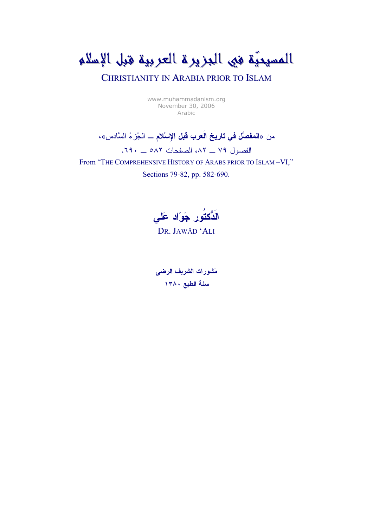المسيحيَّة في الجزيرة العربية قبل الإسلام

CHRISTIANITY IN ARABIA PRIOR TO ISLAM

www.muhammadanism.org November 30, 2006 Arabic

من «المفصَّل في تاريخ العرب قبل الإسلام \_ الجُزِ ءُ السَّادس»،

الفصول ٧٩ ــ ٨٢، الصفحات ٨٨٢ ــ ٦٩٠.

From "THE COMPREHENSIVE HISTORY OF ARABS PRIOR TO ISLAM-VI,"

Sections 79-82, pp. 582-690.

الَدُّكتُور جَوَّاد عَلى

DR. JAWĀD 'ALI

مَشورات الشريف الرضى سنة الطبع ١٣٨٠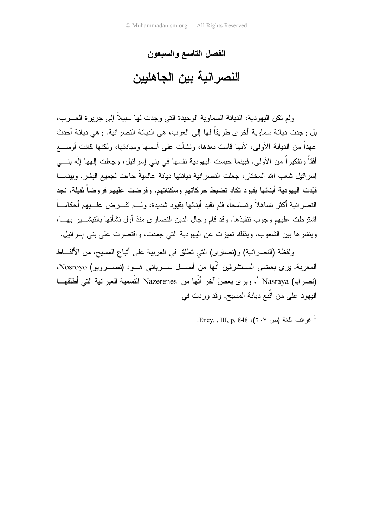## الفصل التاسع والسبعون

النصر انية بين الجاهليين

ولم نكن اليهودية، الديانة السماوية الوحيدة التي وجدت لها سبيلاً إلى جزيرة العــــرب، بل وجدت ديانة سماوية أخرى طريقاً لها إلى العرب، هي الديانة النصر انية. و هي ديانة أحدث عهداً من الدبانة الأولى، لأنها قامت بعدها، ونشأت على أسسها ومبادئها، ولكنها كانت أوســـع أفقاً وتفكيراً من الأولى. فبينما حبست اليهودية نفسها في بني إسرائيل، وجعلت إلهها إلَه بنـــي إسر ائيل شعب الله المختار ، جعلت النصر انية ديانتها ديانة عالميةً جاءت لجميع البشر . وبينمـــا قَيِّدت اليهودية أبنائها بقيود تكاد نضبط حركاتهم وسكناتهم، وفرضت عليهم فروضاً ثقيلة، نجد النصر انية أكثر تساهلاً وتسامحاً، فلم نقيد أبنائها بقيود شديدة، ولـــم تفـــرض علـــبيهم أحكامـــاً اشترطت عليهم وجوب نتفيذها. وقد قام رجال الدين النصارى منذ أول نشأتها بالتبشــــير بهـــا، وبنشرها بين الشعوب، وبذلك نميزت عن اليهودية التي جمدت، واقتصرت على بني إسرائيل.

ولفظة (النصرانية) و(نصارى) التي نطلق في العربية على أتباع المسيح، من الألفاط المعربة. برى بعضى المستشرفين أنّها من أصـــل ســـربانى هـــو: (نصـــرويو) Nosroyo، (نصرايا) Nasraya `، ويرى بعضٌ آخر أنّها من Nazerenes التّسمية العبرانية التي أطلقهــا اليهود على من اتَّبع ديانة المسيح. وقد وردت في

<sup>.</sup> Ency. , III, p. 848 .(۲۰۷ فرائب اللغة (ص ۲۰۷).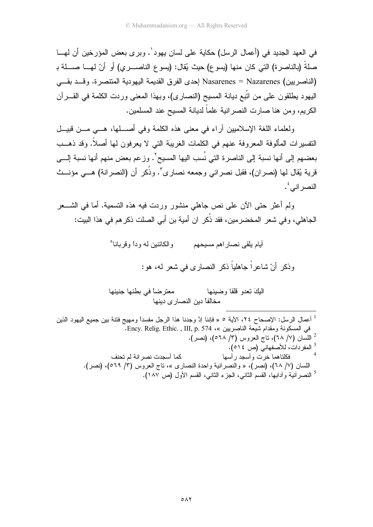في العهد الجديد في (أعمال الر سل) حكاية على لسان يهود`. وبر ي بعض المؤر خين أن لهـــا صلةً (بالناصر ة) التي كان منها (يسو ع) حيث يُقال: (يسو ع الناصـــر ي) أو أنّ لهـــا صــــلة بـ (الناصريين) Nasarenes = Nazarenes إحدى الفرق القديمة اليهودية المنتصرة. وقــد بقـــى اليهود يطلقون على من انبع ديانة المسيح (النصاري)، وبهذا المعنى وردت الكلمة في القـــرآن الكريم، ومن هنا صارت النصر انية علماً لديانة المسيح عند المسلمين.

ولعلماء اللغة الإسلاميين أراء في معنى هذه الكلمة وفي أصطها، هـــي مـــن قبيـــل النفسيرات المألوفة المعروفة عنهم في الكلمات الغريبة التي لا يعرفون لها أصلاً. وقد ذهــب بعضهم إلى أنها نسبة إلى الناصرة التي نُسب اليها المسيح'. وزعم بعض منهم أنها نسبة إلـــي قرية يُقال لمها (نصر إن)، فقبل نصر إني وجمعه نصار ي". وذُكر ۖ أن (النصر إنة) هـــي مؤنـــث النصر اني ُ.

ولم أعثر حتى الآن على نص جاهلي منشور وردت فيه هذه التسمية. أما في الشـــعر الجاهلي، وفي شعر المخضرمين، فقد ذُكر ان أمية بن أبي الصلت ذكرهم في هذا البيت:

> أيام يلقى نصاراهم مسيحهم والكائنين له و داً و قر بانا ْ وذكر أنّ شاعراً جاهلياً ذكر النصاري في شعر له، هو :

معترضاً في بطنها جنينها البكَ نعدو قلقا وضبنها مخالفاً دبن النصار ي دبنها

<sup>1</sup> أعمال الرسل: الإصحاح ٢٤، الآية ٥ « فإننا إدّ وجدنا هذا الرجل مفسداً ومهيج فتنة بين جميع اليهود الذين في المسكونة ومقدام شيعة الناصريين »، Ency. Relig. Ethic. , III, p. 574.  $^2$  اللسان (٧/ ٦٨)، ناج العروس (٣/ ٦٨)، (نصر).  $^2$ <sup>3</sup> المفردات، للأصفهاني (ص ١٤م).  $\overline{4}$ كما أسحدت نصر انة لم تحنف فكلتاهما خرت وأسحد رأسها اللسان (٧/ ٦٨)، (نصر)، « والنصرانية واحدة النصاري »، ناج العروس (٣/ ٥٦٩)، (نصر). <sup>5</sup> النصر أنية و أدابها، القسم الثاني، الجزء الثاني، القسم الأول (ص ١٨٧).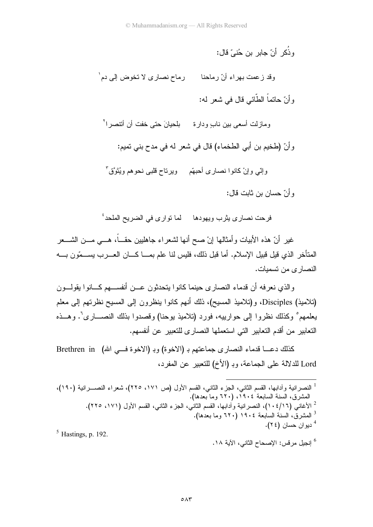و ذُكر أنّ حادر بن جُنبٍّ قال: وقد زعمت بهراء أنّ رماحنا رماح نصارى لا تخوض إلى دم ٰ و أنّ حاتماً الطّائي قال في شعر له: ومازلت أسعى بين نابٍ ودارة مع بلحيانَ حتى خفت أن أتتصر ا<sup>٢</sup> وأنّ (طخيم بن أبي الطخماء) قال في شعر له في مدح بني تميم: وإِنِّي وإِنْ كانوا نصاري أَحبهَّم ﴿ وَيَرْتَاحُ قَلْبِي نَحوهُمْ وَيُتَوَّقَّ و أنّ حسان بن ثابت قال:

فرحت نصارى بِثرب ويهودها لما توارى في الضريح الملحد<sup>؛</sup>

غير أنّ هذه الأبيات وأمثالها إنْ صح أنها لشعراء جاهليين حقـــاً، هـــي مـــن الشــــعر المتأخر الذي قيل قبيل الإسلام. أما قبل ذلك، فليس لنا علم بمـــا كــــان العــــرب يســـمّون بـــــه النصار ي من تسمبات.

والذي نعرفه أن قدماء النصارى حينما كانوا بتحدثون عـــن أنفســـهم كـــانوا يقولـــون (تلاميذ) Disciples، و(تلاميذ المسيح)، ذلك أنهم كانوا بنظرون إلى المسيح نظرتهم إلى معلم يعلمهم ْ وكذلك نظروا إلى حوارييه، فورد (تلاميذ يوحنا) وقصدوا بذلك النصـــاري'. وهـــذه التعابير من أقدم التعابير التي استعملها النصارى للتعبير عن أنفسهم.

كذلك دعـــا قدماء النصاري جماعتهم بـ (الاخوة) وبـ (الاخوة فـــي الله) Brethren in Lord للدلالة على الجماعة، وبـ (الأخ) للتعبير عن المفرد،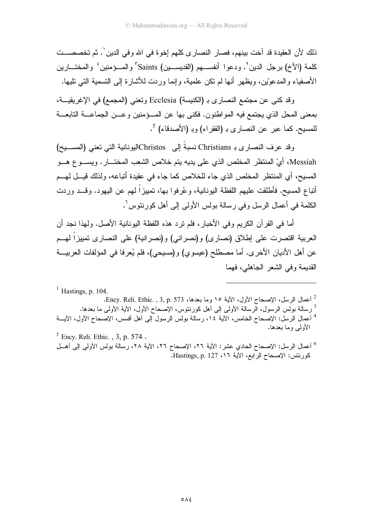ذلك لأن العقيدة قد آخت بينهم، فصار النصار ي كلهم إخو ة في الله و في الدين '. ثم تخصصـــت كلمة (الأخ) برجل الدين ْ. ودعوا أنفســهم (القديســين) Saints ْ والمـــؤمنين ٔ والمختـــارين الأصفياء والمدعوِّين، ويظهر أنها لم نكن علمية، وإنما وردت للأشارة إلى التسمية التي تليها.

وقد كني عن مجتمع النصاري بـ (الكنيسة) Ecclesia وتعني (المجمع) في الإغريقيـــة، بمعنى المحل الذي يجتمع فيه المواطنون. فكني بها عن المــؤمنين وعــن الجماعـــة التابعـــة للمسيح. كما عبر عن النصارى بـ (الفقراء) وبـ (الأصدقاء) <sup>5</sup>.

وقد عرف النصاري بـ Christians نسبةً إلى Christosكاليونانية التي تعني (المســـبح) Messiah، أيْ المنتظر المخلص الذي على بديه بِنم خلاص الشعب المختـــار . ويســـو ع هـــو المسيح، أي المنتظر المخلص الذي جاء للخلاص كما جاء في عقيدة أنباعه، ولذلك قيـــل لمهـــم أتباع المسيح. فأطلقت عليهم اللفظة اليونانية، وعُرفوا بـها، تمييزاً لـهم عن اليـهود. وقـــد وردت الكلمة في أعمال الرسل وفي رسالة بولس الأولى إلى أهل كورنتوس`.

أما في القر آن الكريم وفي الأخبار ، فلم نرد هذه اللفظة البونانية الأصل. ولهذا نجد أن العربية اقتصرت على إطلاق (نصارى) و(نصراني) و(نصرانية) على النصارى نمييزاً لهــم عن أهل الأديان الأخرى. أما مصطلح (عيسوي) و(مسيحي)، فلم يُعرفا في المؤلفات العربيـــة القديمة وفي الشعر الجاهلي، فهما

 $<sup>1</sup>$  Hastings, p. 104.</sup> <sup>2</sup> أعمال الرسل، الإصحاح الأول، الآية ١٥ وما بعدها، 573 .Ency. Reli. Ethic. , 3, p. <sup>3</sup> رسالة بولس الرسول، الرسالة الأولى إلى أهل كورنتوس، الإصحاح الأول، الأية الأولى ما بعدها. <sup>4</sup> أعمال الرسل: الإصحاح الخامس، الأبية ١٤، رسالة بولس الرسول إلى أهل أفسس، الإصحاح الأول، الأبـــة الأولى وما بعدها.  $<sup>5</sup>$  Ency. Reli. Ethic., 3, p. 574.</sup>

<sup>6</sup> أعمال الرسل: الإصحاح الحادي عشر: الآية ٢٦، الإصحاح ٢٦، الآية ٢٨، رسالة بولس الأولى إلى أهــل كورنتس: الإصحاح الرابع، الآية ١٦، Hastings, p. 127.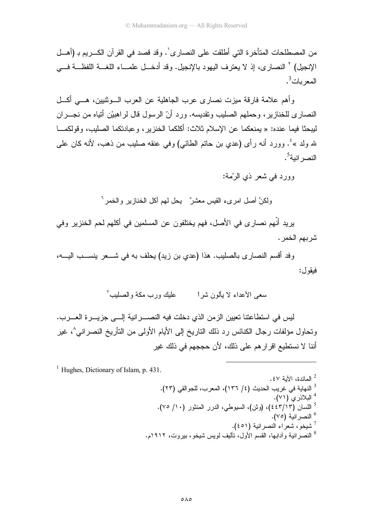من المصطلحات المتأخر ة التي أطلقت على النصار ي`. وقد قصد في القر آن الكـــر بم بـ (أهـــل الإنجيل) ` النصار ي، إذ لا يعتز ف اليهود بالإنجيل. وقد أدخـــل علمـــاء اللغـــة اللفظـــة فــــى المعربات<sup>3</sup>.

وأهم علامة فارقة ميزت نصارى عرب الجاهلية عن العرب الـــوثنيين، هــــي أكـــل النصاري للخنازير ، وحملهم الصليب وتقديسه. ورد أنّ الرسول قال لراهبيْن أنّياه من نجـــران ليبحثًا فيما عنده: « يمنعكما عن الإسلام ثلاث: أكلكما الخنزير، وعبادتكما الصليب، وقولكمـــا لله ولد »<sup>؛</sup>. وورد أنه رأى (عدي بن حاتم الطائبي) وفي عنقه صليب من ذهب، لأنه كان علمي النصر انبة<sup>5</sup>.

وورد في شعر ذي الرّمة:

ولكنَّ أصل امرىء القيس معشرٌ يحل لمهم أكل الخنازير والخمر `

يريد أنّهم نصـار ي في الأصل، فهم يختلفون عن المسلمين في أكلهم لحم الخنزير وفي شر بهم الخمر .

وفد أقسم النصارى بالصليب. هذا (عدي بن زيد) يحلف به في شــــعر ينســـب اليــــه، فبقو ل:

سعى الأعداء لا يألون شراً عليك ورب مكة والصليب لا

ليس في استطاعتنا تعيين الزمن الذي دخلت فيه النصـــــرانية إلــــي جزيــــرة العــــرب. وتحاول مؤلفات رجال الكنائس رد ذلك الناريخ إلى الأيام الأولى من النأريخ النصر اني^، غير أننا لا نستطيع اقر ار هم على ذلك، لأن حججهم في ذلك غير

 $<sup>1</sup>$  Hughes, Dictionary of Islam, p. 431.</sup>

الصائدة، الآية ٤٧ . <sup>3</sup> النهاية في غريب الحديث (٤/ ١٣٦)، المعرب، للجوالقي (٢٣). <sup>4</sup> البلاذري (٧١). <sup>5</sup> اللسان (٤٤٣/١٣)، (وثن)، السيوطي، الدرر المنثور (١٠/ ٧٥). <sup>6</sup> النصر انية (٧٥). <sup>7</sup> شيخو ، شعر اء النصر انية (٤٥١). <sup>8</sup> النصر انية و أدابـها، القسم الأول، نأليف لويس شيخو ، بيروت، ١٩١٢م.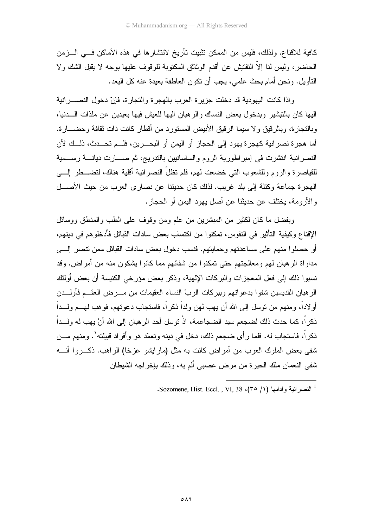كافية للاقناع. ولذلك، فليس من الممكن تثبيت تأريخ لانتشارها في هذه الأماكن فـــي الـــزمن الحاضر، وليس لنا إلاَّ النفنيش عن أقدم الوثائق المكتوبة للوقوف عليها بوجه لا يقبل الشك ولا النَّاوِيلِ. ونحن أمام بحث علمي، يجب أن نكون العاطفة بعيدة عنه كل البعد.

وإذا كانت اليهودية قد دخلت جزيرة العرب بالهجرة والنجارة، فإنّ دخول النصــــرانية اليها كان بالنتبشير وبدخول بعض النساك والرهبان اليها للعيش فيها بعيدين عن ملذات السدنيا، وبالنجارة، وبالرقيق ولا سيما الرقيق الأبيض المستورد من أقطار كانت ذات نقافة وحضـــارة. أما هجرة نصر انية كهجرة يهود إلى الحجاز أو اليمن أو البحـــرين، فلـــم تحـــدث، ذلـــك لأن النصرانية انتشرت في إمبراطورية الروم والساسانيين بالندريج، ثم صـــارت ديانــــة رســـمية للقياصرة والروم وللشعوب التبي خضعت لمهم، فلم تظلُّ النصر انية أقلية هناك، لتضــــطر الِــــي الهجرة جماعة وكتلة إلى بلد غريب. لذلك كان حديثنا عن نصاري العرب من حيث الأصـــل و الأر ومة، بختلف عن حدبثنا عن أصل بـهود البمن أو الحجاز .

وبفضل ما كان لكثير من المبشرين من علم ومن وقوف على الطب والمنطق ووسائل الإقناع وكيفية التأثير في النفوس، تمكنوا من اكتساب بعض سادات القبائل فأدخلوهم في دينهم، أو حصلوا منهم على مساعدتهم وحمايتهم. فنسب دخول بعض سادات القبائل ممن نتصر إلــــي مداو اة الر هبان لمهم و معالجتهم حتى تمكنو ا من شفائهم مما كانو ا يشكون منه من أمر اض. وقد نسبو ا ذلك إلى فعل المعجز ات و البر كات الإلهية، و ذكر بعض مؤر خي الكنبسة أن بعض أو لئك الر هبان القديسين شفو ا بدعو اتهم و بير كات الر بِّ النساء العقيمات من مـــر ض العقـــم فأو لــــدن أو لاداً، و منهم من نوسل إلى الله أن يهب لهن ولداً ذكر اً، فاستجاب دعو تهم، فو هب لهـــم و لـــداً ذكر اً، كما حدث ذلك لضجعم سيد الضجاعمة، اذْ توسل أحد الرهبان إلى الله أنْ يهب له ولـــداً ذكر اً، فاستجاب له. فلما ر أي ضجعم ذلك، دخل في دينه وتعمّد هو وأفر اد قبيلته'. ومنهم مــــن شفي بعض الملوك العرب من أمراض كانت به مثل (مارايشو عزخا) الراهب. ذكـــروا أنــــه شفي النعمان ملك الحيرة من مرض عصببي ألم به، وذلك بإخراجه الشيطان

<sup>1</sup> النصر انبة و أدابها (1/ ٣٥)، Sozomene, Hist. Eccl., VI, 38.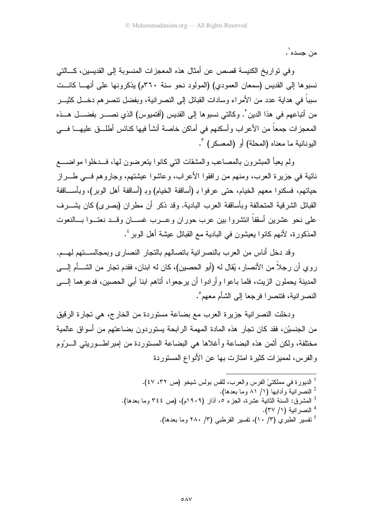من حسده .

وفي تواريخ الكنيسة قصص عن أمثال هذه المعجزات المنسوبة إلى القديسين، كـــالتي نسبوها إلى القديس (سمعان العمودي) (المولود نحو سنة ٣٦٠م) يذكرونها على أنهــا كانــت سبباً في هداية عدد من الأمراء وسادات القبائل إلى النصر انية، وبفضل نتصر هم دخـــل كثيـــر من أتباعهم في هذا الدين ٌ. وكالتي نسبوها إلى القديس (أفتميوس) الذي نصـــــــر بفضـــــل هــــذه المعجزات جمعاً من الأعراب وأسكنهم في أماكن خاصة أنشأ فيها كنائس أطلـــق عليهــــا فــــي البونانية ما معناه (المحلة) أو (المعسكر) ".

ولم يعبأ المبشرون بالمصاعب والمشقات التي كانوا يتعرضون لمها، فـــدخلوا مواضــــع نائية في جزيرة العرب، ومنهم من رافقوا الأعراب، وعاشوا عيشتهم، وجاروهم فـــي طــــراز حياتهم، فسكنوا معهم الخيام، حتى عرفوا بـ (أساقفة الخيام) وبـ (أساقفة أهل الوبر)، وبأســـاقفة القبائل الشرقية المتحالفة وبأساقفة العرب البادية. وقد ذكر أن مطران (بصرى) كان يشـــرف على نحو عشرين أسقفاً انتشروا بين عرب حوران وعـــرب غســــان وقـــد نعتـــوا بـــالنعوت المذكورة، لأنهم كانوا يعيشون في البادية مع القبائل عيشة أهل الوبر '.

وقد دخل أناس من العرب بالنصر انية بانصالهم بالتجار النصارى وبمجالستهم لهـم. روي أن رجلاً من الأنصار ، يُقال له (أبو الحصين)، كان له ابنان، فقدم تجار من الشـــأم إلــــي المدينة بحملون الزيت، فلما باعوا وأرادوا أن يرجعوا، أتاهم ابنا أبي الحصين، فدعوهما إلـــي النصر انية، فتتصر ا فرجعا إلى الشأم معهم ْ.

ودخلت النصرانية جزيرة العرب مع بضاعة مستوردة من الخارج، هي تجارة الرقيق من الجنسيْن، فقد كان تجار هذه المادة المهمة الرابحة يستوردون بضاعتهم من أسواق عالمية مختلفة، ولكن أثمن هذه البضاعة وأغلاها هي البضاعة المستوردة من إمبراطـــوريتـي الـــروم والفرس، لمميزات كثيرة امتازت بها عن الأنواع المستوردة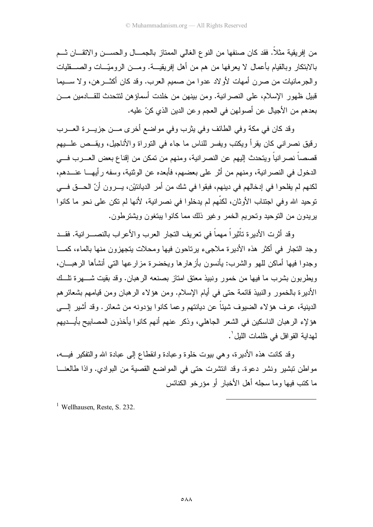من إفريقية مثلاً. فقد كان صنفها من النوع الغالمي الممتاز بالجمـــال والحســـن والاتقـــان شــم بالابتكار وبالقيام بأعمال لا يعرفها من هم من أهل إفريقيـــة. ومـــن الروميّـــات والصــــقليات والجرمانيات من صرن أمهات لأولاد عدوا من صميم العرب. وقد كان أكثـــرهن، ولا ســــيما قبيل ظهور الإسلام، على النصر انية. ومن بينهن من خلدت أسماؤهن لتتحدث للقـــادمين مـــن بعدهم من الأجيال عن أصولهن في العجم و عن الدين الذي كنّ عليه.

وقد كان في مكة وفي الطائف وفي يثرب وفي مواضع أخرى مـــن جزيـــرة العـــرب رقيق نصراني كان يقرأ ويكتب ويفسر للناس ما جاء في النوراة والأناجيل، ويقــص علـــبيم قصصـاً نصر انياً ويتحدث إليهم عن النصر انية، ومنهم من تمكن من إقناع بعض العـــرب فــــى الدخول في النصر انية، ومنهم من أثر على بعضهم، فأبعده عن الوثنية، وسفه رأيهـــا عنـــدهم، لكنهم لم يفلحوا في إدخالهم في دينهم، فبقوا في شك من أمر الديانتيْن، يـــرون أنّ الحـــق فـــي توحيد الله و في اجتناب الأو ثان، لكنَّهم لم يدخلو ا في نصر انبة، لأنها لم تكن على نحو ٍ ما كانو ا يريدون من التوحيد وتحريم الخمر وغير ذلك مما كانوا بيتغون ويشترطون.

وقد أثرت الأديرة تأثيراً مهماً في تعريف التجار العرب والأعراب بالنصـــرانية. فقــد وجد النجار في أكثر هذه الأديرة ملاجيء برناحون فيها ومحلات بتجهزون منها بالماء، كمـــا وجدوا فيها أماكن للهو والشرب: يأنسون بأز هار ها ويخضر ة مز ار عها التي أنشأها الر هيـــان، وبطريون بشرب ما فيها من خمور ونبيذ معتق امتاز بصنعه الرهبان. وقد بقيت شـــهر ة تلّــك الأدير ة بالخمور والنبيذ قائمة حتى في أيام الإسلام. ومن هؤ لاء الر هبان ومن قيامهم بشعائر هم الدينية، عر ف هؤ لاء الضيوف شيئاً عن ديانتهم و عما كانو ا يؤدونه من شعائر . وقد أشير السبي هؤلإء الرهبان الناسكين في الشعر الجاهلي، وذكر عنهم أنهم كانوا يأخذون المصابيح بأيـــديهم لهداية القو افل في ظلمات الليل ٰ.

وقد كانت هذه الأديرة، وهي بيوت خلوة وعبادة وانقطاع إلى عبادة الله والتفكير فيــــه، مواطن نبشير ونشر دعوة. وقد انتشرت حتى في المواضع القصية من البوادي. وإذا طالعنـــا ما كنب فيها وما سجله أهل الأخبار أو مؤرخو الكنائس

<sup>1</sup> Wellhausen, Reste, S. 232.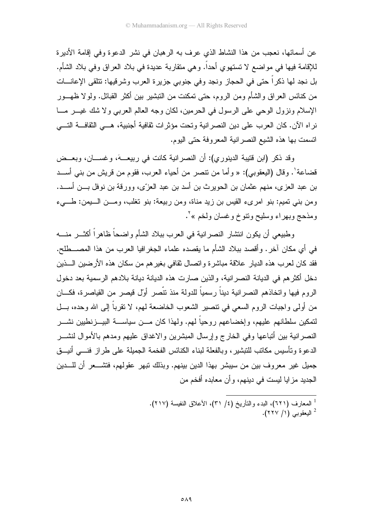عن أسمائها، نعجب من هذا النشاط الذي عر ف به الر هبان في نشر الدعو ة و في إقامة الأدير ة للإقامة فيها في مواضع لا تستهوي أحداً. وهي متقاربة عديدة في بلاد العراق وفي بلاد الشأم. بل نجد لها ذكر اً حتى في الحجاز ونجد وفي جنوبي جزيرة العرب وشرقيها: تتلقى الإعانـــات من كنائس العراق والشأم ومن الروم، حتى تمكنت من النبشير بين أكثر القبائل. ولولا ظهـــور الإسلام ونزول الوحي على الرسول في الحرمين، لكان وجه العالم العربي ولا شك غيـــر مـــا نراه الآن. كان العرب على دين النصرانية وتحت مؤثرات ثقافية أجنبية، هـــي الثقافـــة التـــي انسمت بها هذه الشيع النصر انية المعروفة حتى اليوم.

وقد ذكر (ابن قتيبة الدينوري): أن النصر انية كانت في ربيعـــهَ، وغســـان، وبعــض قضاعة'. وقال (اليعقوبي): « وأما من نتصر من أحياء العرب، فقوم من قريش من بنبي أســـد بن عبد العز ي، منهم عثمان بن الحويرث بن أسد بن عبد العزِّي، وورفَّة بن نوفل بـــن أســـد. ومن بني نميم: بنو امريء القيس بن زيد مناة، ومن ربيعة: بنو تغلب، ومـــن الـــيمن: طـــيء ومذحج وبهراء وسليح ونتوخ وغسان ولخم »'.

وطبيعي أن يكون انتشار النصرانية في العرب ببلاد الشأم واضحاً ظاهراً أكثـــر منــــه في أي مكان آخر . وأقصد ببلاد الشأم ما يقصده علماء الجغرافيا العرب من هذا المصـــطلح. فقد كان لعر ب هذه الديار علاقة مباشر ة و اتصال ثقافي بغير هم من سكان هذه الأر ضين الــــذين دخل أكثر هم في الدبانة النصر انبة، والذبن صار ت هذه الدبانة دبانة بلادهم الر سمبة بعد دخول الر و م فيها و اتخاذهم النصر انية ديناً ر سمياً للدولة منذ نتَّصر أوَّل قيصر من القياصر ة، فكـــان من أولى واجبات الروم السعى في تنصبر الشعوب الخاضعة لهم، لا نقرباً إلى الله وحده، بـــل لتمكين سلطانهم عليهم، وإخضاعهم روحياً لمهم. ولمهذا كان مـــن سياســــة البيـــزنطيين نشـــر النصرانية بين أتباعها وفي الخارج وإرسال المبشرين والاغداق عليهم ومدهم بالأموال لنشـــر الدعوة ونأسيس مكانب للنبشير، وبالفعلة لبناء الكنائس الفخمة الجميلة على طراز فنسى أنيسق جميل غير معروف بين من سيبشر بهذا الدين بينهم. وبذلك نبهر عقولهم، فتشـــعر أن للــــدين الجديد مز ايا ليست في دينهم، و أن معابده أفخم من

<sup>1</sup> المعارف (٦٢١)، البدء والنَّاريخ (٤/ ٣١)، الأعلاق النفيسة (٢١٧). - البعقوبي (١/ ٢٢٧).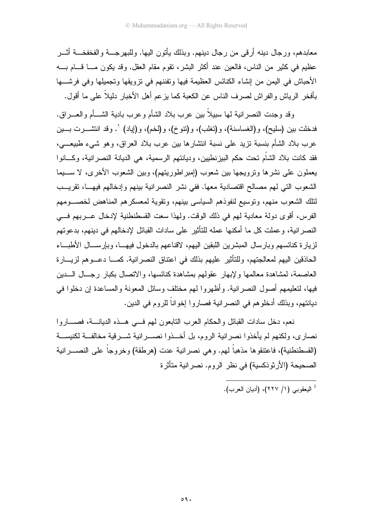معابدهم، ور جال دينه أر قي من ر جال دينهم. وبذلك يأتون اليها. وللبهر جــــة و الفخفخــــة أثـــر عظيم في كثير من الناس، فالعين عند أكثر البشر، نقوم مقام العقل. وقد يكون مـــا قـــام بــــه الأحباش في اليمن من إنشاء الكنائس العظيمة فيها ونفننهم في نزويقها ونجميلها وفي فرشـــها بأفخر الرياش والفراش لصرف الناس عن الكعبة كما بزعم أهل الأخبار دلبلاً على ما أقول.

وقد وجدت النصر انية لمها سبيلاً بين عرب بلاد الشأم وعرب بادية الشـــأم والعــــراق. فدخلت بين (سليح)، و(الغساسنة)، و(تغلب)، و(نتوخ)، و(لخم)، و(إياد) `. وقد انتشــــرت بــــين عرب بلاد الشأم بنسبة نزيد على نسبة انتشارها بين عرب بلاد العراق، وهو شيء طبيعـــي، فقد كانت بلاد الشأم تحت حكم البيز نطيين، وديانتهم الرسمية، هي الديانة النصر انية، وكسانو ا يعملون على نشرها ونرويجها بين شعوب (إمبراطوريتهم)، وبين الشعوب الأخرى، لا ســــيما الشعوب التي لهم مصالح اقتصادية معها. ففي نشر النصر انية بينهم وإدخالهم فيهــا، نقريــب لتلك الشعوب منهم، وتوسيع لنفوذهم السياسي بينهم، وتقوية لمعسكرهم المناهض لخصـــومهم الفرِ س، أقوى دولة معادية لهم في ذلك الوقت. ولهذا سعت القسطنطنية لإدخال عب يهم في النصر انية، وعملت كل ما أمكنها عمله للتأثير على سادات القبائل لإدخالهم في دينهم، بدعوتهم لزيارة كنائسهم وبارسال المبشرين اللبقين اليهم، لاقناعهم بالدخول فيهــا، وبإرســـال الأطبـــاء الحاذقين اليهم لمعالجتهم، وللتأثير عليهم بذلك في اعتناق النصر انية. كمـــا دعـــوهم لزيــــارة العاصمة، لمشاهدة معالمها ولإبهار عقولهم بمشاهدة كنائسها، والانصال بكبار رجــال الـــدين فيها، لتعليمهم أصول النصر انية. وأظهروا لهم مختلف وسائل المعونة والمساعدة إن دخلوا في ديانتهم، وبذلك أدخلوهم في النصر انية فصاروا إخواناً للروم في الدين.

نعم، دخل سادات القبائل والحكام العرب النابعون لهم فسي هــذه الديانـــة، فصــــاروا نصاري، ولكنهم لم يأخذوا نصرانية الروم، بل أخــذوا نصـــرانية شـــرقية مخالفــة لكنيســة (القسطنطنية)، فاعتنقوها مذهباً لمهم. وهي نصرانية عدت (هرطقة) وخروجاً على النصــــرانية الصحيحة (الأرثوذكسية) في نظر الروم. نصر انية متأثرة

<sup>1</sup> البعقوبي (١/ ٢٢٧)، (أدبان العرب).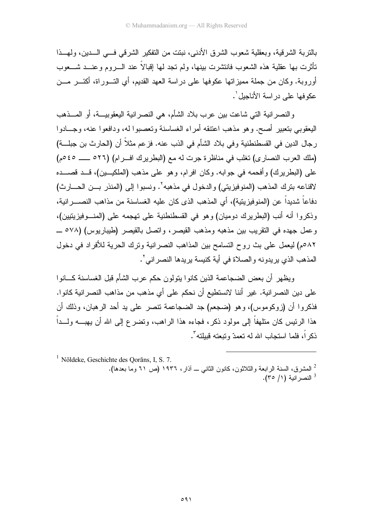بالتربة الشرقية، وبعقلية شعوب الشرق الأدنبي، نبتت من التفكير الشرقي فسي السدين، ولمهــذا تأثرت بها عقلية هذه الشعوب فانتشرت بينها، ولم تجد لها إقبالاً عند الــــروم وعنــــد شــــعوب أوروبة. وكان من جملة مميز اتها عكوفها على در اسة العهد القديم، أي التـــور اة، أكتـــر مـــن عكوفها على در اسة الأناجبل '.

والنصر انية التي شاعت بين عرب بلاد الشأم، هي النصر انية اليعقوبيـــة، أو المـــذهب اليعقوبي بنعبير أصح. وهو مذهب اعنتقه أمراء الغساسنة ونعصبوا له، ودافعوا عنه، وجـــادوا رجال الدين في القسطنطنية وفي بلاد الشأم في الذب عنه. فزعم مثلاً أن (الحارث بن جبلـــة) (ملك العرب النصارى) تغلب في مناظرة جرت له مع (البطريرك افـرام) (٢٦م ـــــ ٤٥م) على (البطريرك) وأفحمه في جوابه. وكان افرام، وهو على مذهب (الملكيــين)، قــد قصـــده لاقناعه بنرك المذهب (المنوفيزيتي) والدخول في مذهبه٬ ونسبوا إلى (المنذر بــن الحـــارث) دفاعاً شديداً عن (المنوفيزينيّة)، أي المذهب الذي كان عليه الغساسنة من مذاهب النصـــر انية، وذكروا أنه أنب (البطريرك دوميان) وهو في القسطنطنية على تهجمه على (المنسوفيزينيين)، و عمل جهده في النقريب بين مذهبه ومذهب القيصر ، واتصل بالقيصر (طيباريوس) (٥٧٨ ــ ٨٢مم) ليعمل على بث روح التسامح بين المذاهب النصر انية وترك الحرية للأفراد في دخول المذهب الذي يريدونه والصلاة في أية كنيسة يريدها النصراني'.

وبظهر أن بعض الضجاعمة الذين كانوا بتولون حكم عرب الشأم قبل الغساسنة كسانوا على دين النصر انية. غير أننا لانستطيع أن نحكم على أي مذهب من مذاهب النصر انية كانو ا. فذكر و ا أن (ز وكوموس)، و هو (ضجعم) جد الضجاعمة تتصر على يد أحد الر هبان، وذلك أن هذا الرئيس كان منلهفاً إلى مولود ذكر، فجاءه هذا الراهب، وتضرع إلى الله أن يهبـــه ولـــداً ذكر اً، فلما استجاب الله له تعمدّ وتبعته قببلته".

 $1$  Nöldeke, Geschichte des Qorāns, I, S. 7. <sup>2</sup> المشرق، السنة الرابعة والثلاثون، كانون الثانبي ـــ أذار، ١٩٣٦ (ص ٦١ وما بعدها). <sup>3</sup> النصر انية (١/ ٣٥).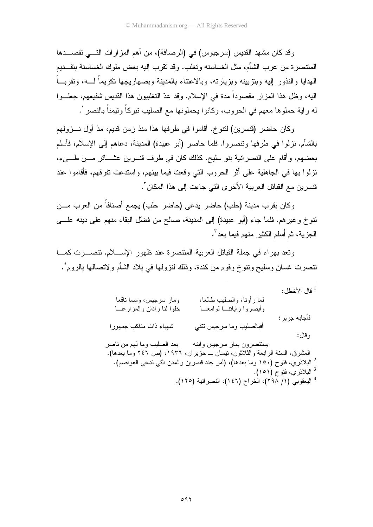وقد كان مشهد القديس (سرجيوس) في (الرصافة)، من أهم المزارات التسي تقصـــدها المتنصر ة من عرب الشأم، مثل الغساسنه وتغلب. وقد تقرب إليه بعض ملوك الغساسنة بتقـــديم الهدايا والنذور إليه وبنزيينه وبزيارته، وبالاعتناء بالمدينة وبصهاريجها نكريماً لـــه، وتقربـــاً اليه، وظل هذا المزار مقصوداً مدة في الإسلام. وقد عدّ التغلبيون هذا القديس شفيعهم، جعلــوا له راية حملوها معهم في الحروب، وكانوا يحملونها مع الصليب تبركاً وتيمناً بالنصر '.

وكان حاضر (قنسرين) لنتوخ. أقاموا في طرفها هذا منذ زمن قديم، مذ أول نـــزولهم بالشأم. نزلوا في طرفها ونتصروا. فلما حاصر (أبو عبيدة) المدينة، دعاهم إلى الإسلام، فأسلم بعضهم، وأقام على النصرانية بنو سليح. كذلك كان في طرف قنسرين عشـــائر مـــن طـــيء، نزلوا بها في الجاهلية على أثر الحروب التي وقعت فيما بينهم، واستدعت تفرقهم، فأقاموا عند قنسر بن مع القبائل العربية الأخر ي التي جاءت إلى هذا المكان ".

وكان بقرب مدينة (حلب) حاضر يدعى (حاضر حلب) يجمع أصنافاً من العرب مـــن نتوخ وغيرهم. فلما جاء (أبو عبيدة) إلى المدينة، صالح من فضلَّ البقاء منهم على دينه علـــى الجزية، ثم أسلم الكثير منهم فيما بعد ".

وتعد بهراء في جملة القبائل العربية المنتصرة عند ظهور الإسلام. نتصـــرت كمـــا نتصرت غسان وسليح ونتوخ وقوم من كندة، وذلك لنزولها في بلاد الشأم ولاتصالها بالروم ٔ.

|                             |                                                                                | قال الأخطل:                        |
|-----------------------------|--------------------------------------------------------------------------------|------------------------------------|
| ومار سرجيس، وسما ناقعا      | لما رأونا، والصليب طالعا،                                                      |                                    |
| خلوا لنا راذان والمزارعــا  | وأبصروا رايانتسا لوامعسا                                                       | فأجابه جرير :                      |
| شهباء ذات مناكب جمهورا      | أفبالصليب وما سرجيس نتقي                                                       |                                    |
|                             |                                                                                | وقال:                              |
| بعد الصليب وما لمهم من ناصر | يستتصرون بمار سرجيس وابنه                                                      |                                    |
| ١٩٣٦، (ص ٢٤٦ وما بعدها).    | المشرق، السنة الرابعة والثلاثون، نيسان ـــ حزيران،                             |                                    |
|                             | لْـ البلاذري، فتوح (١٥٠ وما بعدها)، (أمر جند قنسرين والمدن التي تدعى العواصم). |                                    |
|                             |                                                                                | <sup>3</sup> البلاذري، فتوح (١٥١). |
|                             | <sup>4</sup> اليعقوبي (١/ ٢٩٨)، الخراج (١٤٦)، النصرانية (١٢٥).                 |                                    |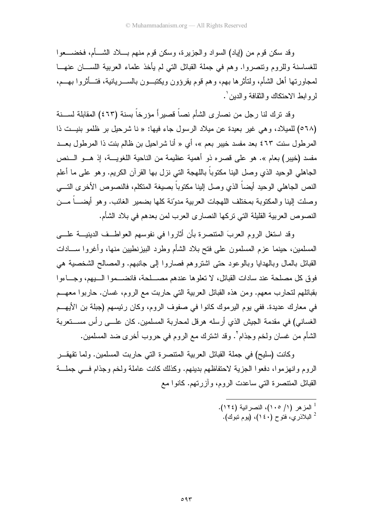وقد سكن قوم من (إياد) السواد والجزيرة، وسكن قوم منهم بـــلاد الشــــأم، فخضــــعوا للغساسنة وللروم ونتصروا. وهم في جملة القبائل التي لم يأخذ علماء العربية اللســـان عنهـــا لمجاورتها أهل الشأم، ولنأثرها بهم، وهم قوم بقرؤون ويكتبـــون بالســــريانية، فتـــأثروا بـهـــم، لر و ابط الاحتكاك و النقافة و الدبن '.

وقد نزك لنا رجل من نصارى الشأم نصاً قصيراً مؤرخاً بسنة (٤٦٣) المقابلة لســـنة (٥٦٨) للميلاد، وهي غير بعيدة عن ميلاد الرسول جاء فيها: « نا شرحيل بر ظلمو بنيــت ذا المرطول سنت ٤٦٣ بعد مفسد خيبر بعم »، أي « أنا شراحيل بن ظالم بنت ذا المرطول بعــد مفسد (خيبر) بعام ». هو على قصره ذو أهمية عظيمة من الناحية اللغويـــة، إذ هـــو الـــنص الجاهلـي الوحيد الذي وصل الينا مكتوباً باللـهجة التـي نزل بـها القرآن الكريم. وهو علـي ما أعلم النص الجاهلي الوحيد أيضاً الذي وصل إلينا مكتوباً بصيغة المتكلم، فالنصوص الأخرى التسي وصلت البنا و المكتوبة بمختلف اللهجات العربية مدوّنة كلها بضمبر الغائب. وهو أبضــــاً مـــز، النصوص العربية القليلة التي تركها النصاري العرب لمن بعدهم في بلاد الشأم.

وقد استغل الروم العربَ المنتصرة بأن أثاروا في نفوسهم العواطــف الدينيـــة علـــي المسلمين، حينما عزم المسلمون على فتح بلاد الشأم وطرد البيزنطيين منها، وأغروا ســـادات القبائل بالمال وبالهدايا وبالوعود حتى اشتروهم فصاروا إلى جانبهم. والمصالح الشخصية هي فوق كل مصلحة عند سادات القبائل، لا تعلو ها عندهم مصــــلحة، فانضـــمو ا الـــبهم، وجـــاءو ا بقبائلهم لتحار ب معهم. ومن هذه القبائل العربية التي حاربت مع الروم، غسان. حاربوا معهــم في معارك عديدة. ففي يوم اليرموك كانوا في صفوف الروم، وكان رئيسهم (جبلة بن الأيهــم الغساني) في مقدمة الجيش الذي أرسله هرقل لمحاربة المسلمين. كان علـــي رأس مســـتعربة الشَّام من غسان ولخم وجذام ْ. وقد اشترك مع الروم في حروب أخرى ضد المسلمين.

وكانت (سليح) في جملة القبائل العربية المتنصرة التي حاربت المسلمين. ولما نقهقـــر الروم وانهزموا، دفعوا الجزية لاحتفاظهم بدينهم. وكذلك كانت عاملة ولخم وجذام فسي جملة القبائل المنتصرة التي ساعدت الروم، وأزرتهم. كانوا مع

> <sup>1</sup> المز هر (١/ ١٠٥)، النصر انية (١٢٤).  $^{2}$  البلاذر ي، فتوح (١٤٠)، (بو م نبوك).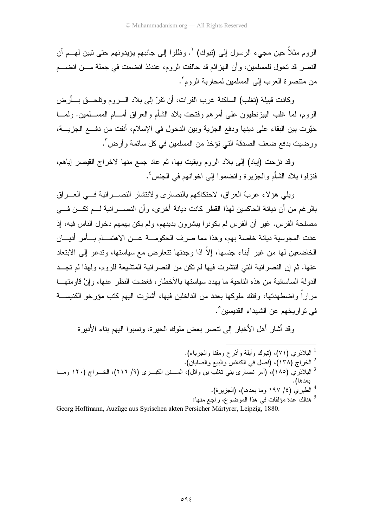الروم مثلاً حين مجيء الرسول إلى (تبوك) `. وظلوا إلى جانبهم يؤيدونهم حتى تبين لهـــم أن النصر قد تحول للمسلمين، وأن الهزائم قد حالفت الروم، عندئذ انضمت في جملة مـــن انضــــم من متنصر ة العرب إلى المسلمين لمحاربة الروم".

وكادت قبيلة (تغلب) الساكنة غرب الفرات، أن تفرّ إلى بلاد الـــــروم وتلحــــق بــــأرض الروم، لما غلب البيزنطيون على أمرهم وفنحت بلاد الشأم والعراق أمـــام المســـلمين. ولمـــا خيّرت بين البقاء على دينها ودفع الجزية وبين الدخول في الإسلام، أنفت من دفــع الجزيــــة، ورضيت بدفع ضعف الصدقة التي تؤخذ من المسلمين في كل سائمة وأرض ".

وقد نزحت (اياد) إلى بلاد الروم وبقيت بها، ثم عاد جمع منها لاخراج القيصر إياهم، فنز لو ا بلاد الشأم و الجزير ة و انضمو ا إلى اخو انهم في الجنس ُ .

وبلِّي هؤ لاء عربُ العراق، لاحتكاكهم بالنصار ي و لانتشار النصب انبة في العب اق بالر غم من أن دبانة الحاكمبن لهذا القطر كانت دبانة أخر ي، و أن النصــــر انبة لــــم تكـــن فــــي مصلحة الفرس. غير أن الفرس لم يكونوا ببشرون بدينهم، ولم يكن يهمهم دخول الناس فيه، إذ عدت المجوسية ديانة خاصة بهم، و هذا مما صر ف الحكومـــة عـــن الاهتمـــام بـــأمر أديـــان الخاضعين لمها من غير أبناء جنسها، إلاّ اذا وجدتها نتعار ض مع سياستها، وتدعو إلى الابتعاد عنها. ثم إن النصر انية التي انتشرت فيها لم تكن من النصر انية المتشيعة للروم، ولهذا لم تجــد الدولة الساسانية من هذه الناحية ما بهدد سباستها بالأخطار ، فغضت النظر عنها، وإنْ قاومتهــا مر ار اً و اضطهدتها، وفتك ملوكها بعدد من الداخلين فيها، أشار ت اليهم كتب مؤر خو الكنيســـة في تو اريخهم عن الشهداء القديسين °.

وقد أشار أهل الأخبار إلى نتصر بعض ملوك الحيرة، ونسبوا اليهم بناء الأديرة

- <sup>1</sup> البلاذر ي (٧١)، (تبوك وأبلة وأذرح ومقنا والجرباء).
	- ً الخراج (١٣٨)، (فصل في الكنائس والبيع والصلبان).
- <sup>3</sup> البلاذرّي (١٨٥)، (أمر نصّارى بني نغلب بن وائل)، الســـنن الكبـــرى (٩/ ٢١٦)، الخـــراج (١٢٠ ومـــا بعدها).
	- الطبري (٤/ ١٩٧ وما بعدها)، (الجزيرة).

<sup>5</sup> هنالك عدة مؤلفات في هذا الموضوع، راجع منها:

Georg Hoffmann, Auzüge aus Syrischen akten Persicher Märtyrer, Leipzig, 1880.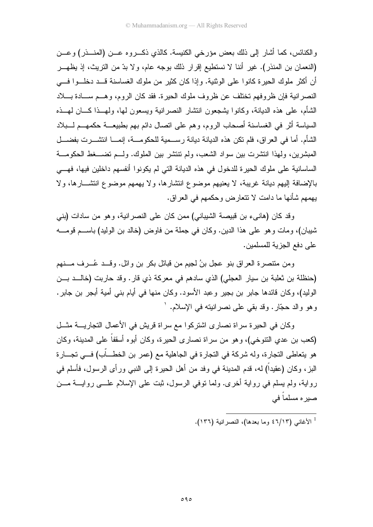والكنائس، كما أشار إلى ذلك بعض مؤرخي الكنيسة. كالذي ذكـــروه عـــن (المنـــذر) وعـــن (النعمان بن المنذر). غير أننا لا نستطيع إقرار ذلك بوجه عام، ولا بدّ من التريث، إذ يظهـــر أن أكثر ٍ ملوك الحير ة كانو ا على الوثنية. وإذا كان كثير ٍ من ملوك الغساسنة قــد دخلــو ا فـــى النصر انية فإن ظروفهم تختلف عن ظروف ملوك الحيرة. فقد كان الروم، وهــم ســـادة بــــلاد الشأم، على هذه الديانة، وكانوا بِشجعون انتشار النصرانية ويسعون لها، ولمهــذا كـــان لمهــذه السياسة أثر في الغساسنة أصحاب الروم، وهم على انصال دائم بهم بطبيعــة حكمهــم لـــبلاد الشَّام. أما في العراق، فلم تكن هذه الديانة ديانة رســمية للحكومـــة، إنمـــا انتشـــرت بفضـــل المبشرين، ولهذا انتشرت بين سواد الشعب، ولم نتنشر بين الملوك. ولــم تضـــغط الحكومـــة الساسانية على ملوك الحيرة للدخول في هذه الديانة التي لم يكونوا أنفسهم داخلين فيها، فهـــي بالإضافة إليهم ديانة غريبة، لا يعنيهم موضوع انتشارها، ولا يهمهم موضوع انتشـــارها، ولا يهمهم شأنها ما دامت لا نتعارض وحكمهم في العراق.

وقد كان (هانبيء بن قبيصة الشيباني) ممن كان على النصر انية، وهو من سادات (بنبي شيبان)، ومات وهو على هذا الدين. وكان في جملة من فاوض (خالد بن الوليد) باســـم قومــــه على دفع الجزية للمسلمين.

ومن منتصرة العراق بنو عجل بنُ لجيم من قبائل بكر بن وائل. وقــد عُـــرف مـــنهم (حنظلة بن ثعلبة بن سيار العجلي) الذي سادهم في معركة ذي قارٍ. وقد حاربت (خالــد بـــن الوليد)، وكان قائدها جابر بن بجير وعبد الأسود. وكان منها في أيام بني أمية أبجر بن جابر . و هو والد حجّار . وقد بقي علي نصر انبِنه في الإسلام. `

وكان في الحيرة سراة نصارى اشتركوا مع سراة قريش في الأعمال التجاريــــة مثـــل (كعب بن عدى النتوخي)، وهو من سراة نصارى الحيرة، وكان أبوه أسقفاً على المدينة، وكان هو يتعاطى التجارة، وله شركة في التجارة في الجاهلية مع (عمر بن الخطـــاّب) فـــي تجـــارة البز، وكان (عقيداً) له، قدم المدينة في وفد من أهل الحيرة إلى النبي ورأى الرسول، فأسلم في رواية، ولم يسلم في رواية أخرى. ولما نوفي الرسول، ثبت على الإسلام علـــي روايــــة مـــن صير ہ مسلما في

<sup>1</sup> الأغاني (٦/١٣) وما بعدها)، النصر انية (١٣٦).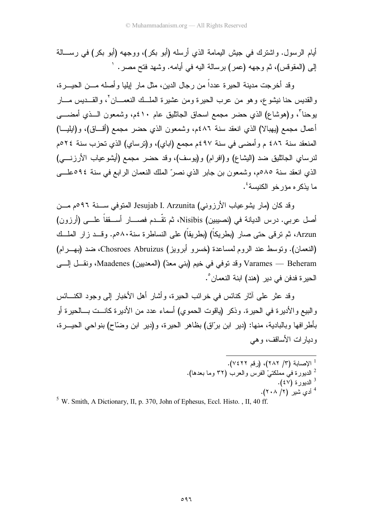أيام الرسول. واشترك في جيش اليمامة الذي أرسله (أبو بكر)، ووجهه (أبو بكر) في رســـالـة إلى (المقوفس)، ثم وجهه (عمر) برسالة اليه في أيامه. وشهد فتح مصر . `

و قد أخر جت مدبنة الحبر ة عدداً من ر جال الدبن، مثل مار ايليا و أصله مـــن الحبـــر ة، والقديس حنا نبشوع، وهو من عرب الحيرة ومن عشيرة الملَّــك النعمـــان `، والقـــديس مـــار يوحناً"، و(هوشاع) الذي حضر مجمع اسحاق الجاثليق عام ٤١٠م، وشمعون الـــذي أمضــــي أعمال مجمع (يهبالا) الذي انعقد سنة ٤٨٦م، وشمعون الذي حضر مجمع (أقـــاق)، و(ايليـــا) المنعقد سنة ٤٨٦ م وأمضيي في سنة ٤٩٧م مجمع (اباي)، و(ترساي) الذي تحزب سنة ٢٤مم لنرساي الجاثليق ضد (البِشاع) و(افرام) و(يوسف)، وقد حضر مجمع (أيشوعياب الأرزنـــي) الذي انعقد سنة ٨٥م، وشمعون بن جابر الذي نصرٌ الملك النعمان الرابع في سنة ٥٩٤علـــي ما يذكر م مؤرخو الكنيسة<sup>؛</sup>.

وقد كان (مار يشوعياب الأرزوني) Jesujab I. Arzunita المتوفى ســنة ٩٩م مــن أصل عربي. درس الديانة في (نصيبين) Nisibis، ثم تقَّــدم فصــــار أســـقفاً علـــي (أرزون) Arzun، ثم ترقى حتى صار (بطريكاً) (بطريقاً) على النساطرة سنة٨٠مم. وقــد زار الملــك (النعمان). وتوسط عند الروم لمساعدة (خسرو أبرويز) Chosroes Abruizus، ضد (بهــرام) Varames — Beheram وقد توفي في خيم (بني معدّ) (المعديين) Maadenes، ونقـــل إلـــي الحبر ة فدفن في دبر (هند) ابنة النعمان °.

وقد عثر ً علي آثار كنائس في خر ائب الحير ة، و أشار أهل الأخبار إلي وجود الكنــــائس والبيع والأديرة في الحيرة. وذكر (باقوت الحموي) أسماء عدد من الأديرة كانست بـــالحيرة أو بأطر افها وبالبادية، منها: (دير ابن برّاق) بظاهر الحيرة، و (دير ابن وضّاح) بنو احي الحيـــرة، وديار ات الأساقف، و هي

> <sup>1</sup> الإصابة (٣/ ٢٨٢)، (رقم ٧٤٢٢). <sup>2</sup> الديورة في مملكتيْ الفرس والعرب (٣٢ وما بعدها).  $($ ٤٧) الديورة  $^3$ <sup>4</sup> أدى شير (٢/ ٢٠٨).

<sup>5</sup> W. Smith, A Dictionary, II, p. 370, John of Ephesus, Eccl. Histo., II, 40 ff.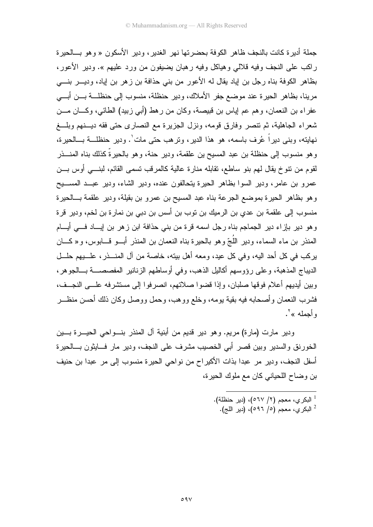جملة أدير ة كانت بالنجف ظاهر الكوفة بحضر تها نهر الغدير ، و دير الأسكون « و هو بـــالحير ة راكب على النجف وفيه قلالي وهياكل وفيه رهبان يضيفون من ورد عليهم ». ودير الأعور، بظاهر الكوفة بناه رجل بن إياد بقال له الأعور من بني حذافة بن زهر بن إياد، وديـــر بنــــي مرينا، بظاهر الحيرة عند موضع جفر الأملاك، ودير حنظلة، منسوب إلى حنظلـــة بــــن أبــــى عفراء بن النعمان، وهم عم إياس بن فبيصة، وكان من رهط (أبي زبيد) الطائي، وكـــان مـــن شعراء الجاهلية، ثم نتصر وفارق قومه، ونزل الجزيرة مع النصارى حتى فقه ديسنهم وبلسغ نهايته، وبني ديراً عُرفٍ باسمه، هو هذا الديرِ ، وترهب حتى مات ٰ. ودير حنظلـــة بـــالحيرة، وهو منسوب إلى حنظلة بن عبد المسيح بن علقمة، ودير حنة، وهو بالحيرةٌ كذلك بناه المنـــذر لقوم من نتوخ يقال لهم بنو ساطع، نقابله منارة عالية كالمرقب تسمى القائم، لبنـــي أوس بـــن عمرو بن عامر، ودير السوا بظاهر الحيرة يتحالفون عنده، ودير الشاء، ودير عبــد المســـيح و هو بظاهر الحيرة بموضع الجرعة بناه عبد المسيح بن عمرو بن بقيلة، ودير علقمة بـــالحيرة منسوب إلى علقمة بن عدي بن الرميك بن توب بن أسس بن دبي بن نمارة بن لخم، ودير قرة وهو دير بإزاء دير الجماجم بناه رجل اسمه قرة من بني حذافة ابن زهر بن إيــــاد فــــي أيــــام المنذر بن ماء السماء، ودير اللَّجّ وهو بالحيرة بناه النعمان بن المنذر أبـــو قـــابوس، و« كــــان يركب في كل أحد اليه، وفي كل عيد، ومعه أهل بيته، خاصة من آل المنـــذر، علـــيهم حلـــل الديباج المذهبة، وعلى رؤوسهم أكاليل الذهب، وفي أوساطهم الزنانير المفصصـــة بـــالجوهر، وبين أيديهم أعلام فوقها صلبان، وإذا قضوا صلاتهم، انصر فوا إلى مستشر فه علـــى النجــف، فشرب النعمان وأصحابه فيه بقية بومه، وخلع ووهب، وحمل ووصل وكان ذلك أحسن منظـــر وأحمله »<sup>٢</sup>.

ودير مارت (مارة) مريم. وهو دير قديم من أبنية آل المنذر بنـــواحي الحيـــرة بــــين الخورنق والسدير وبين قصر أبى الخصيب مشرف على النجف، ودير مار فسايثون بسالحيرة أسفل النجف، ودير مر عبدا بذات الأكيراح من نواحي الحيرة منسوب إلى مر عبدا بن حنيف بن وضاح اللحياني كان مع ملوك الحيرة،

> <sup>1</sup> البكري، معجم (٢/ ٥٦٧)، (دير حنظلة).  $^{2}$  البكري، معجم (٥/ ٥٩٦)، (دير اللج).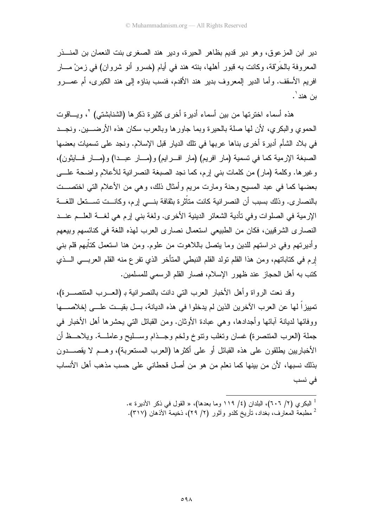دير ابن المزعوق، وهو دير قديم بظاهر الحيرة، ودير هند الصغرى بنت النعمان بن المنـــــــــــــــــــــــــــــــ المعروفة بالخُرْقة، وكانت به قبور أهلها، بنته هند في أيام (خسرو أنو شروان) في زمنْ مـــار افريم الأسقف. وأما الدير المعروف بدير هند الأقدم، فنسب بناؤه إلى هند الكبرى، أم عصــرو ين هند '.

هذه أسماء اخترتها من بين أسماء أديرة أخرى كثيرة ذكرها (الشنابشتى) `، ويـــاقوت الحموي والبكري، لأن لها صلة بالحيرة وبما جاور ها وبالعرب سكان هذه الأرضــــين. ونجـــد في بلاد الشأم أديرة أخرى بناها عربها في نلك الديار قبل الإسلام. ونجد على تسميات بعضها الصبغة الإرمية كما في تسمية (مار افريم) (مار افـــرايم) و(مـــار عبـــدا) و(مـــار فـــايثون)، وغيرها. وكلمة (مار) من كلمات بني إرم، كما نجد الصبغة النصرانية للأعلام واضحة علـــي بعضها كما في عبد المسيح وحنة ومارت مريع وأمثال ذلك، وهي من الأعلام التي اختصـــت بالنصار ي. وذلك بسبب أن النصر انبة كانت متأثر ة بثقافة بنـــي إر م، وكانــت تســتعل اللغـــة الإر مبة في الصلوات و في تأدبة الشعائر الدبنية الأخرى. ولغة بني إر م هي لغسة العليم عنب النصاري الشرقيين، فكان من الطبيعي استعمال نصاري العرب لهذه اللغة في كنائسهم وبيعهم وأديرتهم وفي دراستهم للدين وما يتصل باللاهوت من علوم. ومن هنا استعمل كتأبهم قلم بنبي إرم في كتاباتهم، ومن هذا القلم تولد القلم النبطي المتأخر الذي تفرع منه القلم العربـــي الـــذي كتب به أهل الحجاز عند ظهور الإسلام، فصار القلم الرسمي للمسلمين.

وقد نعت الرواة وأهل الأخبار العرب التي دانت بالنصر انية بـ (العـــرب المنتصـــرة)، تمييز اً لها عن العرب الآخرين الذين لم يدخلو ا في هذه الديانة، بـــل بقيـــت علـــي إخلاصــــها ووفائها لديانة أبائها وأجدادها، وهي عبادة الأوثان. ومن القبائل التي يحشرها أهل الأخبار في جملة (العرب المنتصرة) غسان وتغلب ونتوخ ولخم وجــذام وســـليح وعاملـــة. ويلاحـــظ أن الأخباريين يطلقون على هذه القبائل أو على أكثرها (العرب المستعربة)، وهـــم لا يقصـــــدون بذلك نسبها، لأن من بينها كما نعلم من هو من أصل قحطاني على حسب مذهب أهل الأنساب في نسب

- <sup>1</sup> البكري (٢/ ٦٠٦)، البلدان (٤/ ١١٩ وما بعدها)، « القول في ذكر الأديرة ».
- <sup>2</sup> مطبعة المعارف، بغداد، تأريخ كلدو وأثور (٢/ ٢٩)، ذخيمة الأذهان (٣١٧).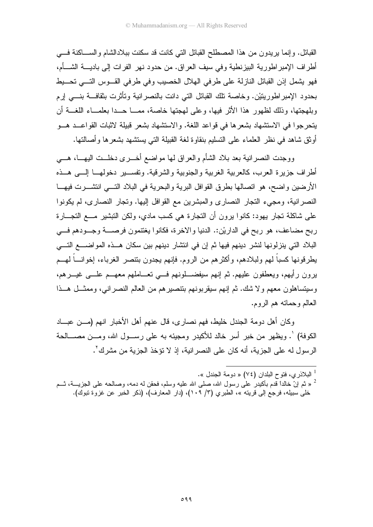القبائل. وإنما يريدون من هذا المصطلح القبائل التي كانت قد سكنت ببلادالشام والســـاكنة فــــي أطراف الإمبر اطورية البيزنطية وفي سيف العراق. من حدود نهر الفرات إلى باديــــة الشــــأم، فهو بشمل إذن القبائل النازلة على طرفي الهلال الخصيب وفي طرفي القــوس التـــي تحـــيط بحدود الإمبراطوريتيْن. وخاصة تلك القبائل التي دانت بالنصرانية وتأثرت بثقافـــة بنــــي إرم وبلهجتها، وذلك لظهور هذا الأثر فيها، وعلى لهجتها خاصة، ممـــا حـــدا بعلمـــاء اللغـــة أن يتحرجوا في الاستشهاد بشعرها في قواعد اللغة. والاستشهاد بشعر قبيلة لاثبات القواعــد هــو أوثق شاهد في نظر العلماء على التسليم بنقاوة لغة القبيلة التي يستشهد بشعرها وأصالتها.

ووجدت النصر انية بعد بلاد الشأم والعراق لمها مواضع أخـــرى دخلـــت اليهـــا، هــــى أطراف جزيرة العرب، كالعربية الغربية والجنوبية والشرقية. وتفســـير دخولهـــا إلــــي هـــذه الأرضين واضح، هو اتصالها بطرق القوافل البرية والبحرية في البلاد التـــي انتشـــرت فيهـــا النصر انية، ومجيء النجار النصاري والمبشرين مع القوافل إليها. ونجار النصاري، لم يكونوا علي شاكلة تجار بهود: كانوا برون أن التجارة هي كسب مادي، ولكن التبشير مـــع التجـــارة ربح مضاعف، هو ربح في الداريْن:. الدنيا والاخرة، فكانوا يغتنمون فرصــــة وجـــودهم فــــي البلاد التي ينزلونها لنشر دينهم فيها ثم إن في انتشار دينهم بين سكان هــذه المواضــــع التـــي يطرقونها كسباً لهم ولبلادهم، وأكثرهم من الروم. فإنهم يجدون بتتصر الغرباء، إخوانـــاً لهـــم يرون رأيهم، ويعطفون عليهم. ثم إنهم سيفضــــلونهم فــــي تعــــاملهم معهـــم علــــي غيــــرهم، وسيتساهلون معهم ولا شك. ثم إنهم سيقربونهم بنتصير هم من العالم النصر انبي، وممثَّـــل هـــذا العالم وحماته هم الروم.

وكان أهل دومة الجندل خليط، فهم نصاري، قال عنهم أهل الأخبار انهم (مـــن عبـــاد الكوفة) `. ويظهر من خبر أسر خالد للأكبدر ومجيئه به على رســول الله، ومــن مصـــالحة الرسول له على الجزية، أنه كان على النصر انية، إذ لا تؤخذ الجزية من مشرك '.

<sup>&</sup>lt;sup>1</sup> البلاذري، فتوح البلدان (٧٤) « دومة الجندل ».

د ثم إنّ خالداً قدم بأكبدر على رسول الله، صلى الله عليه وسلم، فحقن له دمه، وصالحه على الجزيسـة، ثـــم  $^2$ خلي سبيله، فرجع إلى فريته »، الطبري (٣/ ١٠٩)، (دار المعارف)، (ذكر الخبر عن غزوة تبوك).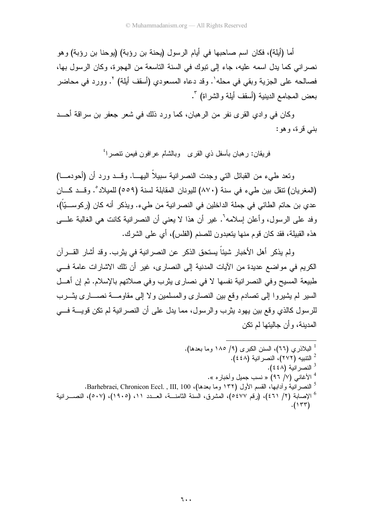أما (أيلة)، فكان اسم صاحبها في أيام الرسول (يحنة بن رؤبة) (يوحنا بن رؤبة) وهو نصر اني كما يدل اسمه عليه، جاء إلى نبوك في السنة التاسعة من الهجر ة، وكان الرسول بها، فصالحه على الجزية وبقى في محله'. وقد دعاه المسعودي (أسقف أيلة) `. وورد في محاضر بعض المجامع الدينية (أسقف أيلة والشراة) ".

وكان في وادي القرى نفر من الرهبان، كما ورد ذلك في شعر جعفر بن سراقة أحـــد بنبي قرة، وهو :

فريقان: رهبان بأسفل ذي القرى وبالشام عرافون فيمن نتصرا<sup>؟</sup>

ونعد طبيء من القبائل التي وجدت النصر انية سبيلاً اليهـــا. وقـــد ورد أن (أحودمـــا) (المغريان) نتقل بين طيء في سنة (٨٧٠) لليونان المقابلة لسنة (٥٥٩) للميلاد°. وقــد كـــان عدي بن حاتم الطائي في جملة الداخلين في النصر انية من طيء. ويذكر أنه كان (ركوســـيّاً)، وفد علمي الرسول، وأعلن إسلامه". غير أن هذا لا يعني أن النصر انية كانت هي الغالبة علـــي هذه القبيلة، فقد كان قوم منها بتعبدون للصنم (الفلس)، أي على الشرك.

ولم يذكر ِ أهل الأخبار شيئاً يستحق الذكر ٍ عن النصر انية في يثر بٍ. وقد أشار ِ القـــر آن الكريم في مواضع عديدة من الأيات المدنية إلى النصارى، غير أن تلك الاشارات عامة في طبيعة المسيح وفي النصر انية نفسها لا في نصار ي يثرب وفي صلاتهم بالإسلام. ثم إن أهــل السير لم يشيروا إلى تصادم وقع بين النصاري والمسلمين ولا إلى مقاومـــة نصــــاري يشــرب للرسول كالذي وقع بين يهود بثرب والرسول، مما يدل على أن النصر انية لم نكن قويسة فسي المدينة، و أن جاليتها لم تكن

<sup>1</sup> البلاذر ي (٦٦)، السنن الكبر ي (٩/ ١٨٥ وما بعدها). <sup>2</sup> النتبيه (٢٧٢)، النصر انية (٤٤٨). <sup>3</sup> النصر انية (٤٤٨). <sup>4</sup> الأغاني (٧/ ٩٦) « نسب جميل وأخبار ه ». <sup>5</sup> النصرانية وأدابها، القسم الأول (١٣٢ وما بعدها)، Barhebraei, Chronicon Eccl. , III, 100. <sup>6</sup> الإصابة (٢/ ٤٦١)، (رقم ٥٤٧٧)، المشرق، السنة الثامنـــة، العـــدد ١١، (١٩٠٥)، (٥٠٧)، النصـــرانية  $.(\Upsilon\Upsilon\Upsilon)$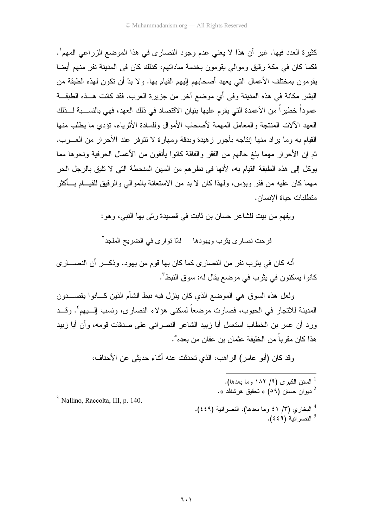كثيرة العدد فيها. غير أن هذا لا يعني عدم وجود النصاري في هذا الموضع الزراعي المهم`. فكما كان في مكة ر قيق ومو الي يقومون بخدمة ساداتهم، كذلك كان في المدينة نفر منهم أيضا يقومون بمختلف الأعمال التي يعهد أصحابهم إليهم القيام بها. ولا بدَّ أن نكون لهذه الطبقة من البشر مكانة في هذه المدينة وفي أي موضع آخر من جزيرة العرب. فقد كانت هـــذه الطبقـــة عموداً خطيراً من الأعمدة التي يقوم عليها بنيان الاقتصاد في ذلك العهد، فهي بالنســـبة لـــذلك العهد الآلات المنتجة والمعامل المهمة لأصحاب الأموال وللسادة الأثرياء، تؤدي ما يطلب منها القيام به وما يراد منها إنتاجه بأجور زهيدة وبدقة ومهارة لا نتوفر عند الأحرار من العــــرب. ثم إن الأحر ار ًمهما بلغ حالهم من الفقر ۖ والفاقة كانوا بأنفون من الأعمال الحرِّ فية ونحوها مما يوكل إلى هذه الطبقة القيام به، لأنها في نظر هم من المهن المنحطة التي لا تليق بالرجل الحر مهما كان عليه من فقر وبؤس، ولمهذا كان لا بد من الاستعانة بالموالـي والرقيق للقيـــام بـــأكثر متطلبات حياة الانسان.

ويفهم من بيت للشاعر (حسان بن ثابت في قصيدة ر ثي بها النبي، و هو :

فرحت نصاري بِثرب ويهودها لمّا تواري في الضريح الملجد<sup>٢</sup>

أنه كان في يثرب نفر من النصار ي كما كان بها قوم من يهود. وذكـــر ٍ أن النصــــار ي كانوا يسكنون في يثرب في موضع يقال له: سوق النبط".

ولعل هذه السوق هي الموضع الذي كان ينزل فيه نبط الشأم الذين كـــانوا يقصــــدون المدينة للاتجار في الحبوب، فصارت موضعاً لسكني هؤلاء النصاري، ونسب إلــــبهم ُ. وقـــد ور د أن عمر بن الخطاب استعمل أبا زبيد الشاعر النصر انبي على صدقات قومه، و أن أبا زبيد هذا كان مقر باً من الخليفة عثمان بن عفان من بعده ْ.

وقد كان (أبو عامر) الراهب، الذي تحدثت عنه أثناء حديثي عن الأحناف،

<sup>1</sup> السنن الكبرى (۹/ ۱۸۲ وما بعدها). - ديو ان حسان (09) « تحقيق هرشفلد ». <sup>4</sup> البخاري (٣/ ٤١ وما بعدها)، النصر انية (٤٤٩). <sup>5</sup> النصر انبة (٤٤٩).

 $3$  Nallino, Raccolta, III, p. 140.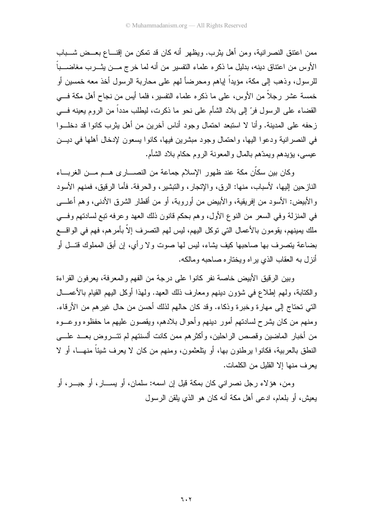ممن اعتنق النصرانية، ومن أهل يثرب. ويظهر أنه كان قد تمكن من إقنـــاع بعـــض شـــباب الأوس من اعتناق دينه، بدليل ما ذكر ه علماء التفسير ٍ من أنه لما خرج مـــن يثـــر ب مغاضـــباً للرسول، وذهب إلى مكة، مؤيداً لِباهم ومحرضاً لهم على محاربة الرسول أخذ معه خمسين أو خمسة عشر رجلاً من الأوس، على ما ذكره علماء النفسير، فلما أيس من نجاح أهل مكة فـــي القضاء على الرسول فرّ إلى بلاد الشأم على نحو ما ذكرت، ليطلب مدداً من الروم يعينه فـــي زحفه على المدينة. وأنا لا استبعد احتمال وجود أناس آخرين من أهل يثرب كانوا قد دخلــوا في النصر انية ودعوا اليها، واحتمال وجود مبشرين فيها، كانوا يسعون لإدخال أهلها في ديـــن عيسى، بؤيدهم ويمدَّهم بالمال والمعونة الروم حكام بلاد الشأم.

وكان بين سكاّن مكة عند ظهور الإسلام جماعة من النصــــارى هـــم مـــن الغربــــاء النازحين إليها، لأسباب، منها: الرق، والإتجار، والنبشير، والحرفة. فأما الرِّقيق، فمنهم الأسود و الأبيض: الأسود من إفريقية، و الأبيض من أوروبة، أو من أقطار الشرق الأدني، وهم أعلـــي في المنزلة وفي السعر من النوع الأول، وهم بحكم قانون ذلك العهد وعرفه تبع لسادتهم وفي ملك بمبنهم، بقومون بالأعمال التي توكل اليهم، لبس لهم التصرف إلاّ بأمر هم، فهم في الواقــــع بضاعة يتصرف بها صاحبها كيف يشاء، ليس لها صوت ولا رأي، إن أبق المملوك قتـــل أو أنزل به العقاب الذي يراه ويختاره صاحبه ومالكه.

وبين الرقيق الأبيض خاصة نفر كانوا على درجة من الفهم والمعرفة، بعر فون القراءة والكتابة، ولـهم الطلاع في شؤون دينهم ومعارف ذلك العهد. ولـهذا أوكل اليـهم القيام بـالأعمــــال التي تحتاج إلى مهار ة وخبر ة وذكاء. وقد كان حالهم لذلك أحسن من حال غير هم من الأر قاء. ومنهم من كان بِشر ح لسادتهم أمور دبِنهم و أحو ال بلادهم، و بِقصون عليهم ما حفظو ه و و عـــو ه من أخبار الماضين وقصص الراحلين، وأكثر هم ممن كانت ألسنتهم لم تتـــر و ض بعـــد علــــى النطق بالعربية، فكانوا برطنون بها، أو بناحثمون، ومنهم من كان لا يعرف شيئاً منهـــا، أو لا بعر ف منها إلا القليل من الكلمات.

ومن، هؤلاء رجل نصراني كان بمكة قيل إن اسمه: سلمان، أو يســـار، أو جبـــر، أو يعيش، أو بلعام، ادعى أهل مكة أنه كان هو الذي يلقن الرسول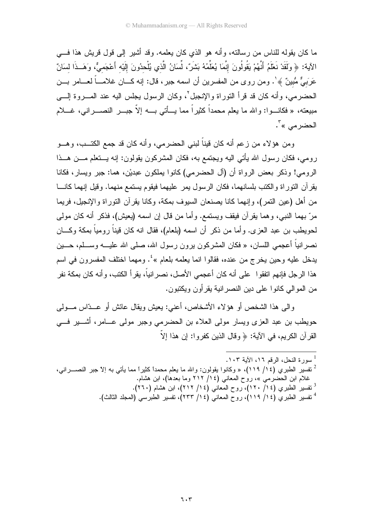ما كان يقوله للناس من ر سالته، و أنه هو الذي كان يعلمه. وقد أشير إلى قول قريش هذا فــــى الآية: ﴿ وَلَقَدْ نَعْلَمُ أَنَّهُمْ يَقُولُونَ إِنَّمَا يُعَلِّمُهُ بَشَرٌ، لِّسَانُ الَّذي يُلْحدُونَ إلَيْه أَعْجَميٌّ، وَهَــذَا لسَانٌ عَرَبَـيٌّ مُّبينٌ ﴾'. ومن روى من المفسرين أن اسمه جبر، قال: إنه كـــان غلامـــاً لعـــامر بـــن الحضر مي، وأنه كان قد قرأ النوراة والإنجبل `، وكان الرسول بجلس اليه عند المسروة إلــــى مبيعته، « فكانـــوا: والله ما يعلم محمداً كثيراً مما يـــأتـى بــــه إلاّ جبــــر النصــــرانـى، غــــلام الحضر مي »<sup>۳</sup>.

ومن هؤلاء من زعم أنه كان قيناً لبني الحضرمي، وأنه كان قد جمع الكتــب، وهـــو رومي، فكان رسول الله يأتي اليه ويجتمع به، فكان المشركون يقولون: إنه يستعلم مسن هسذا الرومي! وذكر بعض الرواة أن (آل الحضرمي) كانوا بملكون عبديْن، هما: جبر ويسار، فكانا يقرآن النوراة والكتب بلسانهما، فكان الرسول بمر عليهما فيقوم يستمع منهما. وقيل إنهما كانـــا من أهل (عبن التمر )، و إنهما كانا بصنعان السبوف بمكة، وكانا بقر آن التور اة و الإنجبل، فربما مرّ بهما النبي، وهما يقرآن فيقف ويستمع. وأما من قال إن اسمه (يعيش)، فذكر أنه كان مولِّي لحويطب بن عبد العز ي. و أما من ذكر ۖ أن اسمه (بلعام)، فقال انه كان قيناً ر و مياً بمكة وكـــان نصرانياً أعجمي اللسان، « فكان المشركون يرون رسول الله، صلى الله عليــــه وســــلم، حــــين يدخل عليه وحين يخرج من عنده، فقالوا انما يعلمه بلعام »<sup>؛</sup>. ومهما اختلف المفسرون في اسم هذا الر جل فإنهم اتفقو ا \_علي أنه كان أعجمي الأصل، نصر انباً، بقر أ الكتب، و أنه كان بمكة نفر من المو الى كانو ا على دين النصر انية يقر أو ن ويكتبو ن.

واللَّى هذا الشَّخص أو هؤ لاء الأشخاص، أعني: يعيش ويقال عائش أو عـــدّاس مــــولـي حويطب بن عبد العزى ويسار مولى العلاء بن الحضرمى وجبر مولى عـــامر، أشــــير فــــى القرآن الكريم، في الآية: ﴿ وَقَالَ الَّذِينَ كَفَرُوا: إِنْ هَذَا إِلَّا

ا سورة النحل، الرقم ١٦، الآية ١٠٣. <sup>2</sup> نفسير الطبري (١٤/ ١١٩)، « وكانوا يقولون: والله ما يعلم محمداً كثيراً مما يأتي به إلاّ جبر النصــــراني، غلام ابن الحضرمي »، روح المعاني (١٤/ ٢١٢ وما بعدها)، ابن هشام. <sup>3</sup> تفسير الطبري (١٤/ ١٢٠)، روح المعاني (١٤/ ٢١٢)، ابن هشام (٢٦٠). <sup>4</sup> تفسير الطبري (١٤/ ١١٩)، روح المعانيّ (١٤/ ٢٣٣)، تفسير الطبرسي (المجلد الثالث).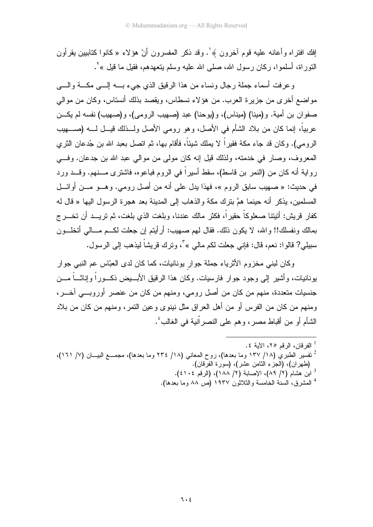افك افتر اه و أعانه عليه قوم آخر ون ﴾ ٰ. وقد ذكر المفسر ون أنّ هؤ لاء « كانو ا كتابيين يقر أون النَّور اة، أسلمو ا، ركان رسول الله، صلَّى الله عليه وسلَّم بِنعهدهم، فقيل ما قَبْل » ْ .

وعرفت أسماء جملة رجال ونساء من هذا الرقيق الذي جيء بسه إلسي مكسة والسي مواضع أخرى من جزيرة العرب. من هؤلاء نسطاس، ويقصد بذلك أنستاس، وكان من موالي صفوان بن أمية. و(مينا) (ميناس)، و(يوحنا) عبد (صهيب الرومي)، و(صهيب) نفسه لم يكــن عربياً، إنما كان من بلاد الشأم في الأصل، وهو رومي الأصل ولـــذلك قيـــل لــــه (صـــــهيب الرومي). وكان قد جاء مكة فقيراً لا يملك شيئاً، فأقام بها، ثم اتصل بعبد الله بن جُدعان الثري المعروف، وصار في خدمته، ولذلك قيل إنه كان مولى من موالى عبد الله بن جدعان. وفي رواية أنه كان من (النمر بن قاسط)، سقط أسيراً في الروم فباعوه، فاشترى مـــنهم. وقـــد ورد في حديث: « صهيب سابق الروم »، فهذا يدل على أنه من أصل رومي. وهــو مـــن أوائـــل المسلمين، يذكر أنه حينما همَّ بنرك مكة والذهاب إلى المدينة بعد هجرة الرسول اليها « قال له كفار قريش: أنيتنا صعلوكاً حقيراً، فكثر مالك عندنا، وبلغت الذي بلغت، ثم تريـــد أن تخـــرج بمالك ونفسلك!! والله، لا يكون ذلك. فقال لهم صهيب: أرأيتم إن جعلت لكـــم مـــالـي أتخلـــون سبيلي? قالوا: نعم، قال: فإني جعلت لكم مالي » ّ، وترك قريشاً ليذهب إلى الرسول.

وكان لبني مخزوم الأثرياء جملة جوار بونانيات، كما كان لدى العبّاس عم النبي جوار بو نانبات، و أشبر إلى و جو د جو ار فار سبات. و كان هذا الر قبق الأبــبض ذكــو ر أ و إناثـــأ مـــن جنسيات متعددة، منهم من كان من أصل رومي، ومنهم من كان من عنصر أوروبـــي آخـــر، ومنهم من كان من الفرس أو من أهل العراق مثل نينوي وعين النمر، ومنهم من كان من بلاد الشَّام أو من أقباط مصر ، و هم على النصر اّنية في الغالب ُ .

- <sup>2</sup> تفسير الطبري (١٨/ ١٣٧ وما بعدها)، روح المعاني (١٨/ ٢٣٤ وما بعدها)، مجمــع البيـــان (٧/ ١٦١)، (طهران)، (الجزء الثامن عشر)، (سورة الفرقان). <sup>3</sup> ابن هشام (٢/ ٨٩)، الإصابة (٢/ ١٨٨)، (الرقم ٢٠٤٤).
	- <sup>4</sup> المشرق، السنة الخامسة والثلاثون ١٩٣٧ (ص ٨٨ وما بعدها).

<sup>&</sup>lt;sup>1</sup> الفر قان، الرقم ٢٥، الآبة ٤.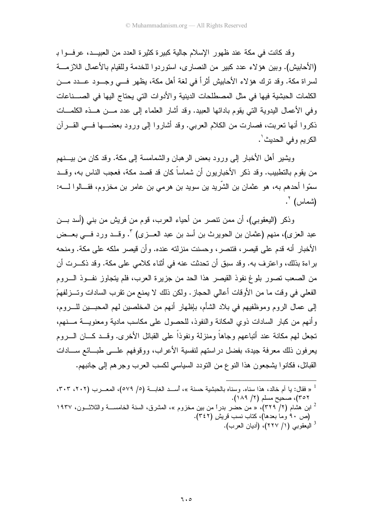وقد كانت في مكة عند ظهور الإسلام جالية كبير ة كثير ة العدد من العبيـــد، عر فـــوا بـ (الأحابيش). وبين هؤ لاء عدد كبير من النصار ي، استور دو ا للخدمة وللقيام بالأعمال اللاز مــــة لسراة مكة. وقد ترك هؤلاء الأحابيش أثراً في لغة أهل مكة، يظهر فـــي وجـــود عـــدد مـــن الكلمات الحبشية فيها في مثل المصطلحات الدينية والأدوات التي يحتاج اليها في الصـــناعات وفي الأعمال البدوية التي يقوم بادائها العبيد. وقد أشار العلماء إلى عدد مـــن هـــذه الكلمـــات ذكروا أنها نعربت، فصارت من الكلام العربي. وقد أشاروا إلى ورود بعضــــها فــــي القــــرآن الكريم وفي الحديث'.

ويشير أهل الأخبار إلى ورود بعض الرهبان والشمامسة إلى مكة. وقد كان من بيـــنهم من يقوم بالتطبيب. وقد ذكر الأخباريون أن شماساً كان قد قصد مكة، فعجب الناس به، وقــد سمّوا أحدهم به، هو عثمان بن الشّريد بن سويد بن هرمي بن عامر بن مخزوم، فقـــالوا لــــه: (شماس) `.

وذكر (اليعقوبي)، أن ممن نتصر ٍ من أحياء العرب، قوم من قريش من بني (أسد بـــن عبد العزي)، منهم (عثمان بن الحويرث بن أسد بن عبد العـــزي) ". وقـــد ورد فـــي بعـــض الأخبار أنه قدم على قيصر، فتتصر، وحسنت منزلته عنده. وأن قيصر ملكه على مكة. ومنحه بر اءة بذلك، و اعتر ف به. وقد سبق أن تحدثت عنه في أثناء كلامي على مكة. وقد ذكــر ت أن من الصعب تصور بلوغ نفوذ القبصر هذا الحد من جزيرة العرب، فلم بتجاوز نفسوذ السروم الفعلي في وقت ما من الأوقات أعالي الحجاز . ولكن ذلك لا يمنع من نقر ب السادات و تــز لفهمً إلى عمال الروم وموظفيهم في بلاد الشأم، بإظهار أنهم من المخلصين لهم المحبـــين للــــروم، وأنهم من كبار السادات ذوى المكانة والنفوذ، للحصول على مكاسب مادية ومعنويسة مسنهم، تجعل لهم مكانة عند أتباعهم وجاهاً ومنزلة ونفوذاً على القبائل الأخرى. وقـــد كــــان الـــــروم يعرفون ذلك معرفة جيدة، بفضل در استهم لنفسية الأعراب، ووقوفهم علـــي طبـــائع ســـادات القبائل، فكانوا يشجعون هذا النوع من النودد السياسي لكسب العرب وجرهم إلى جانبهم.

<sup>1 «</sup> فقال: يا أم خالد، هذا سناه. وسناه بالحبشية حسنة »، أســد الغابــة (٥/ ٥٧٩)، المعـــرب (٢٠٢، ٢٠٣، ٣٥٢)، صحيح مسلم (٢/ ١٨٩). ابن هشام (۲/ ۳۲۹)، « من حضر بدراً من بين مخزوم »، المشرق، السنة الخامســـة والثلاثـــون، ۱۹۳۷  $^2$ (ص ٩٠ وما بعدها)، كتاب نسب قريش (٣٤٢). <sup>3</sup> اليعقوبي (١/ ٢٢٧)، (أديان العرب).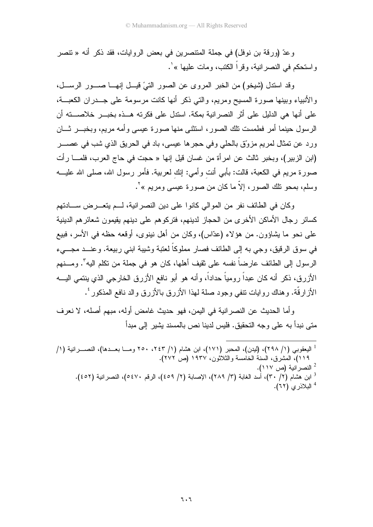وعدّ (ورقة بن نوفل) في جملة المتنصرين في بعض الروايات، فقد ذكر أنه « تتصر و استحكم في النصر انية، وقر اً الكتب، ومات عليها » <sup>י</sup>.

وقد استدل (شيخو) من الخبر المروى عن الصور التيَّ قيـــل إنهـــا صـــور الرســـل، والأنبياء وببنها صورة المسيح ومريم، والتي ذكر أنها كانت مرسومة على جـــدران الكعبـــة، على أنها هي الدليل على أثر النصر انية بمكة. استدل على فكرته هـــذه بخبـــر خلاصـــته أن الرسول حينما أمر فطمست نلك الصور، استثنى منها صورة عيسى وأمه مريم، وبخبـــر ثـــان ورد عن تمثال لمريم مزوِّق بالحلي وفي حجرها عيسي، باد في الحريق الذي شب في عصـــر (ابن الزبير)، وبخبر ثالث عن امرأة من غسان قيل إنها « حجت في حاج العرب، فلمــــا رأت صورة مريم في الكعبة، قالت: بأبي أنت وأمي: إنك لعربية. فأمر رسول الله، صلى الله عليـــه وسلم، بمحو تلك الصور ، إلاَّ ما كان من صورة عيسى ومريم » '.

وكان في الطائف نفر من الموالي كانوا على دين النصرانية، لــم يتعـــرض ســـادتهم كسائر رجال الأماكن الأخرى من الحجاز لدينهم، فتركوهم على دينهم يقيمون شعائر هم الدينية على نحو ما بِشاؤون. من هؤلاء (عدَّاس)، وكان من أهل نينوي، أوقعه حظه في الأسر، فبيع في سوق الرقيق، وجي به إلى الطائف فصار مملوكاً لعتبة وشيبة ابني ربيعة. وعنـــد مجـــيء الرسول إلى الطائف عار ضداً نفسه على نقيف أهلها، كان هو في جملة من نكلم اليه". ومـــنهم الأز ر ق، ذكر ۖ أنه كان عبداً ر و مباً حداداً، و أنه هو ۖ أبو نافع الأز ر ق الخار جي الذي بنتمي البب الأز ار قَّة. و هناك ر و ايات نتفي و جو د صلة لمهذا الأز ر ق بالأز ر ق و الد نافع المذكور ' .

و أما الحديث عن النصر انية في اليمن، فهو حديث غامض أوله، مبهم أصله، لا نعرف متى نبدأ به على وجه التحقيق. فليس لدينا نص بالمسند يشير ٍ إلى مبدأ

<sup>1</sup> اليعقوبي (١/ ٢٩٨)، (ليدن)، المحبر (١٧١)، ابن هشام (١/ ٢٤٣، ٢٥٠ ومـــا بعـــدها)، النصــــرانية (١/ ١١٩)، المشرق، السنة الخامسة والثلاثون، ١٩٣٧ (ص ٢٧٢). <sup>2</sup> النصر انية (ص ١١٧). <sup>3</sup> ابن هشام (٣/ ٣٠)، أسد الغابة (٣/ ٢٨٩)، الإصابة (٢/ ٤٥٩)، الرقم ٥٤٧٠)، النصر انبة (٤٥٢). <sup>4</sup> البلاذري (٦٢).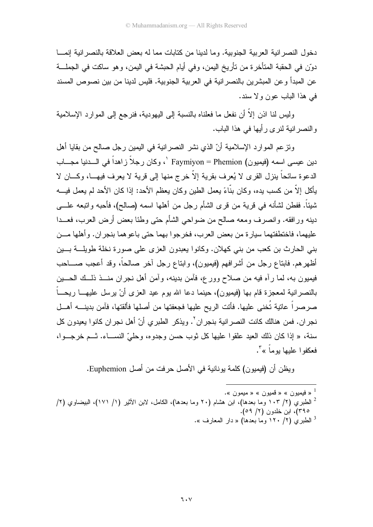دخول النصر انية العربية الجنوبية. وما لدينا من كتابات مما له بعض العلاقة بالنصر انية إنمـــا دوّن في الحقبة المتأخر ة من تأريخ اليمن، و في أيام الحبشة في اليمن، و هو ساكت في الجملـــة عن المبدأ وعن المبشرين بالنصر انية في العربية الجنوبية. فليس لدينا من بين نصوص المسند في هذا الباب عون ولا سند.

وليس لنا اذن إلاَّ أن نفعل ما فعلناه بالنسبة إلى اليهودية، فنرجع إلى الموارد الإسلامية و النصر انية لنر ي رأيها في هذا الباب.

ونز عم الموارد الإسلامية أنّ الذي نشر النصر انية في اليمين رجل صالح من بقايا أهل دين عيسى اسمه (فيميون) Faymiyon = Phemion '، وكان رجلاً زاهداً في السدنيا مجـــاب الدعوة سائحاً بنزل القرى لا يُعرف بقرية إلاّ خرج منها إلى قرية لا يعرف فيهـــا، وكــــان لا بِأَكلِ إِلاَّ مِن كسبٍ بده، وكان بنَّاءً بعملِ الطِّينِ وكانٍ بعظمِ الأحدِ: إذا كان الأحدِ لم بعملِ فبسه شيئاً. ففطن لشأنه في قرية من قرى الشأم رجل من أهلها اسمه (صالح)، فأحبه واتبعه علـــي دينه ورافقه. وانصرف ومعه صالح من ضواحي الشأم حتى وطئا بعض أرض العرب، فعـــدا عليهما، فاختطفتهما سيارة من بعض العرب، فخرجوا بهما حتى باعوهما بنجران. وأهلها مـــن بني الحارث بن كعب من بني كهلان. وكانوا يعبدون العزى على صورة نخلة طويلـــة بـــين أظهرهم. فابناع رجل من أشرافهم (فيميون)، وابناع رجل أخر صالحاً، وقد أعجب صــــاحب فيميون به، لما رآه فيه من صلاح وورع، فأمن بدينه، وأمن أهل نجران منـــذ ذلــك الحــــين بالنصرانية لمعجزة قام بها (فيميون)، حينما دعا الله يوم عيد العزى أنْ يرسل عليهـــا ريحـــاً صرصراً عاتية تُخنى عليها. فأتت الريح عليها فجعفتها من أصلها فألقتها، فآمن بدينــــه أهـــل نجر ان. فمن هنالك كانت النصر انية بنجر ان<sup>7</sup>. ويذكر الطبر ي أنّ أهل نجر ان كانو ا يعيدو ن كل سنة، « إذا كان ذلك العيد علقوا عليها كل ثوب حسن وجدوه، وحلَّىّ النســـاء. ثـــم خرجـــوا، فعكفوا عليها بوماً » ".

ويظن أن (فيميون) كلمة يونانية في الأصل حرفت من أصل Euphemion.

. ه فيميو ن $\alpha \gg 0$  قميو ن $\alpha \gg 1$ <sup>2</sup> الطبري (٢/ ١٠٣ وما بعدها)، ابن هشام (٢٠ وما بعدها)، الكامل، لابن الأثير (١/ ١٧١)، البيضاوي (٢/ ۳۹۰)، ابن خلدون (۲/ ۵۹).

الطبري (٢/ ١٢٠ وما بعدها) « دار المعارف ».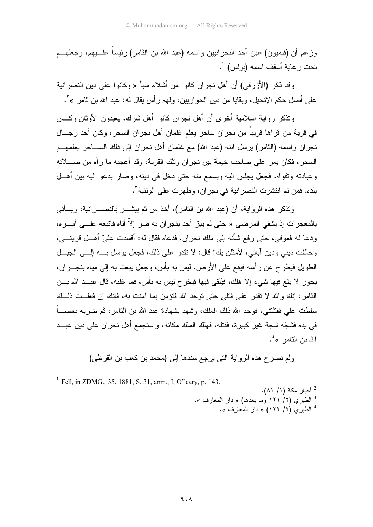وزعم أن (فيميون) عين أحد النجرانيين واسمه (عبد الله بن الثامر) رئيساً علــــبيهم، وجعلهـــم نحت ر عاية أسقف اسمه (بولس) `.

وقد ذكر (الأزرقي) أن أهل نجر إن كانو إ من أشلاء سبأ « وكانو إ على دين النصر انية على أصل حكم الإنجيل، وبقايا من دين الحواريين، ولهم رأس يقال له: عبد الله بن ثامر » ْ .

وتذكر رواية اسلامية أخرى أن أهل نجران كانوا أهل شرك، يعبدون الأوثان وكسان في قرية من قراها قريباً من نجران ساحر يعلم غلمان أهل نجران السحر ، وكان أحد رجـــال نجر ان و اسمه (الثامر) بر سل ابنه (عبد الله) مع غلمان أهل نجر ان إلى ذلك الســـاحر يعلمهـــم السحر ، فكان يمر ٍ على صاحب خيمة بين نجر ان وتلك القرية، وقد أعجبه ما رآه من صــــلاته وعبادته ونقواه، فجعل يجلس اليه ويسمع منه حتى دخل في دينه، وصار يدعو اليه بين أهـــل بلده. فمن ثم انتشر ت النصر انبة في نجر ان، وظهر ت علي الوثنية".

وتذكر هذه الروابة، أن (عبد الله بن الثامر )، أخذ من ثم ببشـــر بالنصـــر انبة، وبـــأتـى بالمعجز ات إذ بشفي المر ضبي « حتى لم بيق أحد بنجر ان به ضر إلاّ أتاه فاتبعه علـــي أمـــر ه، ودعا له فعوفي، حتى رفع شأنه إلى ملك نجران. فدعاه فقال له: أفسدت عليّ أهــل قريتـــي، وخالفت ديني ودين أبائي، لأمثلن بك! قال: لا نقدر على ذلك، فجعل برسل بــــه إلــــي الجبـــل الطويل فيطرح عن رأسه فيقع على الأرض، ليس به بأس، وجعل يبعث به إلى مياه بنجـــران، بحور لا يقع فيها شيء إلاّ هلك، فيُلقى فيها فيخرج ليس به بأس، فما غلبه، قال عبــد الله بـــن الثامر: إنك والله لا نقدر على قتلى حتى نوحد الله فتؤمن بما أمنت به، فإنك إن فعلــت ذلــك سلطت على فقتلتني، فوحد الله ذلك الملك، وشهد بشهادة عبد الله بن الثامر ، ثم ضربه بعصــــاً في بده فشجّه شجة غير كبيرة، فقتله، فهلك الملك مكانه، واستجمع أهل نجر ان على دين عبـــد الله بن الثامر »<sup>؛</sup>.

ولم تصرح هذه الرواية التي يرجع سندها إلى (محمد بن كعب بن القرظى)

<sup>1</sup> Fell. in ZDMG., 35, 1881, S. 31, anm., I, O'leary, p. 143. <sup>2</sup> أخبار مكة (١/ ٨١). الطبري (٢/ ١٢١ وما بعدها) « دار المعارف ». <sup>4</sup> الطبري (٢/ ١٢٢) « دار المعارف ».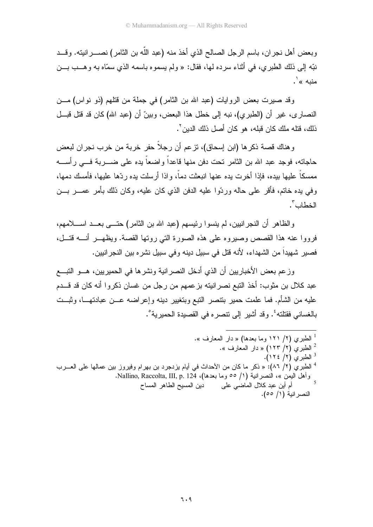وبعض أهل نجران، باسم الرجل الصالح الذي أخذ منه (عبد اللَّه بن الثامر) نصــــرانيته. وقـــد نبِّه إلى ذلك الطبر ي، في أثناء سر ده لها، فقال: « ولم يسمو ه باسمه الذي سمّاه به و هــب بـــن منيه » ٰ.

وقد صيرت بعض الروايات (عبد الله بن الثامر) في جملة من قتلهم (ذو نواس) مـــن النصارى، غير أن (الطبري)، نبه إلى خطل هذا البعض، وبينّ أن (عبد الله) كان قد قتل قبـــل ذلك، قتله ملك كان قبله، هو كان أصل ذلك الدبن <sup>٢</sup>.

و هناك قصبة ذكر ها (ابن إسحاق)، تز عم أن ر جلاً حفر خر بـة من خر ب نـجر ان لبعض حاجاته، فوجد عبد الله بن الثامر تحت دفن منها فاعداً واضعاً يده على ضــــربة فــــى رأســــه ممسكاً عليها بيده، فإذا أخرت يده عنها انبعثت دماً، وإذا أرسلت يده ردِّها عليها، فأمسك دمها، وفي يده خاتم، فأقر على حاله وردّوا عليه الدفن الذي كان عليه، وكان ذلك بأمر عمـــر بـــن الخطاب ".

والظاهر أن النجر انبين، لم ينسوا رئيسهم (عبد الله بن الثامر ) حتـــى بعــد اســــلامهم، فرووا عنه هذا القصص وصيروه على هذه الصورة التي روتها القصة. ويظهـــر أنــــه قتـــل، فصير شهيداً من الشهداء، لأنه قتل في سبيل دينه وفي سبيل نشره بين النجر انيين.

وز عم بعض الأخبار بين أن الذي أدخل النصر انية ونشر ها في الحمير بين، هـــو النبـــع عبد كلال بن منوب: أخذ النبع نصر انبته بز عمهم من ر جل من غسان ذكر و ا أنه كان قد قـــدم عليه من الشأم. فما علمت حمير بنتصر النبع وبنغيير دينه وإعراضه عـــن عبادتهـــا، وثبـــت بالغساني فقتلته<sup>؛</sup>. وقد أشير إلى نتصره في القصيدة الحميرية°.

<sup>1</sup> الطبر ي (٢/ ١٢١ وما بعدها) « دار المعارف ». الطبري (٢/ ١٢٣) « دار المعارف ». <sup>3</sup> الطبرى (٢/ ١٢٤). <sup>4</sup> الطبري (٢/ ٨٦): « ذكر ما كان من الأحداث في أيام يزدجرد بن بهرام وفيروز بين عمالها على العـــرب أم أين عبد كلال الماضيي على لدين المسيح الطاهر المساح النصرانية (١/ ٥٥).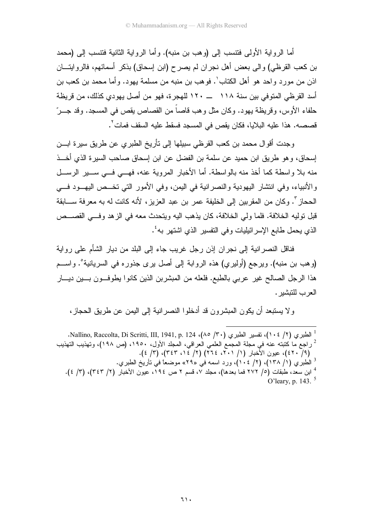أما الر و اية الأولى فتتسب إلى (و هب بن منبه). و أما الر و اية الثانية فتتسب إلى (محمد بن كعب القرظي) والى بعض أهل نجران لم يصرح (ابن إسحاق) بذكر أسمائهم، فالروايتـــان اذن من مورد و احد هو أهل الكتاب ٰ. فو هب بن منبه من مسلمة يهود. و أما محمد بن كعب بن أسد القرظي المتو في بين سنة ١١٨ ـــــ ١٢٠ للهجر ة، فهو من أصل يهو دي كذلك، من قريظة حلفاء الأوس، وقريظة يهود. وكان مثل وهب قاصاً من القصاص يقص في المسجد. وقد جـــرّ قصصـه. هذا عليه البلايا، فكان يقص في المسجد فسقط عليه السقف فمات ٌ.

وجدت أقوال محمد بن كعب القرظي سبيلها إلى تأريخ الطبري عن طريق سيرة ابـــن إسحاق، و هو طريق ابن حميد عن سلمة بن الفضل عن ابن إسحاق صباحب السير ة الذي أخـــذ منه بلا واسطة كما أخذ منه بالواسطة. أما الأخبار المروية عنه، فهـــى فـــى ســـير الرســـل و الأنبياء، وفي انتشار اليهودية والنصر انية في اليمن، وفي الأمور التي تخــص اليهــود فـــي الحجاز ". وكان من المقر بين إلى الخليفة عمر بن عبد العز بز ، لأنه كانت له به معر فة ســـابقة قبل توليه الخلافة. فلما ولي الخلافة، كان بذهب اليه وبتحدث معه في الز هد وفــي القصـــص الذي يحمل طابع الإسر ائيليات و في التفسير الذي اشتهر به ُ.

فناقل النصر انية إلى نجر ان إذن رجل غريب جاء إلى البلد من ديار الشأم على رواية (وهب بن منبه). ويرجع (أوليري) هذه الروابة إلى أصل يرى جذوره في السريانية°. واســـم هذا الرجل الصـالـح غير عربـي بالطبـع. فلعله من المبشربن الذين كـانوا بطوفـــون بـــين ديــــار العرب للتنشير .

و لا يستبعد أن يكون المبشرون قد أدخلوا النصر انية إلى اليمن عن طريق الحجاز ،

. الطبري (١٠٤/٢)، نفسير الطبري (٣٠/ ٨٥/٣٠)، Nallino, Raccolta, Di Scritti, III, 1941, p. 124. راجع ما كتبته عنه في مجلة المجمع العلمي العراقي، المجلد الأول، ١٩٥٠، (ص ١٩٨)، وتهذيب التهذيب  $^2$ (٤١ - ٤٢)، عيون الأَخبار (١/ ٢٠١، ٢٢٤) (٢/ ٢٤ ، ٣٤٣)، (٣/ ٤). <sup>3</sup> الطبري (١/ ١٣٨)، (٢/ ١٠٤)، ورد اسمه في «٢٩» موضعاً في تأريخ الطبري. <sup>4</sup> ابن سعد، طبقات (0/ ٢٧٢ فما بعدها)، مجلد ٧، قسم ٢ ص ١٩٤، عيون الأخبار (٢/ ٣٤٣)، (٣/ ٤). O'leary, p. 143. $5$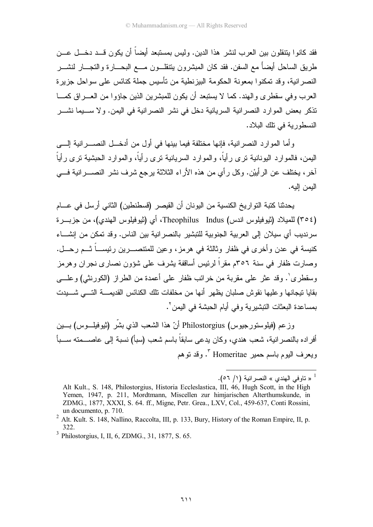فقد كانو ا ينتقلون بين العرب لنشر هذا الدين. وليس بمستبعد أيضاً أن يكون قـــد دخـــل عـــن طريق الساحل أيضاً مع السفن. فقد كان المبشر ون بنتقلـــون مــــع البحــــار ة والنجـــار لنشــــر النصر انية، وقد تمكنوا بمعونة الحكومة البيزنطية من تأسيس جملة كنائس على سواحل جزيرة العرب وفي سقطري والهند. كما لا يستبعد أن يكون للمبشرين الذين جاؤوا من العـــراق كمــــا تذكر بعض الموارد النصرانية السريانية دخل في نشر النصرانية في اليمن. ولا ســـيما نشـــر النسطورية في نلك البلاد.

و أما الموار د النصر انية، فإنها مختلفة فيما بينها في أول من أدخـــل النصــــر انية إلــــي اليمن، فالمو ار د اليونانية نر ي ر أياً، و المو ار د السر يانية نر ي ر أياً، و المو ار د الحبشية نر ي ر أياً أخر، يختلف عن الرأييْن. وكل رأي من هذه الأراء الثلاثة يرجع شرف نشر النصــــرانية فــــي البمن البه.

يحدثنا كتبة التواريخ الكنسية من اليونان أن القيصر (فسطنطين) الثاني أرسل في عـــام (٣٥٤) للميلاد (ثيوفيلوس اندس) Theophilus Indus، أي (ثيوفيلوس الهندي)، من جزيـــرة سرنديب أي سيلان إلى العربية الجنوبية للتبشير بالنصر انية بين الناس. وقد تمكن من إنشـــاء كنيسة في عدن وأخرى في ظفار وثالثة في هرمز، وعين للمتنصــــرين رئيســــاً ثـــم رحـــل. وصبارت ظفار ً في سنة ٢٥٦م مقر اً لرئيس أساقفة بِشرف علي شوَّون نصبار ي نجر ان و هر مز وسقطر ي'. وقد عثر ً على مقربة من خرائب ظفار ً على أعمدة من الطر از (الكورنثي) و علـــي بقايا نيجانها و عليها نقوش صلبان يظهر أنها من مخلفات تلك الكنائس القديمــــة التــــى شــــبدت بمساعدة البعثات النبشير بـة و في أيام الحبشة في اليمن `.

وزعم (فيلوستورجيوس) Philostorgius أنّ هذا الشعب الذي بشَّر (ثيوفيلـــوس) بــــين أفر اده بالنصر انية، شعب هندي، وكان يدعى سابقاً باسم شعب (سبأ) نسبة إلى عاصـــمته ســـبأ ويعرف اليوم باسم حمير Homeritae ". وقد نوهم

<sup>4 «</sup> تاوفي الهندي » النصر انية (١/ ٥٦).

Alt Kult., S. 148, Philostorgius, Historia Eccleslastica, III, 46, Hugh Scott, in the High Yemen, 1947, p. 211, Mordtmann, Miscellen zur himjarischen Alterthumskunde, in ZDMG., 1877, XXXI, S. 64. ff., Migne, Petr. Grea., LXV, Col., 459-637, Conti Rossini, un documento, p. 710.

<sup>&</sup>lt;sup>2</sup> Alt. Kult. S. 148, Nallino, Raccolta, III, p. 133, Bury, History of the Roman Empire, II, p.

<sup>&</sup>lt;sup>3</sup> Philostorgius, I. II, 6, ZDMG., 31, 1877, S, 65.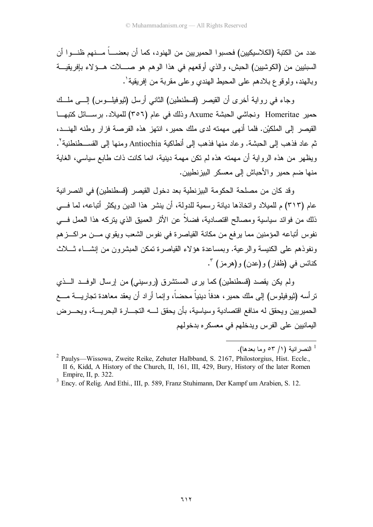عدد من الكتبة (الكلاسيكيين) فحسبو ا الحمير بين من الهنود، كما أن بعضــــاً مـــنهم ظنـــو ا أن السبئيين من (الكوشيين) الحبش، والذي أو قعهم في هذا الو هم هو حســـلات هـــوَ لاء بـإفريقيـــة وبالهند، ولوقوع بلادهم على المحيط الهندي وعلى مقربة من إفريقية'.

وجاء في رواية أخرى أن القيصر (قسطنطين) الثاني أرسل (ثيوفيلـــوس) إلــــي ملـــك حمير Homeritae ونجاشي الحبشة Axume وذلك في عام (٣٥٦) للميلاد. برســائل كتبهــا القيصر إلى الملكيْن. فلما أنهى مهمته لدى ملك حمير ، انتهز هذه الفرصة فزار وطنه الهنــد، ثم عاد فذهب إلى الحبشة. وعاد منها فذهب إلى أنطاكية Antiochia ومنها إلى القســطنطنية'. ويظهر من هذه الرواية أن مهمته هذه لم نكن مهمة دينية، انما كانت ذات طابع سياسي، الغاية منها ضم حمير والأحباش إلى معسكر البيزنطيين.

وقد كان من مصلحة الحكومة البيزنطية بعد دخول القيصر (قسطنطين) في النصرانية عام (٣١٣) م للميلاد واتخاذها ديانة رسمية للدولة، أن ينشر هذا الدين ويكثر أتباعه، لما في ذلك من فوائد سياسية ومصالح اقتصادية، فضلاً عن الأثر العميق الذي يتركه هذا العمل فـــي نفوس أتباعه المؤمنين مما يرفع من مكانة القياصرة في نفوس الشعب ويقوى مـــن مراكـــز هم ونفوذهم على الكنيسة والر عية. وبمساعدة هؤ لاء القياصر ة تمكن المبشر ون من إنشـــاء ثــــلاث كنائس في (ظفار ) و (عدن) و (هر مز ) ".

ولم يكن يقصد (قسطنطين) كما يرى المستشرق (روسيني) من إرسال الوفــد الـــذي نز أسه (ثيوفيلوس) إلى ملك حمير ، هدفاً دينياً محضاً، وإنما أراد أن يعقد معاهدة نجاريــــة مــــع الحميريين ويحقق له منافع اقتصادية وسياسية، بأن يحقق لــــه التجــــارة البحريـــة، ويحــــرض اليمانيين على الفرس ويدخلهم في معسكر ه بدخولهم

<sup>&</sup>lt;sup>1</sup> النصر انية (١/ ٥٣ وما يعدها).

<sup>&</sup>lt;sup>2</sup> Paulys—Wissowa, Zweite Reike, Zehuter Halbband, S. 2167, Philostorgius, Hist. Eccle., II 6. Kidd, A History of the Church, II, 161, III, 429, Bury, History of the later Romen Empire, II, p. 322.

<sup>&</sup>lt;sup>3</sup> Ency. of Relig. And Ethi., III, p. 589, Franz Stuhimann, Der Kampf um Arabien, S. 12.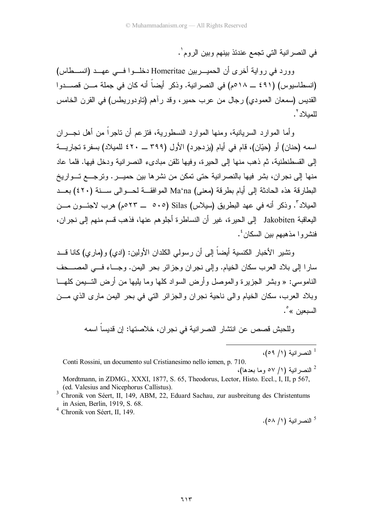في النصر انية التي تجمع عندئذ بينهم وبين الروم`.

وورد في رواية أخرى أن الحميــربين Homeritae دخلــوا فـــي عهــد (انســطاس) (انسطاسيوس) (٤٩١ ـــ ٥١٨م) في النصر انية. وذكر أيضاً أنه كان في جملة مـــن قصـــدوا القديس (سمعان العمودي) رجال من عرب حمير، وقد رآهم (تاودوريطس) في القرن الخامس للمبلاد '.

وأما الموارد السريانية، ومنها الموارد النسطورية، فتزعم أن تاجراً من أهل نجـــران اسمه (حنان) أو (حبّان)، قام في أبام (بز دجر د) الأول (٣٩٩ ـــ ٤٢٠ للمبلاد) بسفر ة تجار بـــة إلى القسطنطنية، ثم ذهب منها إلى الحيرة، وفيها نلقن مبادىء النصر انية ودخل فيها. فلما عاد منها إلى نجران، بشر فيها بالنصرانية حتى تمكن من نشرها بين حميـــر. وترجـــع تـــواريخ البطارقة هذه الحادثة إلى أيام بطرقة (معنى) Maʿna الموافقة لحـوالي ســنة (٤٢٠) بعــد المبلاد". وذكر أنه في عهد البطريق (سبلاس) Silas (٥٠٥ ـــ ٥٢٣م) هرب لاجئـــون مـــن اليعاقبة Jakobiten إلى الحيرة، غير أن النساطرة أجلوهم عنها، فذهب قسم منهم إلى نجران، فنشر وا مذهبهم بين السكان ُ.

ونشير الأخبار الكنسية أيضـاً إلى أن ر سولمي الكلدان الأولين: (ادى) و (مار ي) كانا قـــد سارًا إلى بلاد العرب سكان الخيام. وإلى نجران وجزائر بحر اليمن. وجــاء فـــى المصـــحف الناموسي: « وبشر الجزيرة والموصل وأرض السواد كلها وما يليها من أرض التــبمن كلهـــا وبلاد العرب، سكان الخيام والى ناحية نجران والجزائر التي في بحر اليمن ماري الذي مـــن السيعين »°.

وللحبش قصص عن انتشار النصر انية في نجر ان، خلاصتها: إن قديسا اسمه

ا النصر انية (١/ ٥٩)،

Conti Rossini, un documento sul Cristianesimo nello iemen, p. 710.

 $^{2}$  النصر انبة (١/ ٥٧ وما بعدها)، Mordtmann, in ZDMG., XXXI, 1877, S. 65, Theodorus, Lector, Histo. Eccl., I, II, p 567, (ed. Valesius and Nicephorus Callistus).

<sup>3</sup> Chronik von Séert, II, 149, ABM, 22, Eduard Sachau, zur ausbreitung des Christentums in Asien, Berlin, 1919, S. 68.

<sup>4</sup> Chronik von Séert, II, 149.

<sup>5</sup> النصر انية (١/ ٥٨).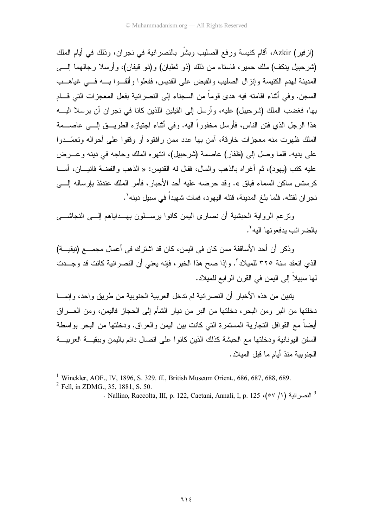(ازفير) Azkir، أقام كنيسة ورفع الصليب وبشَّر بالنصر انية في نجران، وذلك في أيام الملك (شرحبيل بنكف) ملك حمير، فاستاء من ذلك (ذو ثعلبان) و(ذو قيفان)، وأرسلا رجالهما إلــــى المدينة لمهدم الكنيسة وإنزال الصليب والقبض على القديس، ففعلوا وألق وا بسه فسى غياهــب السجن. وفي أثناء اقامته فيه هدى قوماً من السجناء إلى النصر انية بفعل المعجز ات التي قـــام بها، فغضب الملك (شرحبيل) عليه، وأرسل إلى القيلين اللذين كانا في نجران أن يرسلا اليـــه هذا الرجل الذي فتن الناس، فأرسل مخفوراً اليه. وفي أثناء اجتيازه الطريسق إلـــي عاصـــمة الملك ظهرت منه معجزات خارقة، آمن بها عدد ممن رافقوه أو وقفوا على أحواله وتعمّــدوا علي بديه. فلما وصل إلى (ظفار ) عاصمة (شر حبيل)، انتهر ه الملك وحاجه في دينه و عـــر ض عليه كتب (يهود)، ثم أغراه بالذهب والمال، فقال له القديس: « الذهب والفضة فانيـــان، أمـــا كرستس ساكن السماء فباق ». وقد حرضه عليه أحد الأحبار، فأمر الملك عندئذ بإرساله إلــــى نجر ان لقتله. فلما بلغ المدينة، قتله اليهو د، فمات شهيداً في سبيل دينه ٰ.

ونز عم الروابة الحبشبة أن نصار ي البمن كانوا برسيلون بهــداباهم إلـــي النجاشـــي بالضر ائب يدفعونها اليه `.

وذكر أن أحد الأساقفة ممن كان في اليمن، كان قد اشترك في أعمال مجمــــع (نبقيـــة) الذي انعقد سنة ٣٢٥ للميلاد". وإذا صح هذا الخبر ، فإنه يعني أن النصر انية كانت قد وجـــدت لَّها سببلاً إلى البِمن في القر ن الر ابع للمبلاد.

يتبين من هذه الأخبار أن النصر انية لم ندخل العربية الجنوبية من طريق واحد، وإنمـــا دخلتها من البر ومن البحر، دخلتها من البر من ديار الشأم إلى الحجاز فاليمن، ومن العــــراق أيضـاً مـع القو افل التجارية المستمرة التي كانت بين اليمن والـعراق. ودخلتها من البـحر بواسطـة السفن اليونانية ودخلتها مع الحبشة كذلك الذين كانو ا على اتصال دائم باليمن وببقيـــة العربيـــة الجنوبية منذ أيام ما قبل الميلاد.

<sup>&</sup>lt;sup>1</sup> Winckler, AOF., IV, 1896, S. 329. ff., British Museum Orient., 686, 687, 688, 689.

<sup>&</sup>lt;sup>2</sup> Fell. in ZDMG., 35, 1881, S. 50.

<sup>.</sup> Nallino, Raccolta, III, p. 122, Caetani, Annali, I, p. 125 (٥٧/١)  $^{3}$  النصر انبة (٥٧/١)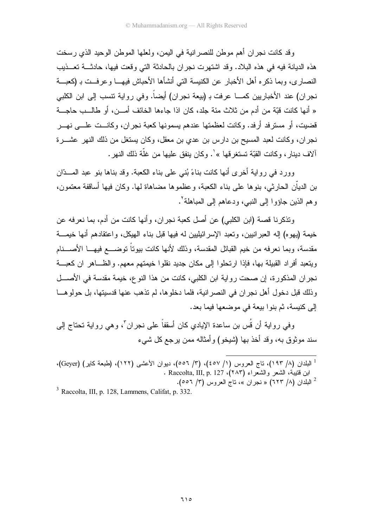و قد كانت نجر ان أهم مو طن للنصر انية في اليمن، ولعلها الموطن الوحيد الذي رسخت هذه الديانة فيه في هذه البلاد. وقد اشتهرت نجر ان بالحادثة التي وقعت فيها، حادثـــة تعـــذيب النصاري، وبما ذكره أهل الأخبار عن الكنيسة التي أنشأها الأحباش فيهـــا وعرفــت بـ (كعبـــة نجران) عند الأخباريين كمــــا عرفت بـ (بيعة نجران) أيضـاً. وفي رواية تتسب إلى ابن الكلبي « أنها كانت قبّة من أدم من ثلاث مئة جلد، كان اذا جاءها الخائف أمـــن، أو طالـــب حاجـــة قضيت، أو مسترفد أرفد. وكانت لعظمتها عندهم يسمونها كعبة نجران، وكانــت علـــى نهـــر نجر إن، وكانت لعبد المسيح بن دارس بن عدي بن معقل، وكان يستغل من ذلك النهر عشـــرة آلاف دينار ، وكانت القبّة تستغر قها »'. وكان ينفق عليها من غلّة ذلك النهر .

وورد في رواية أخرى أنها كانت بناءً بُنبي على بناء الكعبة. وقد بناها بنو عبد المسدّان بن الديَّان الحارثي، بنو ها علي بناء الكعبة، و عظمو ها مضاهاة لها. وكان فيها أساقفة معتمون، و هم الذين جاؤوا إلى النبي، ودعاهم إلى المباهلة<sup>؟</sup>.

وتذكرنا قصبة (ابن الكلبي) عن أصل كعبة نجر إن، و أنها كانت من أدم، بما نعرفه عن خيمة (يهوه) إله العبر انيين، وتعبد الإسر ائيليين له فيها قبل بناء الهيكل، واعتقادهم أنها خيمـــة مقدسة، وبما نعرفه من خيم القبائل المقدسة، وذلك لأنها كانت بيوناً توضــــع فيهــــا الأصــــنام ويتعبد أفر اد القبيلة بها، فإذا ارتحلوا إلى مكان جديد نقلوا خيمتهم معهم. والظــاهر ان كعبـــة نجر ان المذكور ة، إن صحت رو ابة ابن الكلبي، كانت من هذا النو ع، خيمة مقدسة في الأصــــل و ذلك قبل دخو ل أهل نجر ان في النصر انية، فلما دخلو ها، لم تذهب عنها قدسيتها، بل حو لو هـــا إلى كنيسة، ثم بنو ا بيعة في موضعها فيما بعد.

وفي رواية أن قُس بن ساعدة الإيادي كان أسقفاً على نجران ّ، وهي رواية تحتاج إلى سند موثوق به، وقد أخذ بها (شيخو ) وأمثاله ممن بر جع كل شيء

 $3$  Raccolta, III, p. 128, Lammens, Califat, p. 332.

<sup>&</sup>lt;sup>1</sup> البلدان (٨/ ١٩٣)، ناج العروس (١/ ٤٥٧)، (٣/ ٥٥٦)، ديوان الأعشى (١٢٢)، (طبعة كاير) (Geyer)، ابن فتيبة، الشعر والشعراء (٢٨٣). Raccolta, III, p. 127 .

<sup>&</sup>lt;sup>2</sup> البلدان (٨/ ٦٢٣) « نجران »، ناج العروس (٣/ ٥٥٦).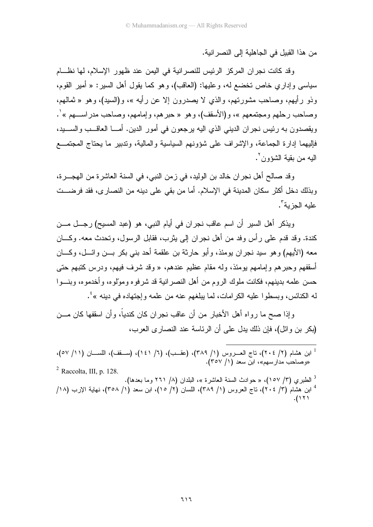من هذا القبيل في الجاهلية إلى النصر انية.

وقد كانت نجران المركز الرئيس للنصرانية في اليمن عند ظهور الإسلام، لها نظـــام سياسي وإداري خاص تخضع له، وعليها: (العاقب)، وهو كما يقول أهل السير: « أمير القوم، وذو رأيهم، وصاحب مشورتهم، والذي لا يصدرون إلا عن رأيه »، و(السيد)، وهو « ثمالهم، وصاحب رحلهم ومجتمعهم »، و(الأسقف)، وهو « حبرهم، وإمامهم، وصاحب مدراســـهم » ْ. ويقصدون به رئيس نجران الديني الذي اليه يرجعون في أمور الدين. أمــــا العاقـــب والســــيد، فإليهما إدارة الجماعة، والإشراف على شؤونهم السياسية والمالية، وتدبير ما يحتاج المجتمــع البه من يقبة الشؤون ".

وقد صالح أهل نجران خالد بن الوليد، في زمن النبي، في السنة العاشرة من الهجـــرة، وبذلك دخل أكثر سكان المدينة في الإسلام. أما من بقي على دينه من النصاري، فقد فرضـــت عليه الجزية".

ويذكر أهل السير أن اسم عاقب نجران في أيام النبي، هو (عبد المسيح) رجــل مـــن كندة. وقد قدم على رأس وفد من أهل نجران إلى يثرب، فقابل الرسول، وتحدث معه. وكـــان معه (الأيهم) و هو سيد نجر ان يومئذ، و أبو حارثة بن علقمة أحد بني بكر بـــن و ائـــل، و كــــان أسقفهم وحبرهم وإمامهم بومئذ، وله مقام عظيم عندهم، « وقد شرف فيهم، ودرس كتبهم حتى حسن علمه بدينهم، فكانت ملوك الروم من أهل النصر انية قد شرفوه ومولوه، وأخدموه، وبنـــوا له الكنائس، وبسطوا عليه الكرامات، لما يبلغهم عنه من علمه وإجتهاده في دينه »<sup>؛</sup>.

وإذا صح ما رواه أهل الأخبار ً من أن عاقب نجر ان كان كندياً، و أن اسقفها كان مـــن (بكر بن وائل)، فإن ذلك يدل على أن الرئاسة عند النصارى العرب،

- ا ابن هشام (٢/ ٢٠٤)، ناج العـــروس (١/ ٣٨٩)، (عقــب)، (٦/ ١٤١)، (ســـقف)، اللســــان (١١/ ٥٧)، .<br>«وصاحب مدارسهم»، ابن سعد (١/ ٣٥٧).  $^2$  Raccolta, III, p. 128.
- <sup>3</sup> الطبري (٣/ ١٥٧)، « حوادث السنة العاشرة »، البلدان (٨/ ٢٦١ وما بعدها). <sup>4</sup> ابن هشام (٣/ ٢٠٤)، ناج العروس (١/ ٣٨٩)، اللسان (٢/ ١٥)، ابن سعد (١/ ٣٥٨)، نهاية الإرب (١٨/  $.$ (۱۲۱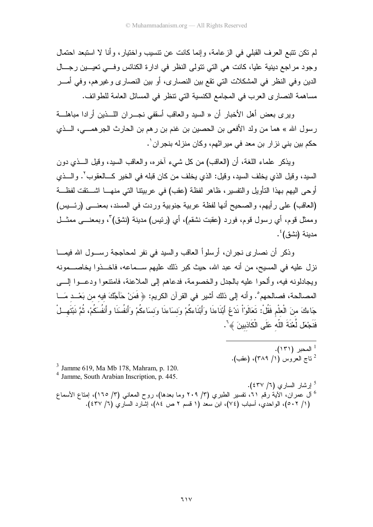لم نكن نتبع العرف القبلي في الزعامة، وإنما كانت عن نتسيب واختيار، وأنا لا استبعد احتمال وجود مراجع دينية عليا، كانت هي التي نتولى النظر في ادارة الكنائس وفي تعيـــين رجـــال الدين وفي النظر في المشكلات التي تقع بين النصارى، أو بين النصارى وغيرهم، وفي أمـــر مساهمة النصاري العرب في المجامع الكنسية التي نتظر في المسائل العامة للطوائف.

ويرى بعض أهل الأخبار أن « السيد والعاقب أسقفي نجـــران اللــــذين أرادا مباهلــــة رسول الله » هما من ولد الأفعى بن الحصين بن غنم بن رهم بن الحارث الجرهمـــي، الـــذي حكم بين بني نزار بن معد في ميراثهم، وكان منزله بنجران ٰ.

ويذكر علماء اللغة، أن (العاقب) من كل شيء آخره، والعاقب السيد، وقيل الـــذي دون السيد، وقيل الذي يخلف السيد، وقيل: الذي يخلف من كان قبله في الخير كـــالعقوب ْ. والــــذي أوحى اليهم بهذا النَّاويل والنفسير، ظاهر لفظة (عقب) في عربيتنا التي منهـــا اشـــنقت لفظـــة (العاقب) على رأيهم، والصحيح أنها لفظة عربية جنوبية وردت في المسند، بمعنـــي (رئـــيس) وممثل قوم، أي رسول قوم، فورد (عقبت نشقم)، أي (رئيس) مدينة (نشق) ٌ، وبمعنــــي ممثـــل مدينة (نشق) ُ'.

وذكر أن نصار ي نجر ان، أرسلواً العاقب والسيد في نفر المحاججة رســول الله فيمـــا نزل عليه في المسيح، من أنه عبد الله، حيث كبر ذلك عليهم ســماعه، فاخــذوا يخاصـــمونه ويجادلونه فيه، وألحوا عليه بالجدل والخصومة، فدعاهم إلى الملاعنة، فامتنعوا ودعــوا إلـــي المصـالحة، فصـالحهم ْ. وأنه إلى ذلك أشير في القرآن الكريم: ﴿ فَمَنْ حَآجَّكَ فيه من بَعْــد مَــا جَاءكَ منَ الْعلْمِ فَقُلْ: تَعَالَوْاْ نَدْعُ أَبْنَاءنَا وَأَبْنَاءكُمْ وَنسَاءنَا وَنسَاءكُمْ وَأَنفُسَنَا وأنفُسكُمْ، ثُمَّ نَبْتَهــلْ فَنَجْعَل لَّعْنَةَ اللّه عَلَى الْكَاذِبِينَ ﴾ ْ .

> $(151)$  المحبر (١٣١). <sup>2</sup> ناج العروس (1/ ٣٨٩)، (عقب).

 $3$  Jamme 619, Ma Mb 178, Mahram, p. 120.

- <sup>4</sup> Jamme, South Arabian Inscription, p. 445.
- <sup>5</sup> إرشار السارى (٦/ ٤٣٧). <sup>6</sup> أل عمران، الأية رقم ٢١، نفسير الطبري (٣/ ٢٠٩ وما بعدها)، روح المعاني (٣/ ١٦٥)، إمتاع الأسماع (١/ ٥٠٢)، الواحدي، أسباب (٧٤)، ابن سعد (١ قسم ٢ ص ٨٤)، إشارد الساري (٦/ ٤٣٧).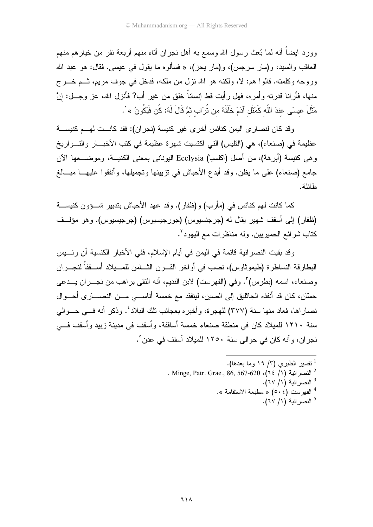وور د ايضاً أنه لما بُعث رسول الله وسمع به أهل نجر ان أتاه منهم أربعة نفر ً من خيار هم منهم العاقب والسيد، و(مار سرجس)، و(مار يحز)، « فسألوه ما يقول في عيسى. فقال: هو عبد الله وروجه وكلمته. قالوا هم: لا، ولكنه هو الله نزل من ملكه، فدخل في جوف مريم، ثــم خــرج منها، فأرانا قدرته وأمره، فهل رأيت قط إنساناً خلق من غير أب? فأنزل الله، عز وجـــل: إنَّ مَثَلَ عبسَى عندَ اللّه كَمَثَل آدَمَ خَلَقَهُ من تُرَاب ثمَّ قَالَ لَهُ: كُن فَبِكُونُ » ٰ .

وقد كان لنصارى اليمن كنائس أخرى غير كنيسة (نجران): فقد كانست لهسم كنيســـة عظيمة في (صنعاء)، هي (القليس) التي اكتسبت شهرة عظيمة في كتب الأخبـــار والتـــواريخ و هي كنيسة (أبر هة)، من أصل (اكلسيا) Ecclysia اليوناني بمعنى الكنيسة، وموضـــعها الآن جامع (صنعاء) على ما يظن. وقد أبدع الأحباش في نزيبينها وتجميلها، وأنفقوا عليهـــا مبـــالـغ طائلة.

كما كانت لهم كنائس في (مأرب) و(ظفار). وقد عهد الأحباش بتدبير شـــؤون كنيســـة (ظفار) إلى أسقف شهير يقال له (جرجنسيوس) (جورجيسيوس) (جرجيسيوس). وهو مؤلف كتاب شرائع الحميريين. وله مناظرات مع اليهود '.

وقد بقيت النصر انية قائمة في اليمن في أيام الإسلام، ففي الأخبار الكنسية أن رئـــيس البطارقة النساطرة (طيموثاوس)، نصب في أواخر القـــرن الثـــامن للمـــيلاد أســـقفاً لنجـــران وصنعاء، اسمه (بطرس)". وفي (الفهرست) لابن النديم، أنه النقي براهب من نجـــران يـــدعى حسّان، كان قد أنفذه الجائليق إلى الصين، ليتفقد مع خمسة أناســـي مـــن النصــــاري أحـــوال نصار إها، فعاد منها سنة (٣٧٧) للهجرة، و أخبر ه بعجائب تلك البلاد ُ. وذكر أنه فسي حسوالي سنة ١٢١٠ للميلاد كان في منطقة صنعاء خمسة أساقفة، وأسقف في مدينة زبيد وأسقف فـــي نجران، وأنه كان في حوالي سنة ١٢٥٠ للميلاد أسقف في عدن ْ.

- <sup>1</sup> تفسير الطبرى (٣/ ١٩ وما بعدها). . Minge, Patr. Grae., 86, 567-620 (٦٤ /١) " <sup>3</sup> النصر انية (١/ ٦٧). <sup>4</sup> الفهرست (٥٠٤) « مطبعة الاستقامة ».
	- <sup>5</sup> النصر انية (١/ ٦٧).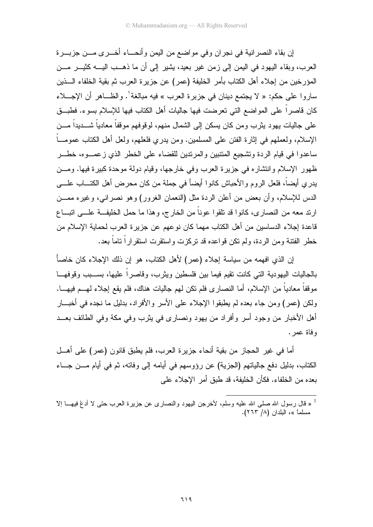إن بقاء النصرانية في نجران وفي مواضع من اليمن وأنحـــاء أخـــرى مـــن جزبـــرة العرب، وبقاء اليهود في اليمن إلى زمن غير بعيد، يشير إلى أن ما ذهــب اليـــه كثيـــر مـــن المؤرخين من إجلاء أهل الكتاب بأمر الخليفة (عمر) عن جزيرة العرب ثم بقية الخلفاء الـــذين ساروا على حكم: « لا يجتمع دينان في جزيرة العرب » فيه مبالغة'. والظــاهر أن الإجـــلاء كان قاصر اً على المواضع التي تعرضت فيها جاليات أهل الكتاب فيها للإسلام بسوء. فطبـــق علي جاليات يهو د يثر ب و من كان يسكن إلى الشمال منهم، لو فو فهم مو قفاً معادياً شـــديداً مـــن الإسلام، ولعملهم في إثارة الفتن على المسلمين. ومن يدري فلعلهم، ولعل أهل الكتاب عمومـــاً ساعدوا في قيام الردة وتشجيع المتنبين والمرتدين للقضاء على الخطر الذي ز عصــوه، خطــر ظهور الإسلام وانتشاره في جزيرة العرب وفي خارجها، وقيام دولة موحدة كبيرة فيها. ومـــن يدري أيضاً، فلعل الروم والأحباش كانوا أيضاً في جملة من كان محرض أهل الكتـــاب علــــي الدس للإسلام، و أن بعض من أعلن الردة مثل (النعمان الغرور) وهو نصر انبي، وغير ه ممـــن ارند معه من النصاري، كانوا قد نلقوا عوناً من الخارج، وهذا ما حمل الخليفـــة علــــى اتبــــاع قاعدة إجلاء الدساسين من أهل الكتاب مهما كان نوعهم عن جزيرة العرب لحماية الإسلام من خطر الفتنة ومن الردة، ولم نكن قواعده قد نركزت واستقرت استقراراً ناماً بعد.

إن الذي افهمه من سياسة إجلاء (عمر ) لأهل الكتاب، هو إن ذلك الإجلاء كان خاصاً بالجاليات اليهودية التبي كانت نقيع فيما بين فلسطين ويثرب، وقاصراً عليها، بســـبب وقوفهـــا موقفاً معادياً من الإسلام، أما النصارى فلم نكن لهم جاليات هناك، فلم يقع إجلاء لهـــم فيهـــا. ولكن (عمر) ومن جاء بعده لم يطبقوا الإجلاء على الأسر والأفراد، بدليل ما نجده في أخبـــار أهل الأخبار من وجود أسر وأفر اد من يهود ونصار ي في بِثر ب وفي مكة وفي الطائف بعـــد وفاة عمر .

أما في غير الحجاز من بقية أنحاء جزيرة العرب، فلم يطبق قانون (عمر) على أهــل الكتاب، بدليل دفع جالياتهم (الجزية) عن رؤوسهم في أيامه إلى وفاته، ثم في أيام مـــن جـــاء بعده من الخلفاء. فكأن الخليفة، قد طبق أمر الإجلاء على

لا قال رسول الله صلى الله عليه وسلم، لأخرجن اليهود والنصارى عن جزيرة العرب حتى لا أدغ فيهـــا إلا " مسلماً »، البلدان (٨/ ٢٦٣).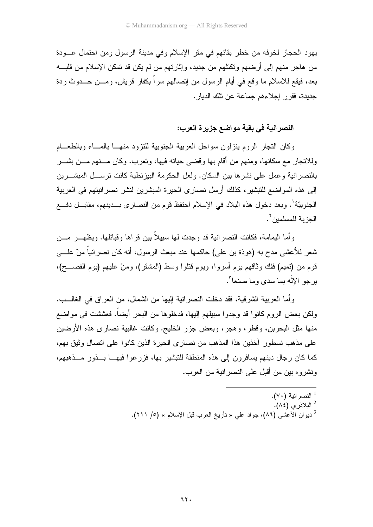يهود الحجاز لخوفه من خطر بقائهم في مقر الإسلام وفي مدينة الرسول ومن احتمال عـــودة من هاجر منهم إلى أرضهم وتكتلهم من جديد، وإثارتهم من لم يكن قد تمكن الإسلام من قلبـــه بعد، فيقع للاسلام ما وقع في أيام الرسول من إنصالهم سراً بكفارٍ قريش، ومـــن حـــدوث ردة جديدة، فقرر إجلاءهم جماعة عن تلك الديار .

## النصر انية في بقية مواضع جزيرة العرب:

وكان التجار الروم بنزلون سواحل العربية الجنوبية للنزود منهسا بالمساء وبالطعسام وللاتجار ً مع سكانها، ومنهم من أقام بها وقضبي حياته فيها، وتعرب. وكان مـــنهم مـــن بشـــر بالنصر انية و عمل على نشر ها بين السكان. ولعل الحكومة البيز نطية كانت تر ســـل المبشـــر بن إلى هذه المواضع للتبشير ، كذلك أرسل نصارى الحيرة المبشرين لنشر نصر انيتهم في العربية الجنوبيّة'. وبعد دخول هذه البلاد في الإسلام احتفظ قوم من النصاري بـــدينهم، مقابـــل دفـــع الجزية للمسلمين ".

و أما اليمامة، فكانت النصر انية قد وجدت لها سبيلاً بين قر اها وقبائلها. ويظهـــر ٍ مـــن شعر للأعشى مدح به (هوذة بن علي) حاكمها عند مبعث الرسول، أنه كان نصر انباً منّ علـــي قوم من (تميم) ففك وثاقهم يوم أسروا، ويوم قتلوا وسط (المشقر)، ومنّ عليهم (يوم الفصـــح)، برجو الإله بما سدي وما صنعا".

وأما العربية الشرقية، فقد دخلت النصرانية إليها من الشمال، من العراق في الغالـــب. ولكن بعض الروم كانوا قد وجدوا سبيلهم إليها، فدخلوها من البحر أيضاً. فعششت في مواضع منها مثل البحرين، وقطر، وهجر، وبعض جزير الخليج. وكانت غالبية نصاري هذه الأرضين على مذهب نسطور أخذين هذا المذهب من نصارى الحيرة الذين كانوا على انصال وثيق بهم، كما كان رجال دينهم يسافرون إلى هذه المنطقة للتبشير بها، فزرعوا فيهـــا بـــذور مـــذهبهم، ونشروه بين من أقبل على النصر انية من العرب.

> <sup>1</sup> النصر انية (٧٠). - البلاذري (٨٤). <sup>3</sup> ديوان الأعشى (٨٦)، جواد على « تأريخ العرب قبل الإسلام » (٥/ ٢١١).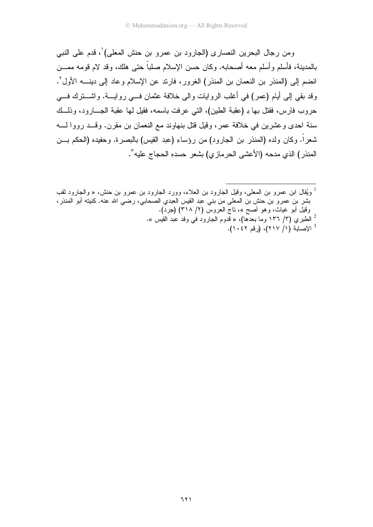ومن رجال البحرين النصارى (الجارود بن عمرو بن حنش المعلى) ٰ، قدم على النبي بالمدينة، فأسلم و أسلم معه أصحابه. وكان حسن الإسلام صلباً حتى هلك، وقد لام قومه ممـــن انضم إلىي (المنذر بن النعمان بن المنذر) الغرور، فارند عن الإسلام وعاد إلى دينــــه الأول ْ. وقد بقى إلى أيام (عمر) في أغلب الروايات والى خلافة عثمان فـــي روايــــة. واشــــنزك فــــي حروب فارس، فقتل بها بـ (عقبة الطين)، التي عرفت باسمه، فقيل لها عقبة الجـــارود، وذلـــك سنة احدى وعشرين في خلافة عمر، وقيل قتل بنهاوند مع النعمان بن مقرن. وقــد رووا لــــه شعر اً. وكان ولده (المنذر بن الجارود) من رؤساء (عبد القيس) بالبصرة. وحفيده (الحكم بـــن المنذر ) الذي مدحه (الأعشى الحر ماز ي) بشعر حسده الحجاج عليه".

ويُقال ابن عمرو بن المعلى، وقيل الجارود بن العلاء، وورد الجارود بن عمرو بن حنش، « والجارود لقب  $^1$ بشر بن عمرو بن حنش بن المعلى من بنبي عبد القيس العبدي الصحابي، رضـي الله عنـه. كنيته أبو المنذر، وقيل أبو غياث، وهو أصح »، ناج العروس (٢/ ٣١٨) (جرد). <sup>2</sup> الطبري (٣/ ١٣٦ وما بعدها)، « قدوم الجارود في وفد عبد القيس ».  $(1 \cdot 27 \cdot 1)$  (( 1 / ٢١٧)، (رقم ١٠٤٢).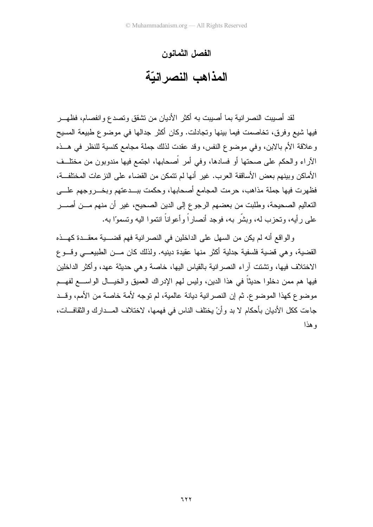## الفصل الثمانون المذاهب النصر انبّة

لقد أصيبت النصر انية بما أصيبت به أكثر الأديان من تشقق وتصدع وانفصام، فظهــر فيها شيع وفرق، تخاصمت فيما بينها وتجادلت. وكان أكثر جدالها في موضوع طبيعة المسيح و علاقة الأم بالابن، وفي موضوع النفس، وقد عقدت لذلك جملة مجامع كنسية للنظر ً في هــذه الأراء والحكم على صحتها أو فسادها، وفي أمر أصحابها، اجتمع فيها مندوبون من مختلف الأماكن وبينهم بعض الأساقفة العرب. غير أنها لم تتمكن من القضاء على النز عات المختلفــة، فظهرت فيها جملة مذاهب، حرمت المجامع أصحابها، وحكمت ببـــدعتهم وبخــــروجهم علــــي التعاليم الصحيحة، وطلبت من بعضهم الرجوع إلى الدين الصحيح، غير أن منهم مـــن أصــــر على رأيه، وتحزب له، وبشَّر به، فوجد أنصاراً وأعواناً انتموا اليه وتسموَّا به.

و الو اقع أنه لم يكن من السهل على الداخلين في النصر انية فهم قضــــية معقـــدة كهـــذه القضية، وهي قضية فلسفية جدلية أكثر منها عقيدة دينيه. ولذلك كان مـــن الطبيعـــي وقـــوع الاختلاف فيها، ونتثنت أراء النصرانية بالقياس اليها، خاصة وهي حديثة عهد، وأكثر الداخلين فيها هم ممن دخلوا حديثاً في هذا الدين، وليس لهم الإدراك العميق والخيـــال الواســــع لفهـــم موضوع كهذا الموضوع. ثم إن النصرانية ديانة عالمية، لم توجه لأمة خاصة من الأمم، وقــد جاءت ككل الأديان بأحكام لا بد وأنْ يختلف الناس في فهمها، لاختلاف المـــدارك والثقافـــات، و هذا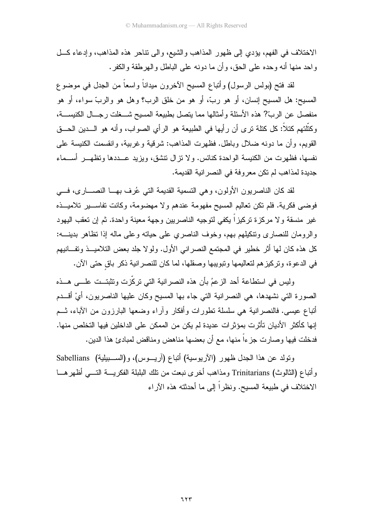الاختلاف في الفهم، يؤدي إلى ظهور المذاهب والشيع، والى نتاحر هذه المذاهب، وإدعاء كلَّ و احد منها أنه و حده على الحق، و أن ما دونه على الباطل و الـهر طقة و الكفر .

لقد فتح (بولس الرسول) وأتباع المسيح الأخرون مبداناً واسعاً من الجدل في موضوع المسيح: هل المسيح إنسان، أو هو ربَّ، أو هو من خلق الرب؟ وهل هو والربِّ سواء، أو هو منفصل عن الربَّ? هذه الأسئلة وأمثالها مما يتصل بطبيعة المسيح شـــغلت رجـــال الكنيســـة، وكتَّلتهم كتلاً: كل كتلة نرى أن رأيها في الطبيعة هو الرأي الصواب، وأنه هو الـــدين الحـــق القويم، وأن ما دونه ضلال وباطل. فظهرت المذاهب: شرقية وغربية، وانقسمت الكنيسة على نفسها، فظهرت من الكنيسة الواحدة كنائس. ولا نزال نتشق، ويزيد عـــددها وتظهـــر أســـماء جديدة لمذاهب لم تكن معروفة في النصر انية القديمة.

لقد كان الناصريون الأولون، وهي التسمية القديمة التي عُرف بهـــا النصــــار ي، فـــي فوضيي فكرية. فلم نكن تعاليم المسيح مفهومة عندهم ولا مهضومة، وكانت نفاســـير تلاميـــذه غير منسقة ولا مركزة تركيزاً يكفى لتوجيه الناصريين وجهة معينة واحدة. ثم إن تعقب اليهود والرومان للنصارى ونتكيلهم بهم، وخوف الناصري على حيانه وعلى ماله إذا نظاهر بدينــــه: كل هذه كان لها أثر خطير في المجتمع النصراني الأول. ولو لا جلد بعض التلاميـــذ وتفـــانيهم في الدعوة، وتركيز هم لتعاليمها وتبويبها وصقلها، لما كان للنصر انية ذكر باق حتى الآن.

وليس في استطاعة أحد الزعمُ بأن هذه النصرانية التي تركَّزت وتثبتــت علـــي هـــذه الصورة التي نشهدها، هي النصر انية التي جاء بها المسيح وكان عليها الناصريون، أيْ أقـــدم أتباع عيسى. فالنصر انية هي سلسلة نطورات وأفكار وأراء وضعها البارزون من الأباء، نسم إنها كأكثر الأديان تأثَّرت بمؤثِّر ات عديدة لم يكن من الممكن على الداخلين فيها التخلص منها. فدخلت فيها وصارت جزءاً منها، مع أن بعضها مناهض ومناقض لمبادئ هذا الدين.

ونولد عن هذا الجدل ظهور (الأريوسية) أنباع (آريـــوس)، و(الســـبيلية) Sabellians وأتباع (الثالوث) Trinitarians ومذاهب أخرى نبعت من نلك البلبلة الفكريـــة التـــي أظهرهـــا الاختلاف في طبيعة المسيح. ونظراً إلى ما أحدثته هذه الأراء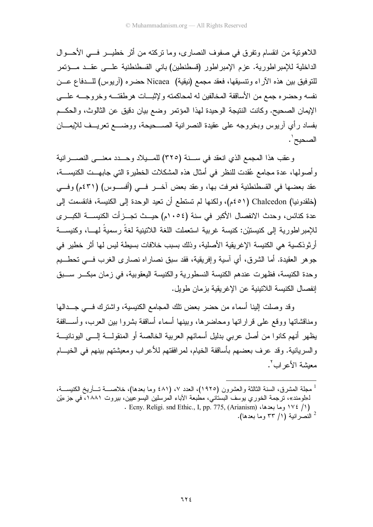اللاهونية من انقسام ونفر ق في صفوف النصار ي، وما نركته من أثر خطيـــر فـــي الأحـــوال الداخلية للإمبر اطورية. عزم الإمبر اطور (فسطنطين) باني القسطنطنية علــي عقــد مــؤتمر للتوفيق بين هذه الآراء وتتسيقها، فعقد مجمع (نيقية) Nicaea حضره (آريوس) للـــدفاع عـــن نفسه وحضره جمع من الأساقفة المخالفين له لمحاكمته ولإثبسات هرطقتسه وخروجسه علسى الإيمان الصحيح. وكانت النتيجة الوحيدة لهذا المؤتمر وضع بيان دقيق عن الثالوث، والحكــم بفساد رأي أريوس وبخروجه على عقيدة النصرانية الصـــحيحة، ووضـــع تعريـــف للإيمــــان الصحيح ٰ .

وعقب هذا المجمع الذي انعقد في سنة (٣٢٥) للمسيلاد وحسدد معنسى النصــــرانية وأصولها، عدة مجامع عُقدت للنظر في أمثال هذه المشكلات الخطيرة التي جابهــت الكنيســـة، عقد بعضها في القسطنطنية فعرفت بها، وعقد بعض أخــر فـــي (أفســـوس) (٤٣١م) وفـــي (خلقدونيا) Chalcedon (٥١م)، ولكنها لم تستطع أن تعيد الوحدة إلى الكنيسة، فانقسمت إلى عدة كنائس، وحدث الإنفصال الأكبر في سنة (١٠٥٤م) حبيث تجيز أت الكنبسية الكبير ي للإمبر اطور ية إلى كنيستيْن: كنيسة غربية استعملت اللغة اللاتينية لغةً رسميةً لهـــا، وكنيســـة أر ثو ذكسية هي الكنيسة الإغريقية الأصلية، وذلك بسبب خلافات بسيطة ليس لها أثر خطير في جوهر العقيدة. أما الشرق، أي آسية وإفريقية، فقد سبق نصاراه نصاري الغرب فــي تحطـــيم وحدة الكنيسة، فظهرت عندهم الكنيسة النسطورية والكنيسة اليعقوبية، في زمان مبكـــر ســـبق إنفصال الكنيسة اللاتينية عن الإغر يقية بز مان طويل.

وقد وصلت إلينا أسماء من حضر بعض تلك المجامع الكنيسية، واشترك فـــ جـــدالها ومناقشاتها ووقع علىي قراراتها ومحاضرها، وبينها أسماء أساقفة بشروا بين العرب، وأســـاقفة يظهر أنهم كانوا من أصل عربي بدليل أسمائهم العربية الخالصة أو المنقولـــة إلــــى اليونانيـــة والسريانية. وقد عرف بعضهم بأساقفة الخيام، لمرافقتهم للأعراب ومعيشتهم بينهم في الخيـــام معبشة الأعر اب ْ .

<sup>&</sup>lt;sup>1</sup> مجلة المشرق، السنة الثالثة والعشرون (١٩٢٥)، العدد ٧، (٤٨١ وما بعدها)، خلاصــــة تـــأريخ الكنيســـة، ل«لومند»، ترجمة الخوري يوسف البستاني، مطبعة الأباء المرسلين اليسوعيين، بيروت ١٨٨١، في جزءيْن . Ecny. Religi. snd Ethic., I, pp. 775, (Arianism) ، وما بعدها، ١٧٤ . <sup>2</sup> النصر انية (١/ ٣٣ وما بعدها).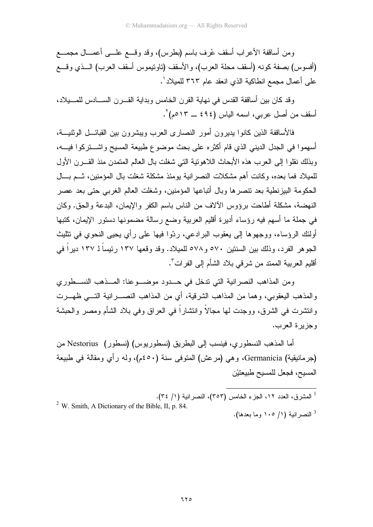ومن أساقفة الأعراب أسقف عُرف باسم (بطرس)، وقد وقسع علـــي أعمـــال مجمــــع (أفسوس) بصفة كونه (أسقف محلة العرب)، والأسقف (ناونيموس أسقف العرب) الـــذي وقـــع على أعمال مجمع انطاكية الذي انعقد عام ٣٦٣ للميلاد'.

وقد كان بين أساقفة القدس في نهاية القرن الخامس وبداية القـــرن الســــادس للمــــيلاد، أسقف من أصل عربي، اسمه الياس (٤٩٤ ــ ٥١٣م)<sup>7</sup>.

فالأساقفة الذين كانوا يديرون أمور النصارى العرب ويبشرون بين القبائـــل الوثنيـــة، أسهمو! في الجدل الديني الذي قام أكثر ه على بحث موضوع طبيعة المسيح واشـــتركو! فيـــه، وبذلك نقلوا إلى العرب هذه الأبحاث اللاهونية التي شغلت بال العالم المتمدن منذ القـــرن الأول للميلاد فما بعده، وكانت أهم مشكلات النصرانية يومئذ مشكلة شغلت بال المؤمنين، ثـــم بـــال الحكومة البيزنطية بعد نتصرها وبال أنباعها المؤمنين، وشغلت العالم الغربي حتى بعد عصر النهضة، مشكلة أطاحت برؤوس الألاف من الناس باسم الكفر والإيمان، البدعة والحق. وكان في جملة ما أسهم فيه رؤساء أديرة أقليم العربية وضع رسالة مضمونها دستور الإيمان، كتبها أولئك الرؤساء، ووجهوها إلى يعقوب البرادعي، ردّوا فيها على رأي يحيى النحوي في نتثليث الجوهر الفرد، وذلك بين السنتين ٧٠ه و٧٨ه للميلاد. وقد وقعها ١٣٧ رئيساً لـ ١٣٧ ديراً في أقليم العربية الممتد من شر في بلاد الشأم إلى الفر ات ّ.

ومن المذاهب النصرانية التي ندخل في حــدود موضـــوعنا: المـــذهب النســطوري والمذهب اليعقوبي، وهما من المذاهب الشرقية، أي من المذاهب النصـــــرانية التــــي ظهــــرت و انتشرت في الشرق، ووجدت لمها مجالاً و انتشار اً في العراق وفي بلاد الشأم ومصر و الحبشة وجزيرة العرب.

أما المذهب النسطوري، فينسب إلى البطريق (نسطوريوس) (نسطور) Nestorius من (جرمانيقية) Germanicia، وهي (مرعش) المتوفى سنة (٤٥٠م)، وله رأي ومقالة في طبيعة المسيح، فجعل للمسيح طبيعتيْن

<sup>1</sup> المشرق، العدد ١٢، الجزء الخامس (٣٥٣)، النصر انية (١/ ٣٤).  $2$  W. Smith, A Dictionary of the Bible, II, p. 84. <sup>3</sup> النصر انبة (١/ ١٠٥ وما بعدها).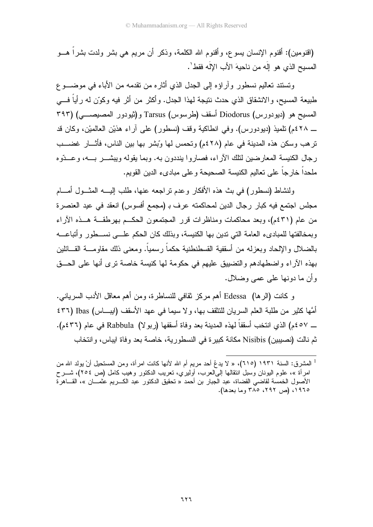(اقنومين): أقنوم الإنسان يسوع، وأقنوم الله الكلمة، وذكر أن مريع هي بشر ولدت بشراً هـــو المسيح الذي هو إلَه من ناحيهَ الأبِ الإلَه فقط'.

ونستند نعاليم نسطور وأراؤه إلى الجدل الذي أثاره من نقدمه من الأباء في موضـــو ع طبيعة المسيح، والانشقاق الذي حدث ننيجة لهذا الجدل. وأكثر من أثر فيه وكوّن له رأياً فـــي المسيح هو (ديودورس) Diodorus أسقف (طرسوس) Tarsus و(ثيودور المصيصـــي) (٣٩٣ \_ ٤٢٨م) نلميذ (ديودورس). وفي انطاكية وقف (نسطور) على أراء هذيْن العالميْن، وكان قد ترهب وسكن هذه المدينة في عام (٢٨٤م) وتحمس لها وّبشر بها بين الناس، فأثـــار غضـــب رجال الكنيسة المعارضين لنلك الأراء، فصاروا بنددون به. وبما يقوله وبيشـــر بـــه، وعـــدّوه ملحداً خارجاً على تعاليم الكنيسة الصحيحة وعلى مبادىء الدين القويم.

ولنشاط (نسطور) في بث هذه الأفكار وعدم نراجعه عنها، طلب البسه المشــول أمـــام مجلس اجتمع فيه كبار رجال الدين لمحاكمته عرف بـ (مجمع أفسوس) انعقد في عيد العنصرة من عام (٤٣١م)، وبعد محاكمات ومناظرات قرر المجتمعون الحكــم بهرطقـــة هـــذه الآراء وبمخالفتها للمبادىء العامة التي ندين بها الكنيسة، وبذلك كان الحكم علـــي نســـطور وأتباعـــه بالضلال والإلحاد وبعزله من أسقفية القسطنطنية حكماً رسمياً. ومعنى ذلك مقاومــــة القــــائلين بهذه الأراء واضطهادهم والنضييق عليهم في حكومة لها كنيسة خاصة نرى أنها على الحــق و أن ما دونها علي عمي وضلال.

و كانت (الرها) Edessa أهم مركز ثقافي للنساطرة، ومن أهم معاقل الأدب السرياني. أُمَّها كثيرٍ من طلبة العلم السريان للتثقف بها، ولا سيما في عهد الأسقف (ايباس) Ibas (٤٣٦ ــ ٤٥٧م) الذي انتخب أسقفاً لهذه المدينة بعد وفاة أسقفها (ربو لا) Rabbula في عام (٤٣٦م). ثم نالت (نصيبين) Nisibis مكانة كبير ة في النسطور ية، خاصة بعد وفاة ايباس، و انتخاب

<sup>&</sup>lt;sup>1</sup> المشرق: السنة ١٩٣١ (٦١٥)، « لا يدعُ أحد مريم أم الله لأنها كانت امرأة، ومن المستحيل أنْ يولد الله من امرأة »، علوم اليونان وسبل انتقالها إلىالعرب، أوليري، نعريب الدكتور وهيب كامل (ص ٢٥٤)، شـــرح الأصول الخمسة لقاضي القضاة، عبد الجبار بن أحمد « تحقيق الدكتور عبد الكـــريم عثمــــان »، القــــاهر ة ١٩٦٥، (ص ٢٩٢، ٢٨٥ وما بعدها).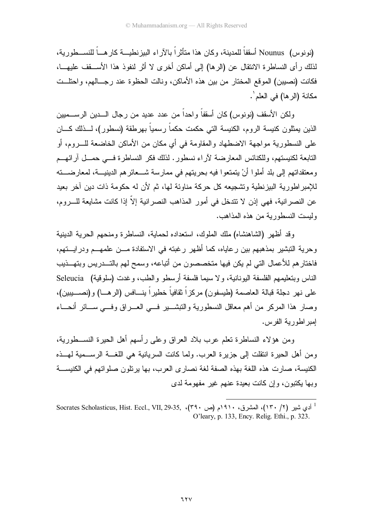(نو نو س) Nounus أسقفاً للمدينة، و كان هذا متأثر أ بالآر اء البيز نطيسة كار هـباً للنســـطور بـة، لذلك ر أي النساطر ة الانتقال عن (الر ها) إلى أماكن أخر ي لا أثر لنفوذ هذا الأســـقف عليهـــا، فكانت (نصيبن) الموقع المختار من بين هذه الأماكن، ونالت الحظوة عند رجــالـهم، واحتلــت مكانة (الرها) في العلم ٰ.

ولكن الأسقف (نونوس) كان أسقفاً واحداً من عدد عديد من رجال الــــدين الرســـميين الذين يمثلون كنيسة الروم، الكنيسة الني حكمت حكماً رسمياً بهرطقة (نسطور)، لـــذلك كــــان على النسطورية مواجهة الاضطهاد والمقاومة في أي مكان من الأماكن الخاضعة للـــروم، أو التابعة لكنيستهم، وللكنائس المعارضة لأراء نسطور . لذلك فكر النساطرة فسي حمسل أرائهسم ومعتقداتهم إلى بلد أملوا أنْ يتمتعوا فيه بحريتهم في ممارسة شـــعائرهم الدينيـــة، لمعارضـــته للإمبراطورية البيزنطية وتشجيعه كل حركة مناوئة لها، ثم لأن له حكومة ذات دين آخر بعيد عن النصر انبة، فهي إذن لا تتدخل في أمور المذاهب النصر انبة إلاّ إذا كانت مشابعة للـــر و م، وليست النسطورية من هذه المذاهب.

وقد أظهر (الشاهنشاه) ملك الملوك، استعداده لحماية، النساطرة ومنحهم الحرية الدينية وحرية التبشير بمذهبهم بين رعاياه، كما أظهر رغبته في الاستفادة مـــن علمهـــم ودرايـــتهم، فاختار هم للأعمال التي لم يكن فيها متخصصون من أتباعه، وسمح لهم بالتـــدر بس وبتهـــذيب الناس وبتعليمهم الفلسفة اليونانية، و لا سيما فلسفة أر سطو والطب، و غدت (سلوقية) Seleucia على نهر دجلة قبالة العاصمة (طيسفون) مر كز اً ثقافياً خطير اً ينـــافس (الر هـــا) و (نصـــيبين)، وصار هذا المركر من أهم معاقل النسطورية والنبشـــير فـــي العــــراق وفـــي ســــائر أنـحـــاء إمبر اطور بية الفر س.

ومن هؤلاء النساطرة نعلم عرب بلاد العراق وعلى رأسهم أهل الحيرة النســـطورية، ومن أهل الحيرة انتقلت إلى جزيرة العرب. ولما كانت السريانية هي اللغـــة الرســـمية لـهـــذه الكنيسة، صارت هذه اللغة بهذه الصفة لغة نصار ي العرب، بها ير نلون صلو اتهم في الكنيســة وبها يكتبون، وإن كانت بعيدة عنهم غير مفهومة لدى

<sup>&</sup>lt;sup>1</sup> أدى شير (٢/ ١٣٠)، المشرق، ١٩١٠م (ص ٢٩٠)، Socrates Scholasticus, Hist. Eccl., VII, 29-35, ، (٢٩٠) O'leary, p. 133, Ency. Relig. Ethi., p. 323.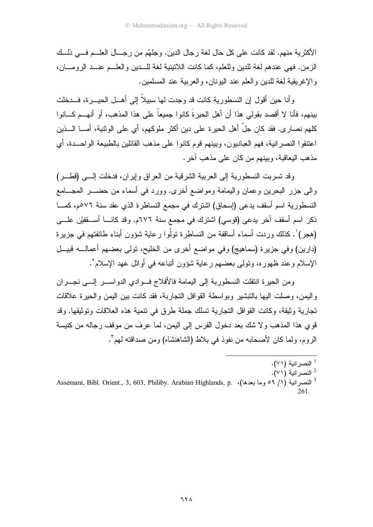الأكثرية منهم. لقد كانت على كل حال لغة رجال الدين. وجلهّم من رجـــال العلـــم فـــي ذلـــك الزمن. فهي عندهم لغة للدين وللعلم، كما كانت اللاتينية لغة للسدين والعلسم عنسد الرومسان، و الإغريقية لغة للدين والعلم عند اليونان، والعربية عند المسلمين.

وأنا حين أقول إن النسطورية كانت قد وجدت لها سبيلاً إلى أهـــل الحيــــرة، فـــدخلت بينهم، فأنا لا أقصد بقولى هذا أن أهل الحيرةَ كانوا جميعاً على هذا المذهب، أو أنهـــم كـــانوا كلهم نصار ي. فقد كان جلَّ أهل الحيرة على دين أكثر ملوكهم، أي على الوثنية، أمـــا الــــذين اعتنقوا النصرانية، فهم العباديون، وبينهم قوم كانوا على مذهب القائلين بالطبيعة الواحــدة، أي مذهب البعاقبة، وبينهم من كان على مذهب آخر .

وقد تسربت النسطورية إلى العربية الشرقية من العراق وإيران، فدخلت إلـــى (قطـــر) والى جزر البحرين وعمان واليمامة ومواضع أخرى. وورد في أسماء من حضـــر المجـــامع النسطورية اسم أسقف يدعى (إسحاق) اشترك في مجمع النساطرة الذي عقد سنة ٧٦مم، كمـــا ذكر اسم أسقف آخر يدعى (قوسى) اشترك في مجمع سنة ٦٧٦م. وقد كانـــا أســـقفيْن علـــي (هجر) ْ. كذلك وردت أسماء أساقفة من النساطرة نولُّوا رعاية شؤون أبناء طائفتهم في جزيرة (دارين) وفي جزيرة (سماهيج) وفي مواضع أخرى من الخليح، تولَّى بعضهم أعمالــــه قبيـــل الإسلام و عند ظهور ه، وتولَّى بعضهم ر عاية شؤون أتباعه في أوائل عهد الإسلام ْ .

ومن الحيرة انتقلت النسطوربة إلى اليمامة فالأفلاج فــوادي الدواســـر إلـــي نجـــران واليمن، وصلت اليها بالنبشير وبواسطة القوافل النجاربة، فقد كانت بين اليمن والحيرة علاقات تجارية وثيقة، وكانت القوافل التجارية تسلك جملة طرق في نتمية هذه العلاقات وتوثيقها. وقد قوى هذا المذهب ولا شك بعد دخول الفرس إلى اليمن، لما عرف من موقف رجاله من كنيسة الر و م، ولما كان لأصحابه من نفوذ في بلاط (الشاهنشاه) و من صداقته لهم".

- <sup>1</sup> النصر انية (٧١).
- <sup>2</sup> النصر انية (٧١).
- Assemani, Bibl. Orient., 3, 603, Philiby. Arabian Highlands, p. (1) وما بعدها)، Assemani, Bibl. Orient., 3, 603, Philiby. Arabian Highlands, p. 261.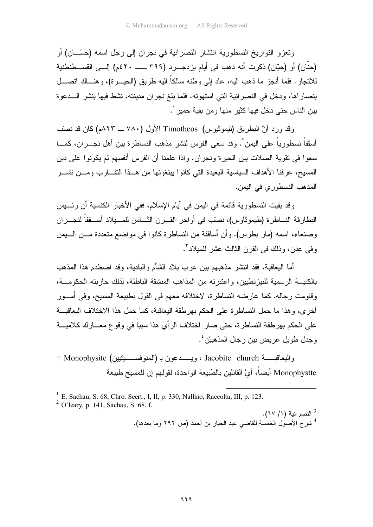ونعزو النواريخ النسطورية انتشار النصرانية في نجران إلى رجل اسمه (حسّــان) أو (حنَّان) أو (حيّان) ذكر ت أنه ذهب في أيام يز دجــر د (٣٩٩ ـــــــــ ٤٢٠م) إلـــي القســطنطنية للانجار . فلما أنجز ما ذهب اليه، عاد إلى وطنه سالكاً اليه طريق (الحيـــرة)، وهنـــاك اتصــــل بنصار اها، ودخل في النصر انية التي استهوته. فلما بلغ نجر ان مدينته، نشط فيها بنشر الـــدعوة بين الناس حتى دخل فيها كثير منها ومن بقية حمير '.

وقد ورد أنّ البطريق (نيموثيوس) Timotheos الأول (٧٨٠ ــ ٨٢٣م) كان قد نصّب أسقفاً نسطورياً على اليمن `. وقد سعى الفرس لنشر مذهب النساطرة بين أهل نجـــران، كمــــا سعوا في نقوية الصلات بين الحيرة ونجران. واذا علمنا أن الفرس أنفسهم لم يكونوا على دين المسيح، عرفنا الأهداف السياسية البعيدة التبي كانوا ببتغونها من هــذا التقـــارب ومـــن نشـــر المذهب النسطور ى في البمن.

وقد بقيت النسطورية قائمة في اليمن في أيام الإسلام، ففي الأخبار الكنسية أن رئـــيس البطارقة النساطرة (طيموثاوس)، نصّب في أواخر القـــرن الثـــامن للمـــيلاد أســـقفاً لنجـــران وصنعاء، اسمه (مار بطرس). وأن أساقفة من النساطرة كانوا في مواضع متعددة مـــن الـــبمن و في عدن، وذلك في القر ن الثالث عشر للميلاد ".

أما البعاقبة، فقد انتشر مذهبهم بين عرب بلاد الشأم والبادية، وقد اصطدم هذا المذهب بالكنبسة الرسمية للبيز نطبين، واعتبر ته من المذاهب المنشقة الباطلة، لذلك حار بته الحكومـــة، وقاومت رجاله. كما عارضه النساطرة، لاختلافه معهم في القول بطبيعة المسيح، وفي أمـــور أخرى، وهذا ما حمل النساطرة على الحكم بهرطقة اليعاقبة، كما حمل هذا الاختلاف اليعاقبـــة على الحكم بهر طقة النساطر ة، حتى صار ِ اختلاف الر أي هذا سبباً في وقوع معـــار ك كلاميــــة و جدل طويل عر بض بين ر جال المذهبيْن <sup>؛</sup> .

واليعاقبـــــة Jacobite church ، ويـــــدعون بـ (المنوفســـــيتيين) Monophysite = Monophystte أيضاً، أيْ القائلين بالطبيعة الو احدة، لقو لهم إن للمسيح طبيعة

<sup>&</sup>lt;sup>1</sup> E. Sachau, S. 68, Chro. Seert., I, II, p. 330, Nallino, Raccolta, III, p. 123.

 $^{2}$  O'leary, p. 141, Sachau, S. 68. f.

<sup>&</sup>lt;sup>3</sup> النصر انية (١/ ٦٧). <sup>4</sup> شرح الأصول الخمسة للقاضي عبد الجبار بن أحمد (ص ٢٩٢ وما بعدها).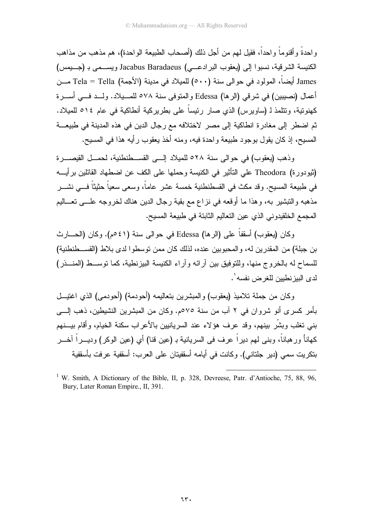و احدةً و أفنوماً و احداً، فقيل لمهم من أجل ذلك (أصحاب الطبيعة الواحدة)، هم مذهب من مذاهب الكنيسة الشر قية، نسبو ا إلى (يعقوب البر ادعـــي) Jacabus Baradaeus ويســـمـي بـ (جـــيمس) James أيضاً، المولود في حوالي سنة (٥٠٠) للميلاد في مدينة (الأجمة) Tela = Tella مـــن أعمال (نصيبين) في شرقي (الرها) Edessa والمتوفى سنة ٥٧٨ للمـــيلاد. ولـــد فـــي أســـرة كهنونية، ونتلمذ لـ (ساويرس) الذي صار رئيساً على بطريركية أنطاكية في عام ١٤٥ للميلاد. ثم اضطر إلى مغادرة انطاكية إلى مصر لاختلافه مع رجال الدين في هذه المدينة في طبيعـــة المسيح، إذ كان يقول بوجود طبيعة واحدة فيه، ومنه أخذ يعقوب رأيه هذا في المسيح.

وذهب (يعقوب) في حوالي سنة ٢٨ه للميلاد إلــي القســطنطنية، لحمــل القيصــــرة (ثيودورة) Theodora على التأثير في الكنيسة وحملها على الكف عن اضطهاد القائلين برأيـــه في طبيعة المسيح. وقد مكث في القسطنطنية خمسة عشر عاماً، وسعى سعياً حثيثاً فـــي نشـــر مذهبه والتبشير به، وهذا ما أوقعه في نزاع مع بقية رجال الدين هناك لخروجه علـــي تعـــاليم المجمع الخلقيدوني الذي عين التعاليم الثابتة في طبيعة المسيح.

وكان (يعقوب) أسقفاً على (الرها) Edessa في حوالي سنة (٤١مم). وكان (الحــــارث بن جبلة) من المقدرين له، والمحبوبين عنده، لذلك كان ممن توسطوا لدى بلاط (القســطنطنية) للسماح له بالخر و ج منها، وللتوفيق بين آر ائه وآر اء الكنيسة البيز نطية، كما توســط (المنـــذر ) لدي البيز نطبين للغر ض نفسه'.

وكان من جملة تلاميذ (يعقوب) والمبشرين بتعاليمه (أحودمة) (أحودمي) الذي اغتيــل بأمر كسر ى أنو شروان فى ٢ آب من سنة ٧٥م. وكان من المبشرين النشيطين، ذهب إلـــى بنبي تغلب وبشَّر بينهم، وقد عرف هؤلاء عند السريانيين بالأعراب سكنة الخيام، وأقام بيـــنهم كمهاناً ورهباناً، وبنـى لمهم ديراً عرف فـى السريانية بـ (عين قنا) أي (عين الوكر) وديـــراً آخـــر بتكريت سمي (دير جلتاني). وكانت في أيامه أسقفيتان على العرب: أسقفية عرفت بأسقفية

<sup>&</sup>lt;sup>1</sup> W. Smith, A Dictionary of the Bible, II, p. 328, Devreese, Patr. d'Antioche, 75, 88, 96, Bury, Later Roman Empire., II, 391.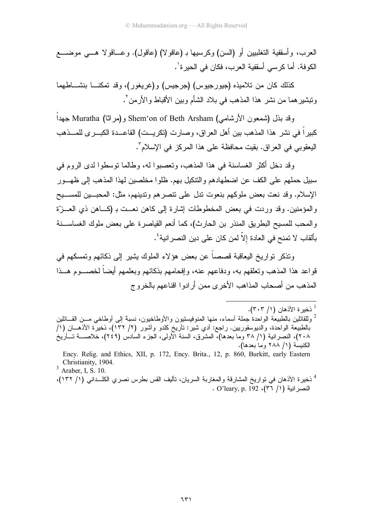العرب، وأسقفية التغلبيين أو (السن) وكرسيها بـ (عاقولا) (عاقول). وعـــاقولا هـــي موضــــع الكو فة. أما كر سي أسقفية العر ب، فكان في الحير ة`.

كذلك كان من تلاميذه (جيورجيوس) (جرجيس) و(غريغور)، وقد تمكنـــا بنشــــاطـهما ونبشير هما من نشر هذا المذهب في بلاد الشأم وبين الأقباط والأرمن ْ .

وقد بذل (شمعون الأرشامي) Shem'on of Beth Arsham و(مراثا) Muratha جهدا كبيرٍ أ في نشرٍ هذا المذهب بين أهل العراق، وصارت (تكريست) القاعـــدة الكبـــر ي للمـــذهب البعقوبي في العر اق. بقبت محافظة على هذا المركز ً في الإسلام".

وقد دخل أكثر الغساسنة في هذا المذهب، وتعصبوا له، وطالما توسطوا لدى الروم في سبيل حملهم على الكف عن اضطهادهم والنتكيل بهم. ظلوا مخلصين لهذا المذهب إلى ظهـــور الإسلام. وقد نعت بعض ملوكهم بنعوت تدل على نتصر هم وتدبنهم، مثل: المحبـــبن للمســـبح والمؤمنين. وقد وردت في بعض المخطوطات إشارة إلى كاهن نعــت بـ (كـــاهن ذي العـــزَّة و المحب للمسبح البطريق المنذر بن الحارث)، كما أنعم القباصر ة على بعض ملوك الغساســنة بألقاب لا تمنح في العادة إلاّ لمن كان على دين النصر انية ٔ .

وتذكر تو ار يخ اليعاقبة قصصاً عن بعض هوَ لاء الملوك بشير إلى ذكائهم وتمسكهم في قواعد هذا المذهب وتعلقهم به، ودفاعهم عنه، وإفحامهم بذكائهم وبعلمهم أيضاً لخصـــوم هـــذا المذهب من أصبحاب المذاهب الأخر ي ممن أر ادوا اقناعهم بالخر و ج

 $3$  Araber, I, S. 10.

<sup>4</sup> ذخيرة الأذهان في تواريخ المشارقة والمغاربة السريان، تأليف القس بطرس نصرى الكلــداني (١/ ١٣٢)، . O'leary, p. 192 .(٣٦ /١) فنصرانية

<sup>&</sup>lt;sup>1</sup> ذخير ة الأذهان (١/ ٣٠٣).

<sup>&</sup>lt;sup>2</sup> وللقائلين بالطبيعة الواحدة جملة أسماء، منها المنوفيستيون والأوطاخيون، نسبة إلى أوطاخي مـــن القـــائلين بالطبيعة الواحدة، والديوسقوريين. راجع: أدي شير : تأريخ كلدو وآشور (٢/ ١٣٢)، ذخيرٌة الأذهـــان (١/ ٢٠٨)، النصرانية (١/ ٣٨ وما بعدها)، المشرق، السنة الأولى، الجزء السادس (٢٤٩)، خلاصــــة تـــأريخُ الكنيسة (١/ ٢٨٨ وما بعدها).

Ency. Relig. and Ethics, XII, p. 172, Ency. Brita., 12, p. 860, Burkitt, early Eastern Christianity, 1904.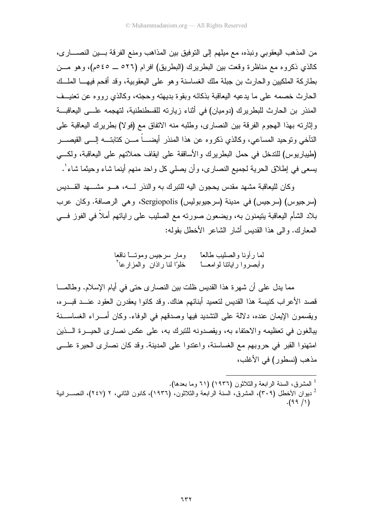من المذهب اليعقوبي ونبذه، مع ميلهم إلى النوفيق بين المذاهب ومنع الفرقة بسين النصساري، كالذي ذكروه مع مناظرة وقعت بين البطريرك (البطريق) افرام (٥٢٦ \_ ٤٥مم)، وهو مـــن بطاركة الملكيين والحارث بن جبلة ملك الغساسنة وهو على اليعقوبية، وقد أفحم فيهـــا الملـــك الحارث خصمه على ما يدعيه اليعاقبة بذكائه وبقوة بديهته وحجته، وكالذي رووه عن تعنيــف المنذر بن الحارث للبطريرك (دوميان) في أثناء زيارته للقسطنطنية، لتهجمه علــي اليعاقبـــة وإثارته بهذا الهجوم الفرقة بين النصاري، وطلبه منه الاتفاق مع (فولا) بطريرك البعاقبة على النَّاخي ونوحيد المساعي، وكالذي ذكروه عن هذا المنذر أيضــــاً مـــن كتابتــــه إلــــى القيصـــــر (طيباريوس) للندخل في حمل البطريرك والأساقفة على ايقاف حملاتهم على اليعاقبة، ولكسى يسعى في إطلاق الحرية لجميع النصاري، وأن يصلي كل واحد منهم أينما شاء وحيثما شاء'.

وكان للبعاقبة مشهد مقدس بحجون البه للنبرك به والنذر لــــه، هـــو مشــــهد القـــدبس (سرجيوس) (سرجيس) في مدينة (سرجيوبوليس) Sergiopolis، وهي الرصافة. وكان عرب بلاد الشأم اليعاقبة ينيمنون به، ويضعون صورته مع الصليب على راياتهم أملاً في الفوز فـــي المعارك. والى هذا القديس أشار الشاعر الأخطل بقوله:

مما يدل على أن شهرة هذا القديس ظلت بين النصاري حتى في أيام الإسلام. وطالمـــا قصد الأعراب كنيسة هذا القديس لتعميد أبنائهم هناك. وقد كانوا يعقدرن العقود عنــد قبـــره، ويقسمون الإيمان عنده، دلالة على التشديد فيها وصدقهم في الوفاء. وكان أمـــراء الغساســـنة يبالغون في تعظيمه والاحتفاء به، ويقصدونه للتبرك به، على عكس نصارى الحيـــرة الــــذين امتهنوا القبر في حروبهم مع الغساسنة، واعتدوا على المدينة. وقد كان نصارى الحيرة علـــى مذهب (نسطور ) في الأغلب،

```
<sup>1</sup> المشرق، السنة الرابعة والثلاثون (١٩٣٦) (٦١ وما بعدها).
<sup>2</sup> ديوان الأخطل (٣٠٩)، المشرق، السنة الرابعة والثلاثون، (١٩٣٦)، كانون الثانبي، ٢ (٢٤٧)، النصـــرانية
```
 $.(99/1)$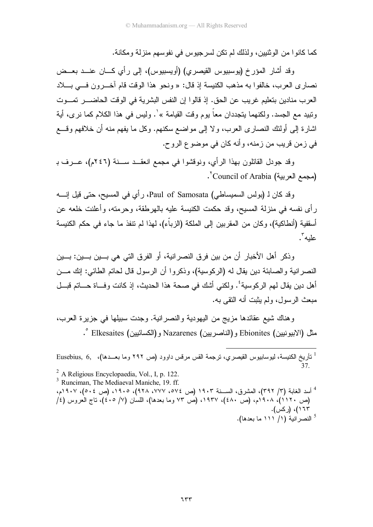كما كانو ا من الو ثنيين، و لذلك لم تكن لسر جيوس في نفوسهم منز لة و مكانة.

وقد أشار المؤرخ (يوسبيوس القيصري) (أويسبيوس)، إلى رأى كـــان عنـــد بعـــض نصاري العرب، خالفوا به مذهب الكنيسة إذ قال: « ونحو هذا الوقت قام آخـــرون فـــي بــــلاد العرب منادين بتعليم غريب عن الحق. إذ قالوا إن النفس البشرية في الوقت الحاضــــر تمـــوت ونبيد مع الجسد. ولكنهما يتجددان معاً يوم وقت القيامة » ْ. وليس في هذا الكلام كما نرى، أية اشارة إلى أولئك النصاري العرب، ولا إلى مواضع سكنهم. وكل ما يفهم منه أن خلافهم وقسع في زمن قريب من زمنه، وأنه كان في موضوع الروح.

وقد جودل القائلون بهذا الرأي، ونوقشوا في مجمع انعقــد ســـنة (٢٤٦م)، عـــرف بـ . Council of Arabia (مجمع العربية)

و قد كان لـ (بولس السمبساطي) Paul of Samosata، ر أي في المسبح، حتى قبل إنسـه ر أي نفسه في منزلة المسبح، وقد حكمت الكنبسة علبه بالـهرطقة، وحرمته، وأعلنت خلعه عن أسقفية (أنطاكية)، وكان من المقربين إلى الملكة (الزباء)، لهذا لم نتفذ ما جاء في حكم الكنيسة عليه".

وذكر أهل الأخبار أن من بين فرق النصر انية، أو الفرق التي هي بـــين بـــين: بـــين النصر انية والصابئة دين يقال له (الركوسية)، وذكروا أن الرسول قال لحاتم الطائي: إنك مـــن أهل دبن بقال لهم الركوسبة ُ'. ولكني أشك في صبحة هذا الحديث، إذ كانت وفساة حساتم قبسل مبعث الرسول، ولم يثبت أنه النقى به.

وهناك شيع عقائدها مزيج من اليهودية والنصر انية. وجدت سبيلها في جزيرة العرب، مثل (الابيونيين) Ebionites و(الناصريين) Nazarenes و(الكسائيين) Elkesaites °.

<sup>2</sup> A Religious Encyclopaedia, Vol., I, p. 122.

- <sup>3</sup> Runciman. The Mediaeval Maniche, 19. ff.
- <sup>4</sup> أسد الغابة (٣/ ٣٩٢)، المشرق، الســـنة ١٩٠٣ (ص ٧٧٤، ٧٧٧، ٩٢٨)، ١٩٠٥، (ص ٥٠٤)، ١٩٠٧م، (ص ١٢٠١)، ٩٠٨أم، (ص ٤٨٠)، ١٩٣٧، (ص ٧٣ وما بعدها)، اللسان (٧/ ٤٠٥)، ناج العروس (٤/ ۱٦۳)، (رکس). 5 النصر انية (١/ ١١١ ما بعدها).

<sup>&</sup>lt;sup>1</sup> نأريخ الكنيسة، ليوسابيوس القيصري، نرجمة القس مرقس داوود (ص ٢٩٢ وما بعـــدها)، Eusebius, 6, ،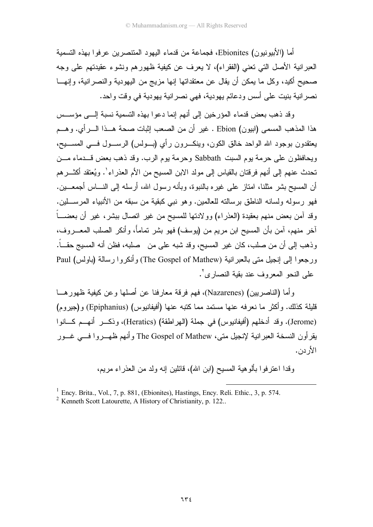أما (الأبيونيون) Ebionites، فجماعة من قدماء اليهود المنتصرين عرفو ا بهذه التسمية العبر انية الأصل التي تعني (الفقر اء)، لا يعرف عن كيفية ظهور هم ونشوء عقيدتهم على وجه صحيح أكيد، وكل ما يمكن أن يقال عن معتقداتها إنها مزيج من اليهودية والنصرانية، وإنهـــا نصر انية بنيت على أسس ودعائم يهودية، فهي نصر انية يهودية في وقت واحد.

وقد ذهب بعض قدماء المؤرخين إلى أنهم إنما دعو ا بهذه التسمية نسبة إلـــى مؤســس هذا المذهب المسمى (ابيون) Ebion . غير أن من الصعب إثبات صحة هــذا الــــرأي. وهـــم يعتقدون بوجود الله الواحد خالق الكون، وينكـــرون رأي (بـــولس) الرســـول فــــي المســـيح، ويحافظون على حرمة بوم السبت Sabbath وحرمة بوم الرب. وقد ذهب بعض قـــدماء مـــن تحدث عنهم إلى أنهم فرقتان بالقياس إلى مولد الابن المسيح من الأم العذر اء '. ويُعتقد أكثـــر هم أن المسبح بشر ٍ مثلنا، امتاز على غير ه بالنبوة، وبأنه رسول الله، أرسله إلى النساس أجمعـــبن. فهو ( سوله ولسانه الناطق بر سالته للعالمين. وهو نبي كيقية من سبقه من الأنبياء المر ســـلين. وقد آمن بعض منهم بعقبدة (العذر اء) وو لادتها للمسبح من غير انصال ببشر ، غير أن بعضـــاً آخر منهم، آمن بأن المسيح ابن مريم من (يوسف) فهو بشر تماماً، وأنكر الصلب المعـــر و ف، وذهب إلى أن من صلب، كان غير المسيح، وقد شبه على من صلبه، فظن أنه المسيج حقـــاً. ور جعوا إلى إنجيل متى بالعبر انية (The Gospel of Mathew) وأنكروا رسالة (باولس) Paul على النحو المعروف عند يقية النصباري".

و أما (الناصر بين) (Nazarenes)، فهم فرقة معار فنا عن أصلها و عن كيفية ظهور هـــا قليلة كذلك. وأكثر ما نعرفه عنها مستمد مما كتبه عنها (أفيفانيوس) (Epiphanius) و(جيروم) (Jerome). وقد أدخلهم (أفيفانيوس) في جملة (الهراطقة) (Heratics)، وذكــر أنهــم كـــانوا يقرأون النسخة العبرانية لإنجيل متى، The Gospel of Mathew وأنهم ظهـــروا فـــي غـــور الأر دن.

وقدًا اعترفوا بألوهية المسيح (ابن الله)، قائلين إنه ولد من العذراء مريم،

 $<sup>1</sup>$  Ency. Brita., Vol., 7, p. 881, (Ebionites), Hastings, Ency. Reli. Ethic., 3, p. 574.</sup>

<sup>&</sup>lt;sup>2</sup> Kenneth Scott Latourette, A History of Christianity, p. 122.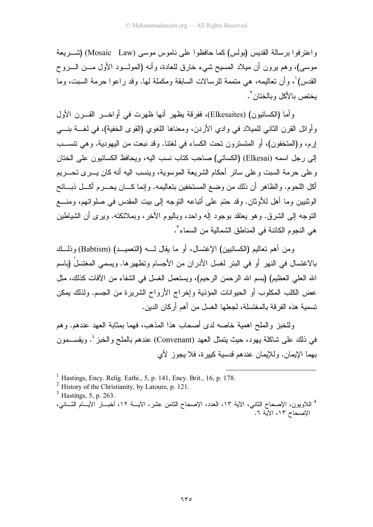واعترفوا برسالة القديس (بولس) كما حافظوا على ناموس موسى (Mosaic Law) (شـــريعة موسى)، وهم برون أن مبلاد المسبح شيء خارق للعادة، وأنه (المولـــود الأول مـــن الــــروح القدس) ٰ، وأن تعاليمه، هي متممة للرسالات السابقة ومكملة لمها. وقد راعوا حرمة السبت، وما بختص بالأكل وبالختان `.

وأما (الكسائيون) (Elkesaites)، ففرقة يظهر أنها ظهرت في أواخــر القـــرن الأول وأوائل القرن الثاني للميلاد في وادي الأردن، ومعناها اللغوي (القوى الخفية)، في لغـــة بنــــي إرم، و(المتخفون)، أو المتسترون تحت الكساء في لغنتـا. وقد نبعت من اليهودية. وهي نتســب إلى رجل اسمه (Elkesai) (الكسائي) صاحب كتاب نسب اليه، ويحافظ الكسائيون على الختان وعلى حرمة السبت وعلى سائر أحكام الشريعة الموسوية، وينسب اليه أنه كان يسرى تحسريم أكل اللحوم. والظاهر أن ذلك من وضع المستخفين بتعاليمه. وإنما كـــان يحـــرم أكـــل ذبـــائح الوثنيين وما أهل للأوثان. وقد حتم على أتباعه التوجه إلى بيت المقدس في صلواتهم، ومنسع النوجه إلى الشرق. وهو بعتقد بوجود إلَه واحد، وبالبوم الآخر ، وبملائكته. وبر ي أن الشباطين هي النجوم الكائنة في المناطق الشمالية من السماء".

ومن أهم تعاليم (الكسائيين) الإغتسال، أو ما يقال لــــه (التعميـــد) (Babtism) وذلـــك بالاغتسال في النهر أو في البئر لغسل الأدر ان من الأجسام وتطهير ها. ويسمى المغتسلُ (باسم الله العلي العظيم) (بسم الله الرحمن الرحيم)، ويستعمل الغسل في الشفاء من الآفات كذلك، مثل عض الكلب المكلوب أو الحيوانات المؤذية وإخراج الأرواح الشريرة من الجسم. ولذلك يمكن تسمية هذه الفر قة بالمغتسلة، لجعلها الغسل من أهم أر كان الدين.

وللخبز والملح اهمية خاصه لدى أصحاب هذا المذهب، فهما بمثابة العهد عندهم. وهم في ذلك على شاكلة بهود، حيث يتمثل العهد (Convenant) عندهم بالملح والخبز '. ويقســـمون بهما الإيمان. وللإيمان عندهم قدسية كبيرة، فلا يجوز لأي

<sup>&</sup>lt;sup>1</sup> Hastings, Ency. Relig. Eathi., 5, p. 141, Ency. Brit., 16, p. 178.

 $^2$  History of the Christianity, by Latoure, p. 121.

 $3$  Hastings, 5, p. 263.

<sup>&</sup>lt;sup>4</sup> اللاويون، الإصحاح الثانبي، الأية ١٣، العدد، الإصحاح الثامن عشر، الأيــــة ١٢، أخبـــار الأيـــام الثــــانبي، الاصحاح ١٣، الآية ٦.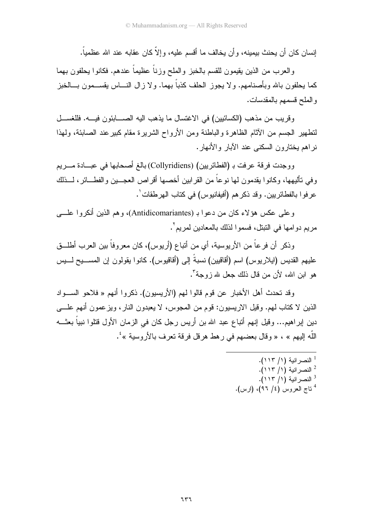إنسان كان أن يحنث بيمينه، و أن يخالف ما أقسم عليه، و إلاَّ كان عقابه عند الله عظمياً.

والعرب من الذين يقيمون للقسم بالخبز والملح وزناً عظيماً عندهم. فكانوا يحلفون بهما كما يحلفون بالله وبأصنامهم. ولا يجوز الحلف كذباً بهما. ولا زال النــــاس يقســـمون بـــالخبز والملح قسمهم بالمقدسات.

وقريب من مذهب (الكسائيين) في الاغتسال ما يذهب اليه الصــــابئون فيــــه. فللغســـل لتطهير الجسم من الآثام الظاهرة والباطنة ومن الأرواح الشريرة مقام كبير عند الصابئة، ولهذا نر اهم بختار ون السكنب عند الآبار والأنهار .

ووجدت فرقة عرفت بـ (الفطائريين) (Collyridiens) بالغ أصحابها في عبـــادة مــــريم وفي نـأليهها، وكانوا بقدمون لـها نوعاً من القرابين أخصـها أقراص الـعجـــين والفطــــائر ، لــــذلك عر فو ا بالفطائر بين. وقد ذكر هم (أفيفانيوس) في كتاب الهر طقات ٰ.

و علمي عكس هؤ لاء كان من دعوا بـ (Antidicomariantes)، وهم الذين أنكروا علــــي مريم دو امها في النبنل، فسمو ا لذلك بالمعادين لمريم ْ .

وذكر أن فرعاً من الأريوسية، أي من أتباع (أريوس)، كان معروفاً بين العرب أطلـــق عليهم القديس (ايلاريوس) اسم (أقاقيين) نسبةً إلى (أقاقيوس). كانوا يقولون إن المســــيح لــــيس هو ابن الله، لأن من قال ذلك جعل لله زوجة ".

و قد تحدث أهل الأخبار عن قوم قالو ا لهم (الأر بسبون). ذكر و ا أنهم « فلاحو الســـو اد الذين لا كتاب لهم. وقيل الار يسيون: قوم من المجوس، لا يعبدون النار ، ويز عمون أنهم علــــى دين إبراهيم... وقيل إنهم أتباع عبد الله بن أريس رجل كان في الزمان الأول قتلوا نبياً بعثـــه اللَّه إليهم » ، « وقال بعضهم في رهط هرقل فرقة نعرف بالأروسية »<sup>؛</sup>.

<sup>1</sup> النصر انية (١/ ١١٣).

- <sup>2</sup> النصر انبة (١/ ١١٣).
- <sup>3</sup> النصر انية (١/ ١١٣).
- $^{4}$  ناج العروس (٤/ ٩٦)، (ارس).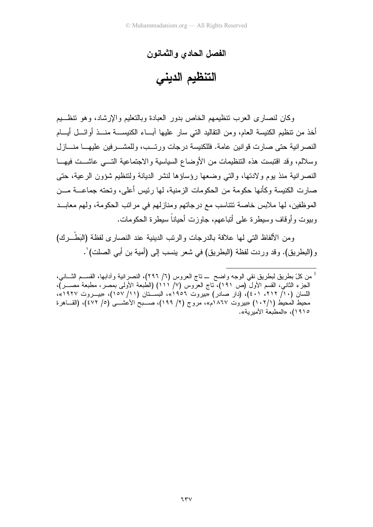## الفصل الحادى والثمانون

التنظيم الديني

وكان لنصارى العرب نتظيمهم الخاص بدور العبادة وبالنعليم والإرشاد، وهو نتظـــيم أخذ من نتظيم الكنيسة العام، ومن النقاليد التي سار عليها أبساء الكنيســـة منـــذ أوائـــل أيــــام النصر انية حتى صارت قوانين عامة. فللكنيسة در جات ورتــب، وللمشـــر فين عليهـــا منـــاز ل وسلالم، وقد اقتبست هذه التنظيمات من الأوضاع السياسية والاجتماعية التـــى عاشـــت فيهـــا النصر انية منذ يوم و لادتها، والتبي وضعها رؤساؤها لنشر الديانة ولتنظيم شؤون الرعية، حتى صارت الكنيسة وكأنها حكومة من الحكومات الزمنية، لها رئيس أعلى، وتحته جماعــــة مـــن الموظفين، لها ملابس خاصة تتتاسب مع درجاتهم ومنازلهم في مراتب الحكومة، ولهم معابــد وبيوت وأوقاف وسيطرة على أتباعهم، جاوزت أحياناً سيطرة الحكومات.

ومن الألفاظ التي لها علاقة بالدر جات والرتب الدينية عند النصار ي لفظة (البَطْــر ك) و(البطريق). وقد وردت لفظة (البطريق) في شعر ينسب إلى (أمية بن أبي الصلت) ْ.

<sup>&</sup>lt;sup>1</sup> من كلّ بطريق لبطريق نقي الوجه واضح ــ تاج العروس (٦/ ٢٩٦)، النصرانية وأدابها، القســم الثـــاني، الجزء الثاني، القسم الأولَّ (ص ١٩١)، ناج العرُّوس (٧/ ١١١) (الطُّبعة الأولى بمصر، مطبعة مصـــر)، اللسان (٦١٠/ ٢١٢، ٤٠١)، (دَار صادر) «بيروت ١٩٥٢»، البسَــنان (١١/ ١٥٧)، «بيـــروت ١٩٢٧»، محيط المحيط (١٠٢/١) «بيروت ١٨٦٧م»، مروج (٢/ ١٩٩)، صــبحُ الأعشـــيُ (٥/ ٤٧٢)، (القــاهر ة ١٩١٥)، «المطبعة الأميرية».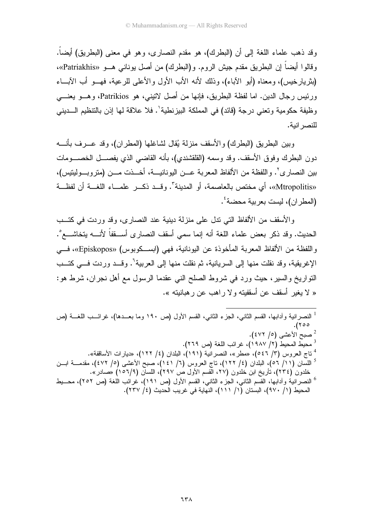وقد ذهب علماء اللغة إلى أن (البطرك)، هو مقدم النصار ي، وهو في معنى (البطريق) أيضاً. و قالو ا أيضاً إن البطريق مقدم جيش الروم. و (البطرك) من أصل يوناني هــو «Patriakhis»، (بثريارخيس)، ومعناه (أبو الأباء)، وذلك لأنه الأب الأول والأعلى للرعية، فهـــو أب الأبـــاء ورئيس رجال الدين. اما لفظة البطريق، فإنها من أصل لاتيني، هو Patrikios، وهـــو يعنــــي وظيفة حكومية وتعني درجة (قائد) في المملكة البيزنطية'. فلا علاقة لها إذن بالتنظيم الـــديني للنصر انبة.

وبين البطريق (البطرك) والأسقف منزلة يُقال لشاغلها (المطران)، وقد عـــرف بأنــــه دون البطرك وفوق الأسقف. وقد وسمه (القلقشندي)، بأنه القاضبي الذي يفصـــل الخصـــومات بين النصار ي'. واللفظة من الألفاظ المعربة عـــن اليونانيـــة، أخـــذت مـــن (متر وبـــوليتيس)، «Mtropolitis»، أي مختص بالعاصمة، أو المدينة". وقــد ذكــر علمـــاء اللغــة أن لفظــة (المطر ان)، لبست بعر بية محضبة<sup>؛</sup> .

والأسقف من الألفاظ التي ننل على منزلة دينية عند النصارى، وقد وردت في كتــب الحديث. وقد ذكر بعض علماء اللغة أنه إنما سمى أسقف النصارى أســـقفاً لأنــــه يتخاشــــع ْ. واللفظة من الألفاظ المعربة المأخوذة عن اليونانية، فهي (ابســكوبوس) «Episkopos»، فـــي الإغريقية، وقد نقلت منها إلى السريانية، ثم نقلت منها إلى العربية<sup>٦</sup>. وقــد وردت فـــى كتــب النواريخ والسير، حيث ورد في شروط الصلح النبي عقدما الرسول مع أهل نجران، شرط هو: « لا يغير أسقف عن أسقفيته و لا راهب عن ر هيانيته ».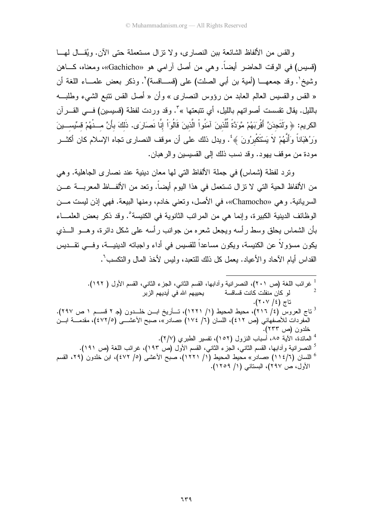والقس من الألفاظ الشائعة بين النصار ي، و لا نز ال مستعملة حتى الآن. ويُقــال لهــا (قسيس) في الوقت الحاضر أيضاً. وهي من أصل آرامي هو «Gachicho»، ومعناه، كـــاهن وشيخ'. وقد جمعهـــا (أمية بن أبي الصلت) على (قســـاقسة)'. وذكر بعض علمـــاء اللغة أن « القس والقسيس العالم العابد من رؤوس النصارى » وأن « أصل القس نتبع الشيء وطلبـــه بالليل. يقال نقسست أصواتهم بالليل، أي نتبعتها »<sup>٦</sup>. وقد وردت لفظة (قسيسين) فـــي القــــرآن الكريم: ﴿ وَلَتَجِدَنَّ أَقْرِبَهُمْ مَّوَدَّةً لِّلَّذِينَ آمَنُواْ الَّذِينَ قَالُوَاْ إِنَّا نَصَارَى. ذَلكَ بأَنَّ مـــنْهُمْ قسيِّســـينَ وَرُهْبَاناً وَأَنَّهُمْ لاَ يَسْتَكْبِرُونَ ﴾ُ : ويدل ذلك على أن موقف النصارى تجاه الإسلام كان أكثـــر مودة من موقف يهود. وقد نسب ذلك إلى القسيسين والر هبان.

ونزد لفظة (شماس) في جملة الألفاظ التي لمها معان دينية عند نصارى الجاهلية. وهي من الألفاظ الحية التي لا نزال تستعمل في هذا اليوم أيضاً. ونعد من الألفــاظ المعربـــة عـــن السر بانية. و هي «Chamocho»، في الأصل، و تعني خادم، و منها البيعة. فهي إذن لبست مـــز، الو ظائف الدبنية الكبير ة، و إنما هي من المر اتب الثانوية في الكنيسة ْ . و قد ذكر بعض العلمـــاء بأن الشماس يحلق وسط ر أسه ويجعل شعر ه من جو انب ر أسه علي شكل دائر ة، و هـــو الـــذي يكون مسؤولاً عن الكنيسة، ويكون مساعداً للقسيس في أداء واجباته الدينيــــة، وفــــي تقـــديس القداس أيام الأحاد والأعياد. يعمل كل ذلك للنعبد، وليس لأخذ المال والنكسب<sup>٦</sup>.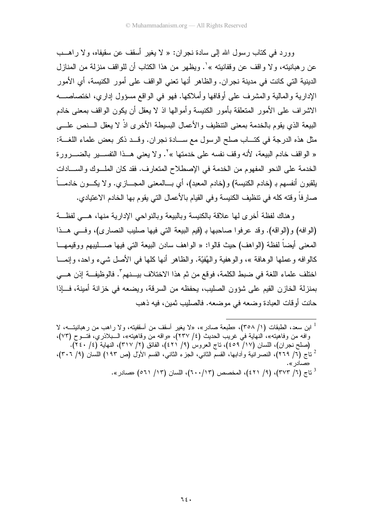وور د في كتاب رسول الله إلى سادة نجر ان: « لا يغير أسقف عن سقيفاه، و لا ر اهــب عن ر هبانيته، و لا و اقف عن وقفانيته » ٰ. ويظهر من هذا الكتاب أن للو اقف منز لـة من المناز ل الدينية التي كانت في مدينة نجر ان. والظاهر أنها تعني الواقف على أمور الكنيسة، أي الأمور الإدارية والمالية والمشرف على أوقافها وأملاكها. فهو في الواقع مسؤول إداري، اختصاصــــه الاشراف على الأمور المتعلقة بأمور الكنيسة وأموالها اذ لا يعقل أن يكون الواقف بمعنى خادم البيعة الذي يقوم بالخدمة بمعنى التنظيف والأعمال البسيطة الأخرى اذْ لا يعقل الـــنص علــــى مثل هذه الدرجة في كتـــاب صلح الرسول مع ســـادة نجر ان. وقـــد ذكر بعض علماء اللغـــة: « الواقف خادم البيعة، لأنه وقف نفسه على خدمتها »٬ ولا يعني هــذا التفســير بالضـــرورة الخدمة على النحو المفهوم من الخدمة في الإصطلاح المتعارف. فقد كان الملوك والسلدات بلقبون أنفسهم بـ (خادم الكنبسة) و (خادم المعبد)، أي بـــالمعنـي المجـــاز ي. و لا بكـــون خادمـــاً صارفاً وقته كله في نتظيف الكنيسة وفي القيام بالأعمال التي يقوم بها الخادم الاعتيادي.

و هناك لفظة أخرى لمها علاقة بالكنبسة وبالبيعة وبالنواحي الإدارية منها، هـبي لفظــة (الوافه) و(الواقه). وقد عرفوا صاحبها بـ (قيم البيعة التي فيها صليب النصاري)، وفي هــذا المعنى أيضاً لفظة (الواهف) حيث قالوا: « الواهف سادن البيعة التي فيها صـــــليبهم ووقيمهــــا كالو افه و عملها الو هافة »، و الو هفية و الـهُفيّة. و الظاهر أنها كلها في الأصل شيء و احد، و إنمـــا اختلف علماء اللغة في ضبط الكلمة، فوقع من ثم هذا الاختلاف بيـــنهم". فالوظيفـــة إذن هـــي بمنزلة الخازن القيم على شؤون الصليب، يحفظه من السرقة، ويضعه في خزانة أمينة، فـــإذا حانت أوقات العبادة وضعه في موضعه. فالصليب ثمين، فيه ذهب

اين سعد، الطبقات (١/ ٣٥٨)، «طبعة صادر »، «لا يغير أسقف من أسقفيته، ولا راهب من ر هبانيتـــه، لا " وافه من وفاهيته»، النهاية في غريب الحديث (٤/ ٢٣٧)، «واقه من وفاهيته»، السبلاذري، فتسوح (٧٣)، (صلح نجران)، اللسان (١٧/ ٤٥٩)، ناج العروس (٩/ ٤٢١)، الفائق (٢/ ٣١٧)، النهاية (٤/ ٢٤٠). <sup>2</sup> ناج (٦/ ٢٦٩)، النصر انية وأدابها، القسم الثاني، الجزء الثاني، القسم الأول (ص ١٩٣) اللسان (٩/ ٣٠٦)، <sup>3</sup> تاج (٦/ ٣٧٣)، (٩/ ٤٢١)، المخصص (٦٠٠/١٣)، اللسان (١٣/ ٥٦١) «صادر».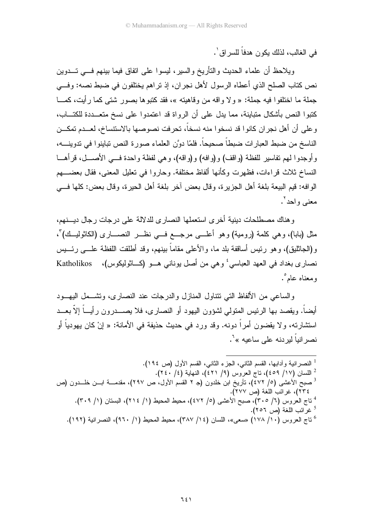في الغالب، لذلك بكون هدفاً للسر اق ْ .

ويلاحظ أن علماء الحديث والتأريخ والسير، ليسوا على اتفاق فيما بينهم فسي تسدوين نص كتاب الصلح الذي أعطاه الرسول لأهل نجر إن، إذ تر اهم يختلفون في ضبط نصه: وفيي جملة ما اختلفوا فيه جملة: « ولا واقه من وقاهيته »، فقد كتبوها بصور شتى كما رأيت، كمـــا كتبوا النص بأشكال متباينة، مما يدل على أن الرواة قد اعتمدوا على نسخ متعـــددة للكتـــاب، وعلى أن أهل نجر ان كانوا قد نسخو ا منه نسخاً، تحرفت نصوصها بالاستتساخ، لعــدم تمكــن الناسخ من ضبط العبارات ضبطاً صحيحاً. فلمّا دوَّن العلماء صورة النص نباينوا في ندوينــــه، و أو جدو ا لهم تفاسير للفظة (و اقف) و (و افه) و (و اقه)، و هي لفظة و احدة فسي الأصــــل، قر أهــــا النساخ ثلاث قراءات، فظهرت وكأنها ألفاظ مختلفة. وحاروا في تعليل المعنى، فقال بعضــــهم الو افه: قيم البيعة بلغة أهل الجزير ة، وقال بعض آخر بلغة أهل الحير ة، وقال بعض: كلها فــــى معنے واحد ".

و هناك مصطلحات دبنية أخر ي استعملها النصار ي للدلالة على در جات ر جال ديسنهم، مثل (بابا)، وهي كلمة (رومية) وهو أعلـــي مرجـــع فـــي نظـــر النصــــارى (الكاثوليـــك)"، و(الجاثليق)، وهو رئيس أساقفة بلد ما، والأعلى مقاماً ببنهم، وقد أطلقت اللفظة علـــي رئــــيس نصاري بغداد في العهد العباسي ٔ وهي من أصل يوناني هــو (كــاثوليكوس)، Katholikos ومعناه عام°.

والساعي من الألفاظ التي نتتاول المنازل والدرجات عند النصارى، ونتنسمل اليهسود أيضاً. ويقصد بها الرئيس المتولَّى لشؤون اليهود أو النصاري، فلا يصــــدرون رأيـــاً إلاَّ بعـــد استشارته، و لا يقضون أمراً دونه. وقد ورد في حديث حذيفة في الأمانة: « إنْ كان يهودياً أو نصر انباً لبر دنه على ساعبه » <sup>٦</sup>٠

<sup>1</sup> النصر انية وأدابها، القسم الثانبي، الجزء الثانبي، القسم الأول (ص ١٩٤). <sup>2</sup> اللسان (١٧/ ٤٥٩)، ناج العروس (٩/ ٤٢١)، النهاية (٤/ ٢٤٠). <sup>3</sup> صبح الأعشى (٥/ ٤٧٢)، نأريخ ابن خلدون (جـ ٢ القسم الأول، ص ٢٩٧)، مقدمــــة ابـــن خلـــدون (ص ٢٣٤)، غرائب اللغة (ص ٢٧٧). 4 تاج العروس (٦/ ٣٠٥)، صبح الأعشى (٥/ ٤٧٢)، محيط المحيط (١/ ٢١٤)، البستان (١/ ٣٠٩). <sup>5</sup> غرائب اللغة (ص ٢٥٦). <sup>6</sup> تاج العروس (١٠/ ١٧٨) «سعى»، اللسان (٢/ ٣٨٧)، محيط المحيط (١/ ٩٦٠)، النصر انية (١٩٢).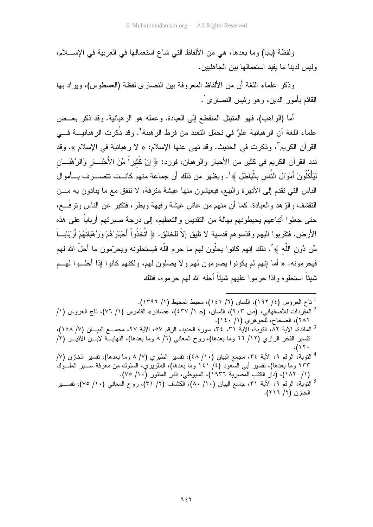ولفظة (بابا) وما بعدها، هي من الألفاظ التي شاع استعمالها في العربية في الإســــلام، وليس لدينا ما يفيد استعمالها بين الجاهليين.

وذكر ً علماء اللُّغة أن من الألفاظ المعروفة بين النصار ي لفظة (العسطوس)، وير اد بها القائم بأمور الدين، وهو رئيس النصاري ْ.

أما (الراهب)، فهو المنبتل المنقطع إلى العبادة. وعمله هو الرهبانية. وقد ذكر بعــض علماء اللغة أن الرهبانية غلوٌ في تحمّل النعبد من فرط الرهبنة<sup>٢</sup>. وقد ذُكرت الرهبانيــــة فــــي القر آن الكربم<sup>"</sup>، وذكر ت في الحديث. وقد نهي عنها الإسلام: « لا ر هبانية في الإسلام ». وقد ندد القرآن الكريم في كثير من الأحبار والرهبان، فورد: ﴿ إِنَّ كَثيراً مِّنَ الأَحْبَــارِ وَالرُّهْبَــان لَيَأْكُلُونَ أَمْوَالَ النَّاس بِالْبَاطْل ﴾ ۚ. ويظهر من ذلك أن جماعة منهم كانــت تتصـــرف بـــأموال الناس التبي نقدم إلى الأديرة والبيع، فيعيشون منها عيشة مترفة، لا نتفق مع ما بنادون به مـــن النقشف والزهد والعبادة. كما أن منهم من عاش عيشة رفيهة وبطر، فتكبر عن الناس ونرفَّـــع، حتى جعلوا أتباعهم يحيطونهم بهالة من التقديس والتعظيم، إلى درجة صير تهم أرباباً على هذه الأرض. فتقربوا اليهم وقدّسوهم قدسية لا تليق إلاّ للخالق. ﴿ اتَّخَذُواْ أَحْبَارَهُمْ وَرَبُهْبَانَهُمْ أَرْبَابِأَ مِّن دُونِ اللَّه ﴾ ْ. ذلك إنهم كانوا يحلُّون لهم ما حرم اللَّه فيستحلونه ويحرَّمون ما أحلَّ الله لهم فيحرمونه. « أما إنهم لم يكونوا يصومون لهم ولا يصلون لهم، ولكنهم كانوا إذا أحلـــوا لهـــم شببًاً استحلوه واذا حرموا عليهم شببًاً أحله الله لهم حرموه، فتلك

- <sup>2</sup> للمفردات للأصفهاني، (ص ٢٠٣)، اللسان، (جـ ١/ ٤٣٧)، «صادر» القاموس (١/ ٧٦)، ناج العروس (١/ ٢٨١)، الصحاح، للجوهري (١/ ٤٠).
- <sup>3</sup> المائدة، الآية ٨٢، التوبُّة، الآية ٣١، ٣٤، سورة الحديد، الرقم ٥٧، الآية ٢٧، مجمـــع البيـــان (٧/ ١٥٨)، تفسير الفخر الرازي (١٢/ ٦٦ وما بعدها)، روح المعاني (٦/ ٨ وما بعدها)، النهايـــة لابـــن الأثيـــر (٢/  $.$ (۱۲۰
- <sup>4</sup> التوبة، الرقم ٩، الأية ٣٤، مجمع البيان (١٠/ ٤٨)، تفسير الطبري (٧/ ٨ وما بعدها)، تفسير الخازن (٧/ ٢٣٣ وما بعدها)، نفسير أبي السعود (٤/ ١٤١ وما بعدها)، المقريَّزيُ، السلوك من معرفة ســـير الملـــوكُ (١/ ١٨٢)، (دار الكتب المصرية ١٩٣٦)، السيوطي، الدر المنثور (١٠/ ٧٥).
- <sup>5</sup> النَّوبة، الرقم ٩، الأية ٣١، جامع البيان (١٠/ ٨٠)، الكشاف (٢/ ٣١)، روح المعانـي (٧٠/ ٧٥)، نفســـير الخازن (٢/ ٢١٦).

<sup>&</sup>lt;sup>1</sup> نناج العروس (٤/ ١٩٢)، اللسان (٦/ ١٤١)، محيط المحيط (١/ ١٣٩٦).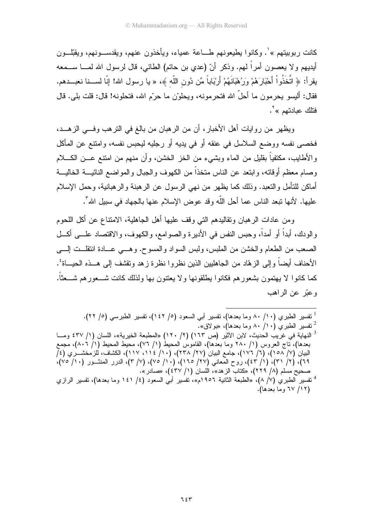كانت ربوبيتهم »'. وكانوا بطيعونهم طـــاعة عمياء، ويأخذون عنهم، ويقدســـونهم، ويقبِّلـــون أيديهم ولا يعصون أمراً لمهم. وذكر أنّ (عدي بن حاتم) الطائي، قال لرسول الله لمــــا ســـمعه يقرأ: ﴿ اتَّخَذُواْ أَحْبَارَهُمْ وَرُهْبَانَهُمْ أَرْبَاباً مِّن دُونِ اللَّهِ ﴾، « يا رسول الله! إنّا لســنا نعبـــدهم. فقال: أليسو يحرمون ما أحلَّ الله فتحرمونه، ويحلوّن ما حرّم الله، فتحلونه! قال: قلت بلي. قال فتلك عبادتهم »<sup>٢</sup>.

ويظهر من روايات أهل الأخبار، أن من الرهبان من بالغ في النرهب وفـــي الزهـــد، فخصمي نفسه ووضع السلاسل في عنقه أو في بديه أو رجليه ليحبس نفسه، وامتنع عن المأكل و الأطايب، مكتفياً بقليل من الماء وبشبيء من الخز الخشن، وأن منهم من امتنع عـــن الكــــلام وصبام معظم أوقاته، وابتعد عن الناس متخذاً من الكهوف والجبال والمواضع النائيسة الخاليسة أماكن للتأمل والتعبد. وذلك كما يظهر من نهي الرسول عن الرهبنة والرهبانية، وحمل الإسلام عليها. لأنها نبعد الناس عما أحل اللَّه وقد عوض الإسلام عنها بالجهاد في سبيل الله".

ومن عادات الرهبان ونقاليدهم التي وقف عليها أهل الجاهلية، الامتناع عن أكل اللحوم والودك، أبداً أو أمداً، وحبس النفس في الأديرة والصوامع، والكهوف، والاقتصاد علـــي أكـــل الصعب من الطعام والخشن من الملبس، ولبس السواد والمسوح. وهـــي عـــادة انتقلــت الِــــي الأحناف أيضا و إلى الز هّاد من الجاهليين الذين نظر و ا نظر ة ز هد و تقشف إلى هـــذه الـحيـــاة ُ . كما كانوا لا بـهتمون بشعور هم فكانوا بطلقونـها و لا بـعتنون بـها ولذلك كانت شـــعور هم شـــعثاً. و عدّ عن الراهب

<sup>1</sup> تفسير الطبري (١٠/ ٨٠ وما بعدها)، تفسير أبي السعود (٥/ ١٤٢)، تفسير الطبرسي (٥/ ٢٢).  $^2$  تفسير الطبري (١٠/ ٨٠ وما بعدها)، «بو لاق».

النهاية في غريب الحديث، لابن الأثير (ص ١٦٣) (٢/ ١٢٠) «المطبعة الخيرية»، اللسان (١/ ٤٣٧ ومــا بعدها)، تاج العروس (١/ ٢٨٠ وما بعدها)، القاموسُ المحيطُ (١/ ٧٦)، محيط المحيط (١/ ٨٠٦)، مجمع البيان (٧/ ١٥٨)، (٦/ ١٧٦)، جامع البيان (٢٧/ ٢٣٨)، (١١/ ١١٤، ١١٧)، الكشاف، للزمخشـــري (٤/ ٦٩)، (٢/ ٣١)، (١/ ٤٣)، روح المعانبي (٢٧/ ٢٥/١، (١٠/ ٧٥)، (٧/ ٣)، الدرر المنشــور (١٠/ ٧٥)، صحيح مسلم (٨/ ٢٢٩)، «كتاب الزهد»، اللسان (١/ ٤٣٧)، «صادر ».

<sup>&</sup>lt;sup>4</sup> تفسير الطبر ى (٧/ ٨)، «الطبعة الثانية ١٩٥٦م»، تفسير أبـي السعود (٤/ ١٤١ وما بعدها)، تفسير الرازي (١٢/ ٦٧ وما بعدها).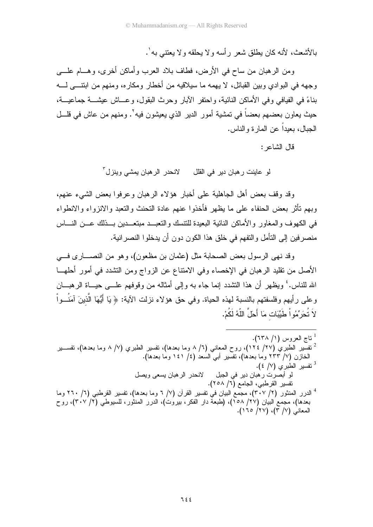بالأشعث، لأنه كان بطلق شعر رأسه ولا بحلقه ولا بعتني به'.

ومن الرهبان من ساح في الأرض، فطاف بلاد العرب وأماكن أخرى، وهـــام علــــي وجهه في البو ادى وبين القبائل، لا يهمه ما سيلاقيه من أخطار ومكاره، ومنهم من ابتتـــى لــــه بناءً في الفيافي وفي الأماكن النائية، واحتفر الآبار وحرث البقول، وعـــاش عيشــــة جماعيــــة، حيث يعاون بعضهم بعضاً في تمشية أمور الدير الذي يعيشون فيه'. ومنهم من عاش في فلـــل الجبال، بعبداً عن المار ة و الناس.

قال الشاعر :

لو عاينت رهبان دير في القلل لانحدر الرهبان بمشى وينزل ّ

وقد وقف بعض أهل الجاهلية على أخبار هؤلاء الرهبان وعرفوا بعض الشيء عنهم، وبهم نأثر بعض الحنفاء على ما يظهر فأخذوا عنهم عادة التحنث والنعبد والانزواء والانطواء في الكهوف و المغاور و الأماكن النائبة البعيدة للتتسك و التعبيد مبتعـــدبن بـــذلك عـــن النـــاس منصر فين إلى التأمل والنفهم في خلق هذا الكون دون أن يدخلوا النصر انية.

وقد نهي الرسول بعض الصحابة مثل (عثمان بن مظعون)، وهو من النصــــار ى فــــي الأصل من نقليد الرهبان في الإخصاء وفي الامتناع عن الزواج ومن التشدد في أمور أحلهــا الله للناس.' ويظهر أن هذا النشدد إنما جاء به وإلى أمثاله من وقوفهم علـــي حيـــاة الرهبـــان و على ر أبهم و فلسفتهم بالنسبة لهذه الحباة. و في حق هوَ لاء نزلت الآبة: ﴿ بَا أَبُّهَا الَّذِينَ آمَنُــواْ لاَ تُحَرِّمُو اْ طَيِّبَات مَا أَحَلَّ اللَّهُ لَكُمْ.

<sup>1</sup> ناج العروس (١/ ٦٣٨). ً نفسير الطبري (٢٧/ ١٢٤)، روح المعاني (٦/ ٨ وما بعدها)، نفسير الطبري (٧/ ٨ وما بعدها)، نفســـير " الخازن (٧/ ٢٣٣ وما بعدها)، نفسير أبـي السعد (٤/ ١٤١ وما بعدها). <sup>3</sup> تفسير الطبرى (٧/ ٤). لو أبصرت رهبان دير في الجبل لانحدر الرهبان يسعى ويصل تفسير القرطبي، الجامع (٦/ ٢٥٨). <sup>4</sup> الدرر المنثور (٢/ ٣٠٧)، مجمّع البيان في نفسير القرآن (٧/ ٦ وما بعدها)، نفسير القرطبي (٦/ ٢٦٠ وما بعدها)، مجمع البيان (٢٧/ ١٥٨)، (طبعة دار الفكر، بيروت)، الدرر المنثور، السّيوطي (٣٠٧/٢)، روّح المعاني (٧/ ٣)، (٢٧/ ١٦٥).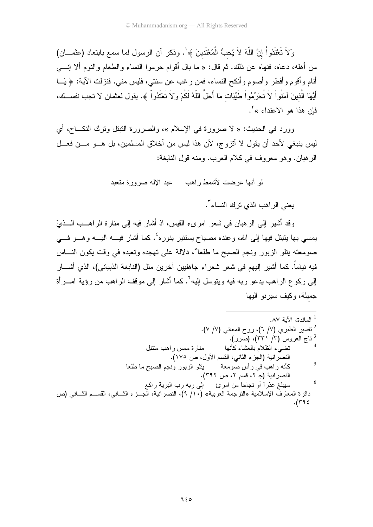وَلاَ تَعْتَدُواْ إِنَّ اللَّهَ لاَ يُحبُّ الْمُعْتَدِينَ ﴾'. وذكر أن الرسول لما سمع بابتعاد (عثمـــان) من أهله، دعاه، فنهاه عن ذلك. ثم قال: « ما بال أقوام حرموا النساء والطعام والنوم ألا إنــــي أنام وأقوم وأفطر وأصوم وأنكح النساء، فمن رغب عن سنتي، فليس مني. فنزلت الآية: ﴿ يَـــا أَيُّهَا الَّذينَ آمَنُواْ لاَ تُحَرِّمُواْ طَيِّبَات مَا أَحَلَّ اللَّهُ لَكُمْ وَلاَ تَعْتَدُواْ ﴾. يقول لعثمان لا تجب نفســك، فإن هذا هو الاعتداء »<sup>٢</sup>.

وورد في الحديث: « لا صرورة في الإسلام »، والصرورة النبتل وترك النكــاح، أي ليس ينبغي لأحد أن يقول لا أنزوج، لأن هذا ليس من أخلاق المسلمين، بل هـــو مـــن فعـــل الرِّ هبان. وهو معرَّ وفَّ في كلام العرب. ومنه قول النابغة:

لهِ أنها عرضت لأشمط راهب معبد الإله صرورة متعبد

بعني الر اهب الذي ترك النساء".

وقد أشبر إلى الرِّ هبان في شعر أمرٍ يء القبس، إذ أشارٍ فيه إلى منارٍ ة الرَّ اهــب الـــذيِّ يمسى بها ينبنل فيها إلى الله، وعنده مصباح يستنير بنوره ٔ. كما أشار فيـــه اليـــه وهـــو فـــي صومعته بِتلو الزبور ونجم الصبح ما طلعا ْ، دلالة على تهجده وتعبده في وقت بكون النساس فيه نياماً. كما أشير ٳليهم في شعر شعراء جاهليين آخرين مثل (النابغة الذبياني)، الذي أشــــار إلى ركوع الراهب يدعو ربه فيه ويتوسل إليه<sup>٦</sup>. كما أشار إلى موقف الراهب من رؤية امـــرأة جميلة، وكيف سيرنو اليها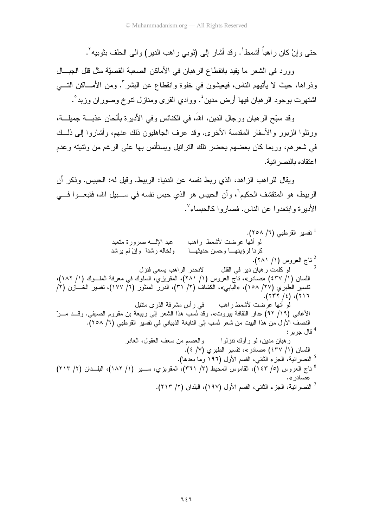حتبي و إنْ كان ر اهباً أشمط`. و قد أشار "إلى (ثوبي ر اهب الدير ) و الى الحلف بثوبيه`.

وورد في الشعر ما يفيد بانقطاع الرهبان في الأماكن الصعبة القصيّة مثل قلل الجبـــال وذراها، حيث لا يأتيهم الناس، فيعيشون في خلوة وانقطاع عن البشر ". ومن الأمـــاكن التــــي اشتهرت بوجود الرهبان فيها أرض مدين ٔ. ووادي القرى ومنازل نتوخ وصوران وزبد ْ.

وقد سبّح الرهبان ورجال الدبن، اللهَ، في الكنائس وفي الأديرة بألحان عذبـــة جميلـــة، ورنلوا الزبور والأسفار المقدسة الأخرى. وقد عرف الجاهليون ذلك عنهم، وأشاروا إلى ذلــك في شعرهم، وربما كان بعضهم يحضر نلك النراتيل ويستأنس بها على الرغم من وثنيته وعدم اعتقاده بالنصر انبة.

ويقال للراهب الزاهد، الذي ربط نفسه عن الدنيا: الربيط. وقيل له: الحبيس. وذكر أن الر ببط، هو المتقشف الحكيم<sup>"</sup>، و أن الحبيس هو الذي حبس نفسه في ســـبيل الله، فقبعـــو ا فــــي الأدبر ة وابتعدوا عن الناس. فصبار وا كالجيساء".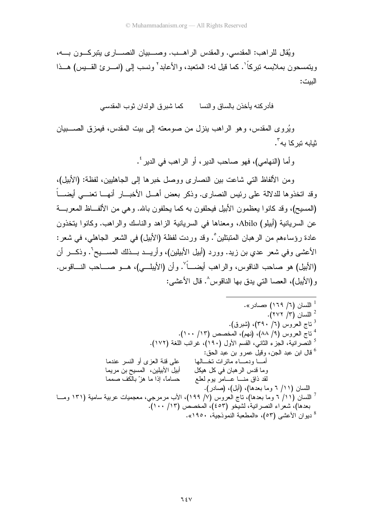ويُقال للراهب: المقدسي. والمقدس الراهـب. وصـــبيان النصـــاري بنبركـــون بـــه، ويتمسحون بملابسه نبر كاً '. كما قيل له: المتعبد، و الأعابد ` ونسب إلى (امـــر ئ القـــبِس) هـــذا الببت:

فأدر كنه بأخذن بالساق و النسا كما شبر ق الو لدان ثو ب المقدسي

ويُروى المقدس، وهو الراهب ينزل من صومعته إلى بيت المقدس، فيمزق الصــــبيان ثبابه تبر کا به <sup>۳</sup>۰

وأما (النهامي)، فهو صاحب الدير، أو الراهب في الدير '.

ومن الألفاظ التي شاعت بين النصار ي ووصل خبر ها إلى الجاهليين، لفظة: (الأبيل)، وقد اتخذوها للدلالة على رئيس النصاري. وذكر بعض أهـــل الأخبـــار أنهـــا تعنــــى أيضــــاً (المسيح)، وقد كانوا يعظمون الأبيل فيحلفون به كما يحلفون بالله. وهي من الألف لظ المعربة عن السريانية (أبيلو) Abilo، ومعناها في السريانية الزاهد والناسك والراهب. وكانوا يتخذون عادة رؤساءهم من الرهبان المتبتلين ْ. وقد وردت لفظة (الأبيل) في الشعر الجاهلي، في شعر: الأعشى وفي شعر عدي بن زيد. وورد (أبيل الأبيلين)، وأريـــد بـــذلك المســــيحْ . وذكـــر أن (الأبيل) هو صاحب الناقوس، والراهب أيضــــاً ْ. وأن (الأيبلـــي)، هـــو صــــاحب النــــاقوس. و(الأيبل)، العصا التي يدق بها الناقوس^. قال الأعشر.: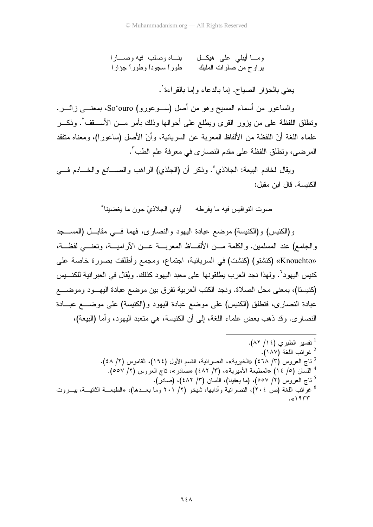ومــــا أيبلـي علــى هيكــــل بنـــــاه وصلب فيه وصـــــارا ير او ح من صلوات المليك طور أ سجوداً وطور أ جؤار ا

يعني بالجؤار الصياح. إما بالدعاء وإما بالقر اءة'.

والساعور من أسماء المسيح وهو من أصل (ســوعورو) So'ouro، بمعنـــي زائـــر. وتطلق اللفظة على من يزور القرى ويطلع على أحوالها وذلك بأمر مـــن الأســــقف'. وذكـــر علماء اللغة أنّ اللفظة من الألفاظ المعربة عن السريانية، وأنّ الأصل (ساعورا)، ومعناه متفقد المر ضبي، وتطلق اللفظة على مقدم النصار ي في معر فة علم الطب".

ويقال لخادم البيعة: الـجلاذي ٔ. وذكر أن (الـجلذي) الراهب والصــــانـع والـخـــادم فــــي الكنيسة. قال ابن مقبل:

و (الكنبس) و (الكنبسة) موضع عبادة البهود و النصار ي، فهما فسي مقابـــل (المســــجد والجامع) عند المسلمين. والكلمة مـــن الألفـــاظ المعريــــة عـــن الآراميـــة، وتعنــــى لفظـــة، «Knouchto» (كنشتو) (كنشت) في السريانية، اجتماع، ومجمع وأطلقت بصورة خاصة على كنيس اليهود''. ولهذا نجد العرب يطلقونها على معبد اليهود كذلك. ويُقال في العبر انية للكنـــيس (كنيستا)، بمعنى محل الصلاة. ونجد الكتب العربية نفرق بين موضع عبادة اليهــود وموضــــع عبادة النصاري، فتطلق (الكنيس) على موضع عبادة اليهود و(الكنيسة) على موضــــع عبـــادة النصار ي. وقد ذهب بعض علماء اللغة، إلى أن الكنيسة، هي منعبد اليهود، وأما (البيعة)،

> <sup>1</sup> تفسير الطبري (١٤/ ٨٢). غر ائب اللغة (١٨٧). <sup>3</sup> ناج العروس (٣/ ٤٦٨) «الخيرية»، النصرانية، القسم الأول (١٩٤)، القاموس (٢/ ٤٨). <sup>4</sup> اللسان (٥/ ١٤) «المطبعة الأميرية»، (٣/ ٤٨٢) «صادر»، ناج العروس (٢/ ٥٥٧). <sup>5</sup> ناج العروس (٢/ ٥٥٧)، (ما يعفينا)، اللسان (٣/ ٤٨٢)، (صادر).

<sup>6</sup> غرائب اللغة (ص ٢٠٤)، النصر انبة وأدابها، شيخو (٢/ ٢٠١ وما بعـــدها)، «الطبعـــة الثانيـــة، بيـــروت  $.$ «۱۹۳۳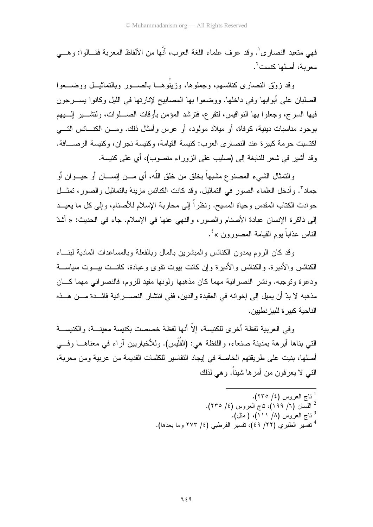فهي متعبد النصار ي'. وقد عرف علماء اللغة العرب، أنَّها من الألفاظ المعربة فقـــالو ا: و هـــي معربة، أصلها كنست`.

وقد زوّق النصاري كنائسهم، وجملوها، وزينوهـــا بالصـــور وبالتماثيـــل ووضــــعوا الصلبان على أبوابها وفي داخلها. ووضعوا بها المصابيح لإنارتها في الليل وكانوا بســـرجون فيها السرج، وجعلوا بها النواقيس، لنقرع، فنرشد المؤمن بأوقات الصــــلوات، ولنتثـــــير الِـــــبيم بوجود مناسبات دينية، كوفاة، أو ميلاد مولود، أو عرس وأمثال ذلك. ومـــن الكنــــائس التــــى اكتسبت حرمة كبيرة عند النصارى العرب: كنيسة القيامة، وكنيسة نجران، وكنيسة الرصـــافة. وقد أشيرٍ في شعر للنابغة إلى (صليب على الزور اء منصوب)، أي على كنيسة.

والنمثال الشيء المصنوع مشبهاً بخلق من خلق اللّه، أي مـــن إنســــان أو حيـــوان أو جماد". وأدخل العلماء الصور في النماثيل. وقد كانت الكنائس مزينةً بالتماثيل والصور، تمثَّــل حو ادث الكتاب المقدس وحياة المسيح. ونظر اً إلى محاربة الإسلام للأصنام، وإلى كل ما يعيــد إلى ذاكرة الإنسان عبادة الأصنام والصور، والنهي عنها في الإسلام. جاء في الحديث: « أُشدّ الناس عذاباً بوم القيامة المصورون »<sup>؛</sup>.

وقد كان الروم بمدون الكنائس والمبشرين بالمال وبالفعلة وبالمساعدات المادية لبنساء الكنائس و الأدير ة. و الكنائس و الأدير ة و إن كانت بيوت تقوى و عبادة، كانـــت بيـــوت سياســــة ودعوة وتوجبه. ونشر النصر انية مهما كان مذهبها ولونها مفيد للروم، فالنصر انبي مهما كـــان مذهبه لا بدِّ أن يميل إلى إخوانه في العقيدة والدين، ففي انتشار النصـــــرانية فائــــدة مــــن هـــذه الناحبة كبير ة للبيز نطبين.

وفي العربية لفظة أخرى للكنيسة، إلاّ أنها لفظة خصصت بكنيسة معينـــة، والكنيســـة التي بناها أبرهة بمدينة صنعاء، واللفظة هي: (القُلَّبِس). وللأخباريين آراء في معناهـــا وفـــي أصلها، بنيت على طريقتهم الخاصة في إيجاد التفاسير للكلمات القديمة من عربية ومن معربة، النبي لا يعر فون من أمر ها شيئاً. و هي لذلك

> <sup>ا</sup> ناج العروس (٤/ ٢٣٥). <sup>2</sup> اللسان (٦/ ١٩٩)، ناج العروس (٤/ ٢٣٥). تاج العروس (٨/ ١١١)، ( مثل).  $^3$ <sup>4</sup> نفسير الطبري (٢٢/ ٤٩)، نفسير القرطبي (٤/ ٢٧٣ وما بعدها).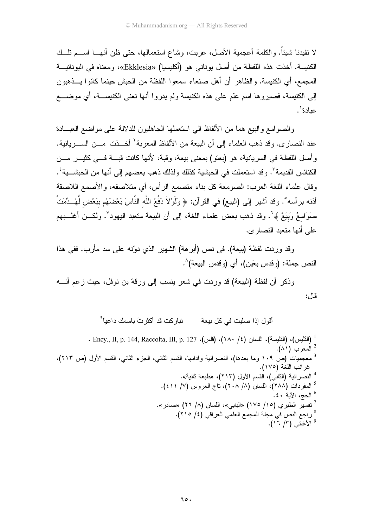لا نفيدنا شيئاً. والكلمة أعجمية الأصل، عربت، وشاع استعمالها، حتى ظن أنهـــا اســـم نلـــك الكنيسة. أخذت هذه اللفظة من أصل يوناني هو (أكليسيا) «Ekklesia»، ومعناه في اليونانيــة المجمع، أي الكنيسة. والظاهر أن أهل صنعاء سمعوا اللفظة من الحبش حينما كانوا يـــذهبون إلى الكنيسة، فصيروها اسم علم على هذه الكنيسة ولم يدروا أنها تعني الكنيســـة، أي موضــــع عيادة'.

والصوامع والبيع هما من الألفاظ الى استعملها الجاهليون للدلالة على مواضع العبــادة عند النصار ي. وقد ذهب العلماء إلى أن البيعة من الألفاظ المعربة<sup>؟</sup> أخـــذت مـــن الســـر يانية. وأصل اللفظة في السريانية، هو (بعنو) بمعنى بيعة، وقبة، لأنها كانت قبـــة فـــي كثيـــر مـــن الكنائس القديمة". وقد استعملت في الحبشية كذلك ولذلك ذهب بعضهم إلى أنها من الحبشـــية ُ. وقال علماء اللغة العرب: الصومعة كل بناء منصمع الرأس، أي متلاصقه، والأصمع اللاصقة أذنه بر أسه°. وقد أشير إلى (البيع) في القرآن: ﴿ وَلَوْلاَ دَفْعُ اللَّه النَّاسَ بَعْضَهُم بِبَعْض لَّهُــدِّمَتْ صَوَامعُ وَبِيَعٌ ﴾ `. وقد ذهب بعض علماء اللغة، إلى أن البيعة متعبد اليهود `. ولكـــن أغلـــبهم على أنها متعبد النصاري.

وقد وردت لفظة (بيعة). في نص (أبرهة) الشهير الذي دوّنه على سد مأرب. ففي هذا النص جملة: (و قدس بعَين)، أي (و قدس البيعة)^.

وذكر أن لفظة (البيعة) قد وردت في شعر ينسب إلى ورقة بن نوفل، حيث زعم أنــــه قال:

> تبار كت قد أكثر تَ باسمك داعباً <sup>۹</sup> أقول إذا صليت في كل بيعة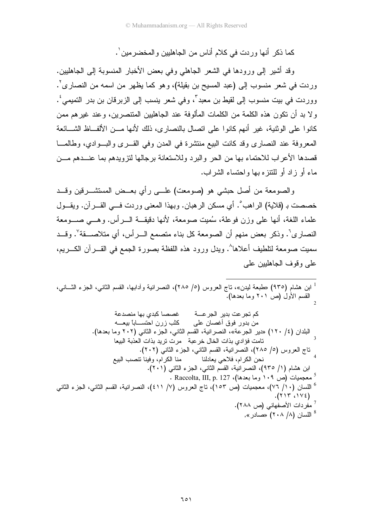كما ذكر أنها ور دت في كلام أناس من الجاهليين و المخضر مين ٰ.

وقد أشير إلى ورودها في الشعر الجاهلي وفي بعض الأخبار المنسوبة إلى الجاهليين. وردت في شعر منسوب إلى (عبد المسيح بن بقيلة)، وهو كما يظهر من اسمه من النصارى'. ووردت في بيت منسوب إلى لقيط بن معبد ّ، وفي شعر ينسب إلى الزبرقان بن بدر التميمي ٔ. ولا بد أن نكون هذه الكلمة من الكلمات المألوفة عند الجاهليين المنتصرين، وعند غيرهم ممن كانوا على الوثنية، غير أنهم كانوا على اتصال بالنصار ي، ذلك لأنها مـــن الألفـــاظ الشـــائعة المعروفة عند النصاري وقد كانت البيع منتشرة في المدن وفي القـــري والبـــوادي، وطالمـــا قصدها الأعراب للاحتماء بها من الحر والبرد وللاستعانة برجالها لتزويدهم بما عنـــدهم مـــن ماء أو زاد أو للنتز ه بها واحتساء الشراب.

والصومعة من أصل حبشي هو (صومعت) علـــي رأى بعــض المستشـــرقين وقـــد خصصت بـ (قلاية) الراهب ْ. أي مسكن الرهبان. وبهذا المعنى وردت فـــي القـــرآن. ويقـــول علماء اللغة، أنها على وزن فوعلة، سُمِيت صومعة، لأنها دقيقــة الــر أس. وهـــى صـــومعة النصاري<sup>٦</sup>. وذكر بعض منهم أن الصومعة كل بناء متصمع الـــرأس، أي متلاصــــقة ٌ. وقـــد سميت صومعة لنلطيف أعلاها^. ويدل ورود هذه اللفظة بصورة الجمع في القـــرآن الكـــريم، علے وقوف الجاهليين على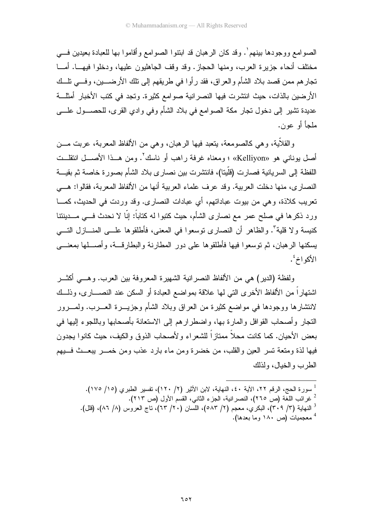الصوامع ووجودها بينهم`. وقد كان الرهبان قد ابتنوا الصوامع وأقاموا بها للعبادة بعيدين في مختلف أنحاء جزير ة العرب، ومنها الحجاز . وقد وقف الجاهليون عليها، ودخلوا فيهـــا. أمـــا تجار هم ممن قصد بلاد الشأم والعراق، فقد رأو ا في طريقهم إلى تلك الأرضــــين، وفـــي تلــك الأرضين بالذات، حيث انتشرت فيها النصر انية صوامع كثيرة. وتجد في كتب الأخبار أمثلـــة عديدة نتثمير إلى دخول نجار مكة الصوامع في بلاد الشأم وفي وادي القرى، للحصـــول علــــي ملجأ أو عون.

والقلاَّبة، وهي كالصومعة، يتعبد فيها الرهبان، وهي من الألفاظ المعربة، عربت مـــن أصل بوناني هو «Kelliyon»؛ ومعناه غرفة راهب أو ناسك'. ومن هــذا الأصـــل انتقلــت اللفظة إلى السريانية فصارت (قلّينا)، فانتشرت بين نصار ي بلاد الشأم بصور ة خاصة ثم بقيـــة النصاري، منها دخلت العربية. وقد عرف علماء العربية أنها من الألفاظ المعربة، فقالوا: هــي تعريب كلاذة، و هي من بيوت عباداتهم، أي عبادات النصار ي. وقد ور دت في الحديث، كمـــا ور د ذکر ها في صلح عمر "مع نصار ي الشأم، حيث کتبوا له کتاباً: إنّا لا نحدث فـــ صــدبنتنا كنيسة و لا قلية". والظاهر أن النصار ي توسعوا في المعنى، فأطلقوها علـــى المنـــاز ل التــــى يسكنها الرهبان، ثم نوسعوا فيها فأطلقوها على دور المطارنة والبطارفـــة، وأصــــلها بمعنــــي الأكو اخ ُ.

و لفظة (الدبر ) هي من الألفاظ النصر انبة الشهير ة المعر و فة بين العر ب. و هـــي أكثـــر اشتهار اً من الألفاظ الأخر ي التي لها علاقة بمو اضع العبادة أو السكن عند النصـــار ي، وذلـــك لانتشار ها ووجودها في مواضع كثير ة من العر اق وبلاد الشأم وجزيـــر ة العـــرب. ولمـــرور النجار وأصحاب القوافل والمار ة بـها، واضطر ار هم إلى الاستعانة بأصحابها وباللجو ء إليها في بعض الأحيان. كما كانت محلاً ممتاز اً للشعر اء و لأصحاب الذوق و الكيف، حيث كانو ا يجدون فيها لذة ومتعة تسر العين والقلب، من خضرة ومن ماء بارد عذب ومن خمـــر يبعـــث فـــبيهم الطرب والخيال، ولذلك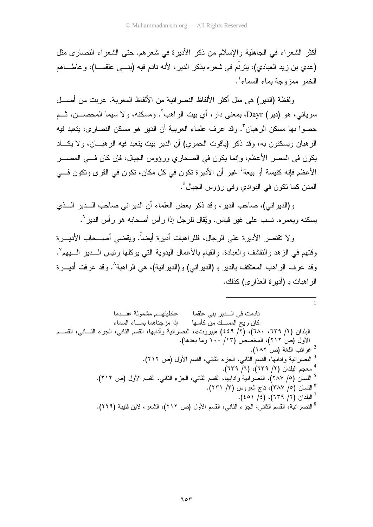أكثر الشعر اء في الجاهلية والإسلام من ذكر الأدير ة في شعر هم. حتى الشعر اء النصار ي مثل (عدي بن زيد العبادي)، ينزنَّم في شعره بذكر الدير ، لأنه نادم فيه (بنــــي علقمـــا)، وعاطــــاهم الخمر ممزوجة بماء السماء'.

ولفظة (الدير) هي مثل أكثر الألفاظ النصر انية من الألفاظ المعربة. عربت من أصـــل سرياني، هو (دير) Dayr، بمعنى دار، أي بيت الراهب<sup>٬</sup>. ومسكنه، ولا سيما المحصــــن، ثـــم خصوا بها مسكن الرهبان". وقد عرف علماء العربية أن الدير هو مسكن النصارى، يتعبد فيه الرهبان ويسكنون به، وقد ذكر (ياقوت الحموي) أن الدير بيت يتعبد فيه الرهبـــان، ولا يكـــاد يكون في المصر الأعظم، وإنما يكون في الصحاري ورؤوس الجبال، فإن كان فـــي المصـــر الأعظم فإنه كنيسة أو بيعة' غير أن الأديرة تكون في كل مكان، تكون في القرى وتكون فــي المدن كما نكون في البو ادي و في رووس الجبال°.

و (الدير إني)، صاحب الدير ، وقد ذكر بعض العلماء أن الدير إني صاحب السدير السذي يسكنه ويعمره. نسب على غير قياس. ويُقال للرجل إذا رأس أصحابه هو رأس الدير ``.

ولا نقتصر الأديرة على الرجال، فللراهبات أديرة أيضاً. ويقضي أصـــحاب الأديـــرة وفتهم في الزهد والنقشف والعبادة. والقيام بالأعمال البدوية التي بوكلها رئيس الــــدير الــــبيم ْ. وقد عرف الراهب المعتكف بالدير بـ (الديراني) و(الديرانية)، هي الراهبة^. وقد عرفت أديـــرة الر اهبات بـ (أدبر ة العذار ي) كذلك.

نادمت في الـــدير بني علقما معاطيتهــم مشمولة عنــدما كان ريح المســك منّ كأسها إذا مزجناهما بمساء السماء البلدان (٢/ ٦٣٩، ٦٨٠)، (٢/ ٤٤٩) «بيروت»، النصرانية وأدابها، القسم الثاني، الجزء الثـــاني، القســـم الأول (ص ٢١٢)، المخصص (١٣/ ١٠٠ وما بعدها). <sup>2</sup> غرائب اللغة (ص ١٨٢). النصر انية و آدابها، القسم الثاني، الجزء الثاني، القسم الأول (ص ٢١٢). <sup>4</sup> معجم البلدان (٢/ ٦٣٩)، (٦/ ٦٣٩). <sup>5</sup> اللسان (٥/ ٢٨٧)، النصر انية وأدابـها، القسم الثانـي، الـجز ء الثانـي، القسم الأول (ص ٢١٢). <sup>6</sup> اللسان (٥/ ٣٨٧)، ناج العروس (٣/ ٢٣١).  $(50)(5)$  البلدان (٢/ ٦٣٩)، (٤/ ٤٥١). <sup>8</sup> النصر انية، القسم الثاني، الجزء الثاني، القسم الأول (ص ٢١٢)، الشعر، لابن قتيبة (٢٢٩).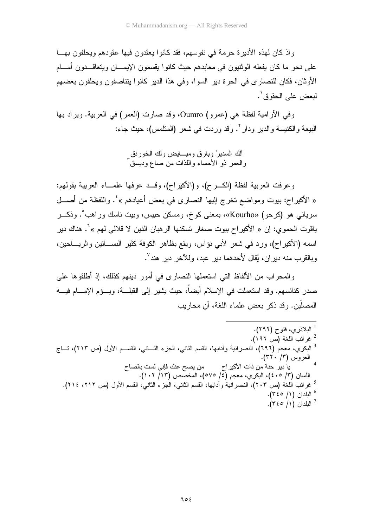و إذ كان لهذه الأدير ة حر مة في نفو سهم، فقد كانوا يعقدون فيها عقودهم ويحلفون بهــا علي نحو ما كان يفعله الوثنيون في معابدهم حيث كانو ا يقسمون الإيمـــان ويتعاقـــدون أمـــام الأوثان، فكان للنصاري في الحرة دير السوا، وفي هذا الدير كانوا ينتاصفون ويحلفون بعضهم لبعض على الحقوق'.

وفي الأرامية لفظة هي (عمرو) Oumro، وقد صارت (العمر) في العربية. ويراد بها البيعة والكنيسة والدير ودار `. وقد وردت في شعر (المنلمس)، حيث جاء:

> ألك السديرُ وبارقٍ ومبـــايضٍ ولك الخورنق والعمر ذو الأحساء واللذات من صاع وديسق ً

وعرفت العربية لفظة (الكــرح)، و(الأكيراح)، وقــد عرفها علمـــاء العربية بقولهم: « الأكيراح: بيوت ومواضع تخرج إليها النصارى في بعض أعيادهم »<sup>؛</sup>. واللفظة من أصـــل سرياني هو (كرحو) «Kourho»، بمعنى كوخ، ومسكن حبيس، وبيت ناسك وراهب ْ. وذكـــر ياقوت الحمو ي: إن « الأكبر اح بيوت صغار تسكنها الر هبان الذين لا قلالي لهم »<sup>٦</sup>. هناك دير اسمه (الأكير اح)، ورد في شعر الأبي نؤاس، ويقع بظاهر الكوفة كثير البســـاتين والريـــاحين، وبالقرب منه دير ان، يُقال لأحدهما دير عبد، وللأخر دير هند ٌ.

والمحراب من الألفاظ التي استعملها النصاري في أمور دينهم كذلك، إذ أطلقوها على صدر كنائسهم. وقد استعملت في الإسلام أيضاً، حيث يشير إلى القبلـــة، ويـــؤم الإمــــام فيــــه المصلِّين. وقد ذكر يعض علماء اللغة، أن محاربب

| <sup>1</sup> البلاذري، فتوح (۲۹۲).                                                                                    |  |
|-----------------------------------------------------------------------------------------------------------------------|--|
| <sup>2</sup> غرائب اللغة (ص ١٩٦).                                                                                     |  |
| <sup>3</sup> البكري، معجم (٦٩٦)، النصرانية وأدابـها، القسم الثانـي، الـجزء الثـــانـي، القســـم الأول (ص ٢١٣)، تـــاج |  |
| ِ العروس (٣/ ٣٢٠).                                                                                                    |  |
| يا دير حنة من ذات الأكيراح<br>من يصح عنك فإني لست بالصاح                                                              |  |
| اللسان (٣/ ٤٠٥)، البكري، معجم (٤/ ٥٧٥)، المخصص (١٢/ ١٠٢).                                                             |  |
| <sup>5</sup> غرائب اللغة (ص ٢٠٣)، النصرانية وأدابـها، القسم الثانـي، الـجز ء الثانـي، القسم الأول (ص ٢١٢، ٢١٤).       |  |
| $\cdot$ البلدان (١/ ٣٤٥).                                                                                             |  |
| $\cdot$ اللبلدان (١/ ٣٤٥).                                                                                            |  |
|                                                                                                                       |  |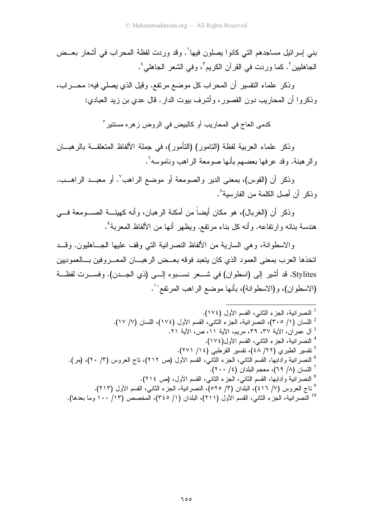بني إسرائيل مساجدهم التي كانوا يصلون فيها'. وقد وردت لفظة المحراب في أشعار بعــض الجاهليين'. كما وردت في القرآن الكريم٬ وفي الشعر الجاهلي'.

وذكر علماء النفسير أن المحراب كل موضع مرتفع. وقيل الذي يصلبي فيه: محــــراب، وذكروا أن المحاريب دون القصور، وأشرف بيوت الدار. قال عدي بن زيد العبادي:

كدمي العاج في المحار بب أو كالبيض في الر و ض ز هر ه مستتبر  $^{\circ}$ 

وذكر علماء العربية لفظة (النامور ) (النَّامور )، في جملة الألفاظ المتعلَّقـــة بالرِّ هبـــان والر هينة. وقد عر فها بعضهم بأنها صومعة الراهب وناموسه<sup>؟</sup>.

وذكر أن (القوس)، بمعنى الدير والصومعة أو موضع الراهب ٌ. أو معبــد الراهــب. و ذكر ٍ أن أصل الكلمة من الفار سية<sup>^</sup>.

وذكر أن (الغربال)، هو مكان أيضاً من أمكنة الرهبان، وأنه كهيئـــة الصــــومعة فــــي هندسة بنائه وارتفاعه. وأنه كل بناء مرتفع. ويظهر أنها من الألفاظ المعربة°.

و الاسطو انـف، و هي الساريـة من الألفاظ النصـر انيـة التـي و قف عليـها الـجـــاهليون. و قـــد اتخذها العرب بمعنى العمود الذي كان بنعبد فوقه بعــض الرهبـــان المعـــروفين بـــالعموديين Stylites. قد أشير إلى (اسطوان) في شـــعر نســـبوه إلـــي (ذي الجـــدن). وفســـرت لفظـــة (الاسطوان)، و(الاسطوانة)، بأنها موضع الراهب المرتفع ْ لـ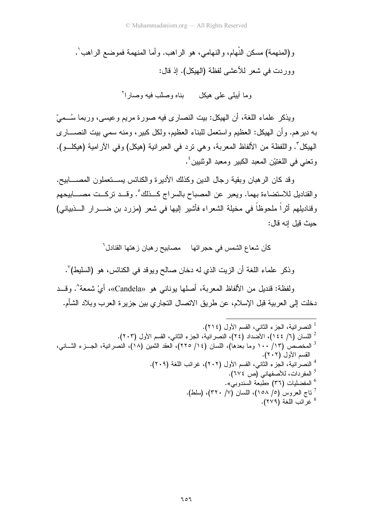و(المنهمة) مسكن النَّهام، والنهامي، هو الراهب. وأما المنهمة فموضع الراهب ْ . وور دت في شعر للأعشي لفظة (الهيكل). إذ قال:

وما أبيلي على هيكل بناه وصلّب فيه وصار ا<sup>٢</sup>

ويذكر علماء اللغة، أن الهيكل: بيت النصاري فيه صورة مريم وعيسى، وربما سُــميّ به دير هم. وأن الهيكل: العظيم واستعمل للبناء العظيم، ولكل كبير، ومنه سمي بيت النصــــاري الـهيكلِّ . واللفظة من الألفاظ المعربة، وهي نرد في العبرانية (هيكل) وفي الأرامية (هيكلـــو). ونعني في اللغتيْن المعبد الكبير ومعبد الوثنيين ٔ.

وقد كان الرهبان وبقية رجال الدين وكذلك الأديرة والكنائس يســـتعملون المصــــابيح. والقناديل للاستضاءة بهما. ويعبر ٍ عن المصباح بالسراج كــذلك ْ. وقــد تركــت مصــــابيحهم وقناديلهم أثراً ملحوظاً في مخيلة الشعراء فأشير إليها في شعر (مزرد بن ضــــرار الــــذبيانـي) حيث قبل انه قال:

كأن شعاع الشمس في حجر اتها مصابيح ر هبان ز هتها القنادل <sup>ר</sup>

وذكر علماء اللغة أن الزيت الذي له دخان صالح ويوقد في الكنائس، هو (السليط)`.

ولفظة: قنديل من الألفاظ المعربة، أصلها بوناني هو «Candela»، أيْ شمعة ْ. وقـــد دخلت إلى العربية قبل الإسلام، عن طريق الاتصال التجاري بين جزيرة العرب وبلاد الشأم.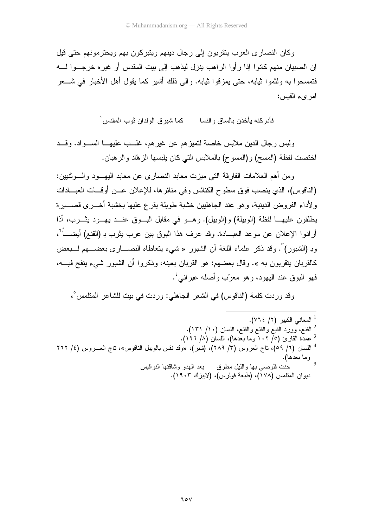وكان النصار ي العرب ينقر بون إلى رجال دينهم وينبر كون بهم ويحتر مونهم حتى قيل إن الصبيان منهم كانوا إذا ر أوا الراهب ينزل ليذهب إلى بيت المقدس أو غير ه خر جــوا لـــه فتمسحوا به ولثموا ثيابه، حتى يمزقوا ثيابه. والى ذلك أشير كما يقول أهل الأخبار في شـــعر امر يء القبس:

.<br>فأدر كنه بأخذن بالساق و النسا كما شير ق الو لدان ثو ب المقدس <sup>(</sup>

ولبس رجال الدين ملابس خاصة لتميزهم عن غيرهم، غلــب عليهـــا الســـواد. وقـــد اختصت لفظة (المسح) و(المسوح) بالملابس التي كان بلبسها الزهّاد والرهبان.

ومن أهم العلامات الفارقة التي ميزت معابد النصاري عن معابد اليهــود والـــوثنيين: (الناقوس)، الذي ينصب فوق سطوح الكنائس وفي منائرها، للإعلان عـــن أوقـــات العبــــادات ولأداء الفروض الدينية، وهو عند الجاهليين خشبة طويلة يقرع عليها بخشبة أخـــرى قصــــيرة يطلقون عليهـــا لفظة (الوبيلة) و(الوبيل). وهـــو في مقابل البــــوق عنـــد يـهـــود يثــــرب، أذا أرادو! الإعلان عن موعد العبـــادة. وقد عرف هذا البوق بين عرب يثرب بـ (القنع) أيضــــاً ْ، وبـ (الشبور)". وقد ذكر ًعلماء اللغة أن الشبور « شيء يتعاطاه النصــــاري بعضــــهم لــــبعض كالقربان يتقربون به ». وقال بعضهم: هو القربان بعينه، وذكروا أن الشبور شيىء ينفح فيـــه، فهو البوق عند اليهود، و هو معربٍّ وأصله عبر انبي ُ.

وقد وردت كلمة (الناقوس) في الشعر الجاهلي: وردت في بيت للشاعر المتلمس ْ،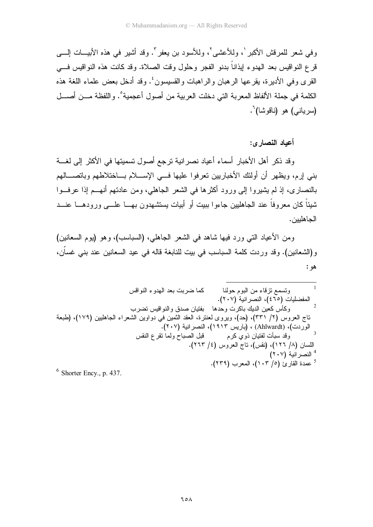وفي شعر للمرقش الأكبر `، وللأعشى'، وللأسود بن يعفر ". وقد أشير في هذه الأبيـــات الــــي قرع النواقيس بعد الهدوء لِيذاناً بدنو الفجر وحلول وقت الصلاة. وقد كانت هذه النواقيس فـــي القرى وفي الأديرة، بقرعها الرهبان والراهبات والقسيسون ٔ. وقد أدخل بعض علماء اللغة هذه الكلمة في جملة الألفاظ المعربة التي دخلت العربية من أصول أعجمية°. واللفظة مـــن أصـــل (سريان<sub>ت</sub>ي) هو (ناقوشا)<sup>٦</sup>.

أعياد النصار ي:

وقد ذكر أهل الأخبار أسماء أعياد نصر انية ترجع أصول تسميتها في الأكثر إلى لغسة بني إرم، ويظهر أن أولئك الأخباريين تعرفوا عليها فـــي الإســــلام بـــاختلاطهم وباتصــــالهم بالنصارى، إذ لم يشيروا إلى ورود أكثرها في الشعر الجاهلي، ومن عادتهم أنهـــم إذا عرفـــوا شيئاً كان معروفاً عند الجاهليين جاءوا ببيت أو أبيات يستشهدون بهـــا علــــى ورودهـــا عنـــد الحاهليين.

ومن الأعياد التي ورد فيها شاهد في الشعر الجاهلي، (السباسب)، وهو (يوم السعانين) و(الشعانين). وقد وردت كلمة السباسب في بيت للنابغة قاله في عيد السعانين عند بني غسان، هو :

 $<sup>6</sup>$  Shorter Ency., p. 437.</sup>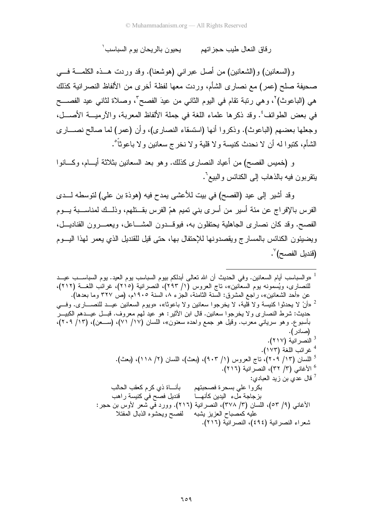بحبو ن بالر بحان بو م السباسب ` ر قاق النعال طبب حجز اتهم

و (السعانين) و (الشعانين) من أصل عبر انبي (هوشعنا). وقد وريت هـــذه الكلمـــة فــــي صحيفة صلح (عمر) مع نصاري الشأم، وردت معها لفظة أخرى من الألفاظ النصرانية كذلك هي (الباعوث) `، وهي رتبة تقام في اليوم الثاني من عيدَ الفصح ّ، وصلاة لثاني عيد الفصـــح في بعض الطوائف ٔ. وقد ذكرها علماء اللغة في جملة الألفاظ المعربة، والآرميـــة الأصــــل، وجعلها بعضهم (الباعوث). وذكروا أنها (استسقاء النصارى)، وأن (عمر) لما صالح نصـــارى الشأم، كتبوا له أن لا نحدث كنيسة ولا قلية ولا نخرج سعانين ولا باعوثاً ْ .

و (خميس الفصح) من أعياد النصارى كذلك. وهو بعد السعانين بثلاثة أيــــام، وكــــانوا يتقربون فيه بالذهاب إلى الكنائس والبيع<sup>י</sup>.

وقد أشيرٍ إلى عيد (الفصح) في بيت للأعشى بمدح فيه (هوذة بن علي) لتوسطه لـــدى الفرس بالإفراج عن مئة أسير من أسرى بني تميم همّ الفرس بقــــتلهم، وذلـــك لمناســـبة بــــوم الفصح. وقد كان نصاري الجاهلية يحتفلون به، فيوقـــدون المشـــاعل، ويعمـــرون القناديـــل، ويضيئون الكنائس بالمسارج ويقصدونها للإحتفال بها، حتى قيل للقنديل الذي يعمر لمهذا اليسوم (قنديل الفصح) ``.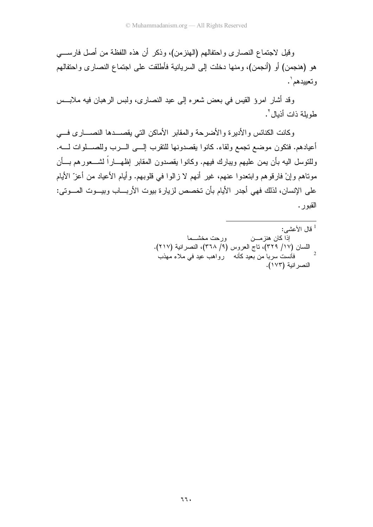وقيل لاجتماع النصاري واحتفالهم (الهنزمن)، وذكر أن هذه اللفظة من أصل فارسي هو (هنجمن) أو (أنجمن)، ومنها دخلت إلى السريانية فأطلقت على اجتماع النصـارى واحتفالهم وتعبيدهم'.

وقد أشار امرؤ القيس في بعض شعره إلى عيد النصارى، ولبس الرهبان فيه ملابس طويلة ذات أذبال ".

وكانت الكنائس والأديرة والأضرحة والمقابر الأماكن التى يقصـــدها النصـــاري فـــى أعيادهم. فتكون موضع تجمع ولقاء. كانوا يقصدونها للتقرب إلـــى الـــرب وللصــــلوات لــــه. وللنوسل اليه بأن يمن عليهم ويبارك فيهم. وكانوا يقصدون المقابر إظهـــاراً لشــــعورهم بــــأن مونـاهم وإنْ فارقوهم وابنـعدوا عنـهم، غير أنـهم لا زالوا فـي قلوبـهم. وأيـام الأعيـاد من أعزّ الأيـام على الإنسان، لذلك فهي أجدر الأيام بأن تخصص لزيارة بيوت الأربــــاب وبيـــوت المــــوتي: القبو ر .

قال الأعشى:  $^{\mathrm{l}}$ اذا كان هنز مـــــز، ورحت مخشــما اللسان (١٧/ ٣٢٩)، ناج العروس (٩/ ٣٦٨)، النصر انية (٢١٧).  $\overline{\phantom{0}}$ فأنست سربا من بعيد كأنه \_ رواهب عيد في ملاء مهذب النصر انية (١٧٣).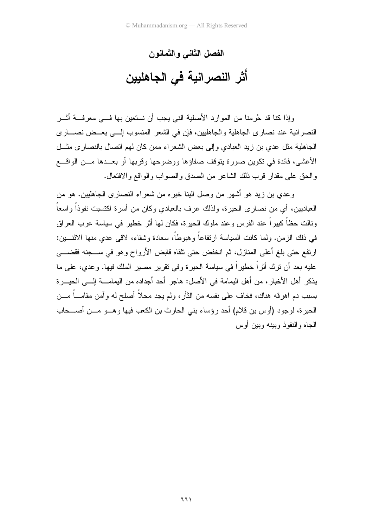الفصل الثاني والثمانون أَثْرِ النصرِانية في الجاهليين

وإذا كنا قد حُرِ منا من الموارد الأصلية النبي يجب أن نستعين بها فـــي معرفـــة أشــر النصر انية عند نصاري الجاهلية والجاهليين، فإن في الشعر المنسوب إلـــي بعــض نصـــاري الجاهلية مثل عدى بن زيد العبادي وإلى بعض الشعر اء ممن كان لهم اتصال بالنصار ي مثـــل الأعشى، فائدة في نكوين صورة يتوقف صفاؤها ووضوحها وقربها أو بعــدها مـــن الواقــــع والحق على مقدار قرب ذلك الشاعر من الصدق و الصواب و الو اقع و الافتعال.

وعدى بن زيد هو أشهر من وصل الينا خبره من شعراء النصارى الجاهليين. هو من العباديين، أي من نصـاري الـحيرة، ولذلك عرف بالعبادي وكـان من أسرة اكتسبت نفوذاً واسعاً ونالت حظاً كبيرٍ اً عند الفرِ س و عند ملوك الحبر ة، فكان لها أثر ِ خطبرٍ في سباسة عرب العر اق في ذلك الزمن. ولما كانت السياسة ارتفاعاً وهبوطاً، سعادة وشقاء، لاقي عدي منها الاثنــــين: ارتفع حتى بلغ أعلى المنازل، ثم انخفض حتى نلقاه قابض الأرواح وهو في ســـجنه فقضــــي عليه بعد أن ترك أثراً خطيراً في سياسة الحيرة وفي تقرير مصير الملك فيها. وعدى، على ما يذكر أهل الأخبار ، من أهل اليمامة في الأصل: هاجر أحد أجداده من اليمامــــة إلـــي الحيـــرة بسبب دم اهرفه هناك، فخاف على نفسه من النأر، ولم يجد محلاً أصلح له وآمن مقامـــاً مـــن الحيرة، لوجود (أوس بن قلام) أحد رؤساء بني الحارث بن الكعب فيها وهـــو مـــن أصــــحاب الجاه و النفو ذ و ببنه و ببن أو س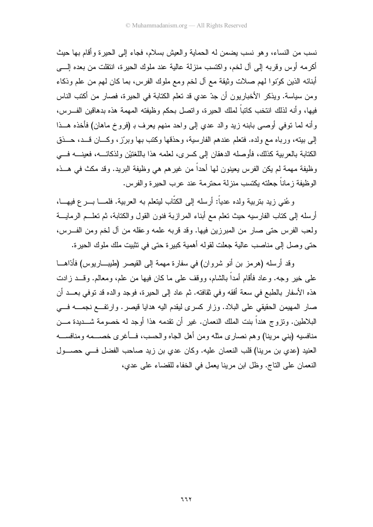نسب من النساء، وهو نسب يضمن له الحماية والعيش بسلام، فجاء إلى الحيرة وأقام بها حيث أكرمه أوس وقربه إلى آل لخم، واكتسب منزلة عالية عند ملوك الحيرة، انتقلت من بعده إلــــي أبنائه الذين كوَّنوا لهم صلات وثَّبقة مع ألَّ لخم ومع ملوك الفرس، بما كان لهم من علم وذكاء ومن سياسة. ويذكر الأخباريون أن جدّ عدي قد تعلم الكتابة في الحيرة، فصار من أكتب الناس فيها، وأنه لذلك انتخب كاتباً لملك الحيرة، واتصل بحكم وظيفته المهمة هذه بدهاقين الفـــرس، وأنه لما نوفي أوصبي بابنه زيد والد عدي إلى واحد منهم يعرف بـ (فروخ ماهان) فأخذه هــذا إلى ببيته، ورباه مع ولده. فتعلم عندهم الفارسية، وحذقها وكتب بها وبرّز، وكـــان قـــد، حـــذق الكتابة بالعربية كذلك، فأوصله الدهقان إلى كسرى، لعلمه هذا باللغتيْن ولذكائــــه، فعينــــه فـــي وظيفة مهمة لم يكن الفرس يعينون لها أحداً من غير هم هي وظيفة البريد. وقد مكث في هـــذه الوظيفة ز ماناً جعلته بكتسب منز لة محتر مة عند عر ب الحبر ة و الفر س.

و عُني زيد بتربية ولده عدياً: أرسله إلى الكتَّاب ليتعلِّم به العربية، فلمـــا بـــر ع فيهـــا، أرسله إلى كتاب الفارسيه حيث تعلم مع أبناء المر ازبة فنون القول والكتابة، ثم تعلــم الرمايـــة ولعب الفرس حتى صار من المبرزين فيها. وقد قربه علمه وعقله من آل لخم ومن الفـــرس، حتى وصل إلى مناصب عالية جعلت لقوله أهمية كبيرة حتى في نثبيت ملك ملوك الحيرة.

وقد أرسله (هرمز بن أنو شروان) في سفارة مهمة إلى القيصر (طيبـــاريوس) فأدّاهـــا علي خبر وجه. و عاد فأقام أمداً بالشام، ووقف علي ما كان فبها من علم، ومعالم. وقـــد ز ادت هذه الأسفار بالطبع في سعة أفقه وفي ثقافته. ثم عاد إلى الحيرة، فوجد والده قد توفي بعــد أن صار المهيمن الحقيقي على البلاد. وزار كسرى ليقدم اليه هدايا قيصر . وارتفع نجمــــه فــــي البلاطين. وتز و ج هنداً بنت الملك النعمان. غير ۖ أن تقدمه هذا أو جد له خصومة شـــديدة مـــن منافسيه (بني مرينا) وهم نصاري مثله ومن أهل الجاه والحسب، فــأغرى خصـــمه ومنافســـه العنيد (عدى بن مرينا) قلب النعمان عليه. وكان عدى بن زيد صاحب الفضل في حصــول النعمان على الناج. وظل ابن مرينا يعمل في الخفاء للقضاء على عدى،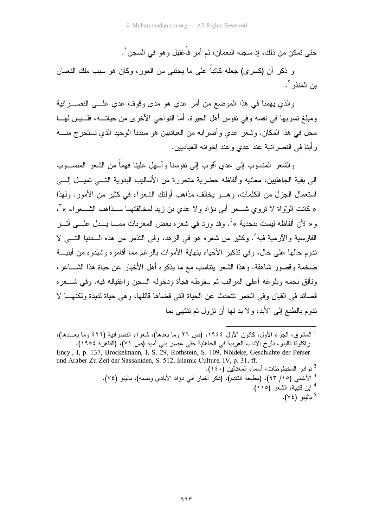حتى تمكن من ذلك، إذ سجنه النعمان، ثم أمر ۖ فَاغتيل و هو ۖ في السجن ٰ .

و ذكرٍ أن (كسرى) جعله كاتباً على ما يجتبي من الغور، وكان هو سبب ملك النعمان بن المنذر `.

والذي يهمنا في هذا الموضع من أمر عدي هو مدى وقوف عدى علـــى النصـــــرانية ومبلغ نسربها في نفسه وفي نفوس أهل الحيرة. أما النواحي الأخرى من حياتـــه، فلــــيس لهــــا محل في هذا المكان. وشعر عدى و أضر ابه من العبادبين هو سندنا الوحيد الذي نستخرج منــــه ر أبنا في النصر انبة عند عدى و عند إخوانه العبادبين.

والشعر المنسوب إلىي عدى أقرب إلى نفوسنا وأسهل علينا فهماً من الشعر المنســـوب إلى بقية الجاهليين، معانيه وألفاظه حضرية متحررة من الأساليب البدوية التـــي تميـــل إلــــي استعمال الجز ل من الكلمات، و هـــو بخالف مذاهب أولئك الشعر اء في كثير ٍ من الأمور . ولهذا « كانت الرَّواة لا نزوي شـــعر أبي دؤاد ولا عدي بن زيد لمخالفتهما مـــذاهب الشـــعراء » ً، و « لأن ألفاظه لبست بنجدية »<sup>؛</sup> . وقد ور د في شعر ه بعض المعربات ممـــا بـــدل علـــي أثـــر الفار سبة و الآر مبة فيه ْ . وكثير من شعر م هو في الز هد، و في التذمر من هذه الـــدنيا التــــي لا ندو م حالها على حال، وفي نذكير الأحياء بنهاية الأمو ات بالر غم مما أقامو ه وشيّدو ه من أبنيـــة ضخمة وقصور شاهقة. وهذا الشعر بتناسب مع ما بذكر ه أهل الأخبار ٍ عن حياة هذا الشـــاعر ، وتألق نجمه وبلوغه أعلى المرانب ثم سقوطه فجأة ودخوله السجن واغتياله فيه. وفي شـــعره قصائد في القيان وفي الخمر نتحدث عن الحياة التي قضاها قائلها، وهي حياة لذيذة ولكنهـــا لا ندوم بالطبع إلى الأبد، ولا بد لها أن نزول ثم نتتهى بما

<sup>&</sup>lt;sup>1</sup> المشرق، الجز ء الأول، كانون الأول ١٩٤٤، (ص ٢٦ وما بعدها)، شعراء النصرانية (٤٢٦ وما بعـــدها)، راكلونا نالينو، تأرخ الآداب العربية في الجاهلية حتى عصر بني أمية (ص ٧١)، (القاهرة ١٩٥٤).

Ency., I, p. 137, Brockelmann, I, S. 29, Rothstein, S. 109, Nöldeke, Geschichte der Perser und Araber Zu Zeit der Sassaniden, S. 512, Islamic Culture, IV, p. 31, ff. <sup>2</sup> نو ادر المخطوطات، أسماء المغتالين (٤٠).

<sup>&</sup>lt;sup>3</sup> الأغاني (١٥/ ٩٣)، (مطبعة التقدم)، (ذكر أخبار أبي دؤاد الأيادي ونسبه)، نالينو (٧٤). <sup>4</sup> ابن قتيبة، الشعر (١١٥). ناللنو (٧٤).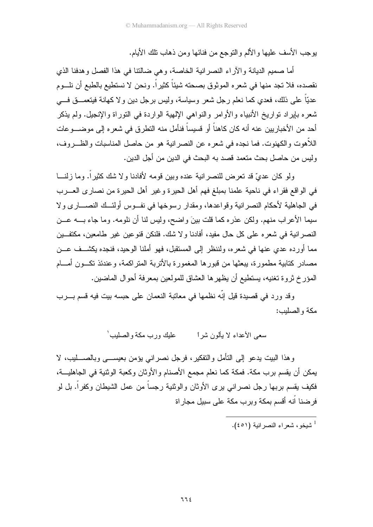يوجب الأسف عليها والألم والنوجع من فنائها ومن ذهاب نلك الأيام.

أما صميم الديانة والأراء النصرانية الخاصة، وهي ضالتنا في هذا الفصل وهدفنا الذي نقصده، فلا نجد منها في شعره الموثوق بصحته شيئًا كثيراً. ونحن لا نستطيع بالطبع أن نلـــوم عديّاً على ذلك، فعدي كما نعلم رجل شعر وسياسة، وليس برجل دين ولا كهانة فيتعمـــق فــــي شعره بإيراد نواريخ الأنبياء والأوامر والنواهي الإلهية الواردة في النوراة والإنجيل. ولم يذكر أحد من الأخباريين عنه أنه كان كاهناً أو قسيساً فنأمل منه التطرق في شعره إلى موضــــوعات اللاَّهوت والكهنوت. فما نجده في شعره عن النصرانية هو من حاصل المناسبات والظــــروف، وليس من حاصل بحث متعمد قصد به البحث في الدين من أجل الدين.

ولو كان عديّ قد نعرض للنصرانية عنده وبين قومه لأفادنا ولا شك كثيراً. وما زلنـــا في الواقع فقراء في ناحية علمنا بمبلغ فهم أهل الحيرة وغير أهل الحيرة من نصارى العــــرب في الجاهلية لأحكام النصر انية وقواعدها، ومقدار رسوخها في نفــوس أولئــك النصـــاري ولا سيما الأعراب منهم. ولكن عذره كما قلت بينَ واضح، وليس لنا أن نلومه. وما جاء بــــه عـــن النصر انية في شعره على كل حال مفيد، أفادنا ولا شك. فلنكن قنو عين غير طامعين، مكتفـــين مما أورده عدى عنها في شعره، ولننظر إلى المستقبل، فهو أملنا الوحيد، فنجده يكشــف عـــن مصادر كتابية مطمورة، بيعثها من قبور ها المغمورة بالأتربة المنز اكمة، وعندئذ تكــون أمـــام المؤرخ ثروة تغنيه، بستطيع أن يظهر ها العشاق للمولعين بمعرفة أحوال الماضين.

وقد ورد في قصيدة قيل إنَّه نظمها في معاتبة النعمان على حبسه بيت فيه قسم بـــرب مكة والصلبب:

> عليك ورب مكة والصليب ٰ سعي الأعداء لا يألون شرا

وهذا البيت يدعو إلىي التأمل والتفكير، فرجل نصراني يؤمن بعيســـي وبالصــــــليب، لا يمكن أن يقسم برب مكة. فمكة كما نعلم مجمع الأصنام والأوثان وكعبة الوثنية في الجاهليـــة، فكيف يقسم بربها رجل نصراني برى الأوثان والوثنية رجساً من عمل الشيطان وكفراً. بل لو فر ضنا أنه أقسم بمكة وبر ب مكة على سبيل مجار اة

شيخو، شعراء النصر انية (٤٥١).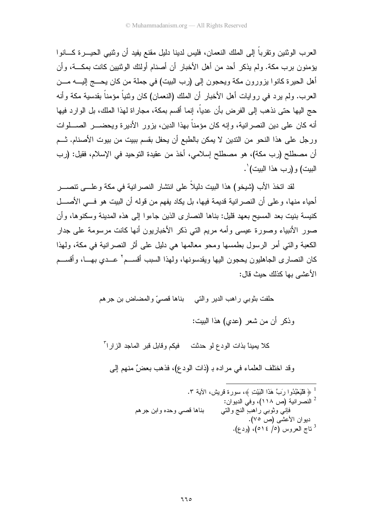العرب الوثنين ونقرباً إلى الملك النعمان، فليس لدينا دليل مقنع يفيد أن وثنيبي الحيـــرة كــــانوا يؤمنون بر ب مكة. ولم يذكر ۖ أحد من أهل الأخبار ۖ أن أصنام أولئك الوثنيين كانت بمكـــة، و أن أهل الحيرة كانوا يزورون مكة ويحجون إلى (رب البيت) في جملة من كان يحـــج إليـــه مـــن العرب. ولم يرد في روايات أهل الأخبار أن الملك (النعمان) كان ونثنياً مؤمناً بقدسية مكة وأنه حج اليها حتى نذهب إلى الفرض بأن عدياً، إنما أقسم بمكة، مجاراة لهذا الملك، بل الوارد فيها أنه كان على دين النصر انية، و إنه كان مؤمناً بهذا الدين، يزور الأديرة ويحضـــر الصــــلوات ورجل على هذا النحو من الندين لا يمكن بالطبع أن يحفل بقسم ببيت من بيوت الأصنام. تسم أن مصطلح (رب مكة)، هو مصطلح إسلامي، أخذ من عقيدة التوحيد في الإسلام، فقيل: (رب البيت) و (رب هذا البيت) '.

لقد اتخذ الأب (شيخو ) هذا البيت دليلاً على انتشار النصر انية في مكة و علـــي نتصــــر أحباء منها، و على أن النصر انبة قديمة فيها، بل بكاد بفهم من قوله أن الببت هو فـــ الأصـــل كنيسة بنيت بعد المسيح بعهد قليل: بناها النصاري الذين جاءوا إلى هذه المدينة وسكنوها، وأن صور الأنبياء وصور ة عيسى وأمه مربع التي ذكر الأخباريون أنها كانت مرسومة على جدار الكعبة والتي أمر الرسول بطمسها ومحو معالمها هي دليل على أثر النصرانية في مكة، ولهذا كان النصارى الجاهليون يحجون اليها ويقدسونها، ولهذا السبب أقســـم كصـدي بـهـــا، وأقســـم الأعشى يها كذلك حيث قال: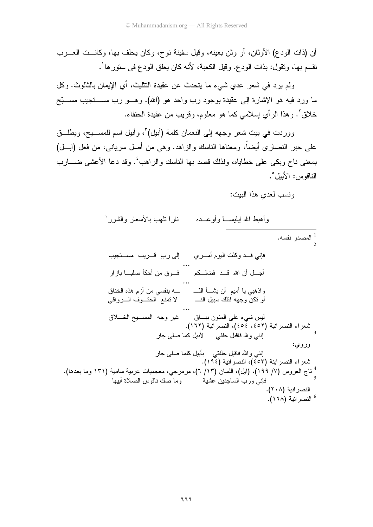أن (ذات الودع) الأوثان، أو وثن بعينه، وقيل سفينة نوح، وكان يحلف بها، وكانــت العـــرب نقسم بـها، ونقول: بذات الودع. وقيل الكعبة، لأنه كان يعلق الودع فـي ستورها ْ.

ولم يرد في شعر عدي شيء ما يتحدث عن عقيدة النتثليث، أي الإيمان بالثالوث. وكل ما ورد فيه هو الإشارة إلى عقيدة بوجود رب واحد هو (الله). وهـــو رب مســـنجيب مســـبّح خلاقٍ '. وهذا الرأي إسلامي كما هو معلوم، وقريب من عقيدة الحنفاء.

ووردت في بيت شعر وجهه إلى النعمان كلمة (أبيل)"، وأبيل اسم للمســـيح، ويطلـــق على حبر النصاري أيضاً، ومعناها الناسك والزاهد. وهي من أصل سرياني، من فعل (ابـــل) بمعنى ناح وبكي على خطاياه، ولذلك قصد بها الناسك والراهب ٔ. وقد دعا الأعشى ضــــارب الناقوس: الأبيل°.

ونسب لعدى هذا الببت:

| ناراً نلهب بالأسعار والشرر <sup>ا</sup><br>وأهبط الله إبليســــأ وأوعـــده                                                                                       |
|------------------------------------------------------------------------------------------------------------------------------------------------------------------|
| ً المصدر نفسه.<br>^                                                                                                                                              |
| فإني قــــد وكلت اليوم أمـــــري<br>إلى رب ٍ قــريب مســتجيب                                                                                                     |
| أجل أن الله قــد فضلــكم<br>فوق من أحكأ صلبـــا بازار                                                                                                            |
| واذهبي يا أميم  أن يشـــأ اللـــــ<br>أو نكن وجهه فتلك سبيل النـــــ<br>ـــه بنفسي من أزم هذه الخناق<br>لا تمنع  الحتـــوف الـــــرواقي                          |
| غير وجه المســـيح الـفــــلاق<br>ليس شيء على المنون ببـــاق<br>شعراء النصرانية (٤٥٢، ٤٥٤)، النصرانية (١٦٢).<br>3<br>إنني ولله فاقبل حلفي       لأبيل كما صلى جار |
| وروي:<br>انِنمی واللہ فاقبل حلفتی    بأبیل کلما صلبی جار<br>شعراء النصراينة (٤٥٣)، النصرانية (١٩٤).                                                              |
| " ناج العروس (٧/ ١٩٩)، (ايل)، اللسان (١٣/ ٦)، مرمرجي، معجميات عربية سامية (١٣١ وما بعدها).<br>فإني ورب الساجدين عشية          وما صك ناقوس الصلاة أبيها          |
| النصر انية (٢٠٨).<br><sup>6</sup> النصر انية (١٦٨).                                                                                                              |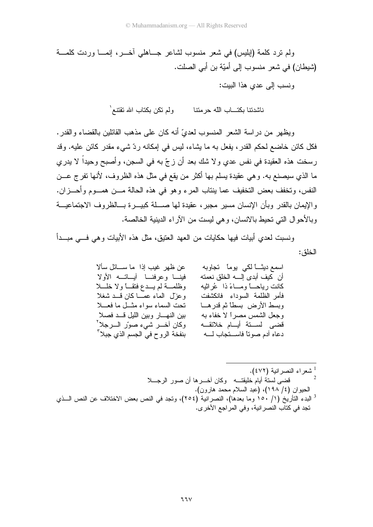ولم نزد كلمة (إبليس) في شعر منسوب لشاعر جـــاهلي أخــــر، إنمــــا وردت كلمــــة (شيطان) في شعر منسوب إلى أميّة بن أبي الصلت.

ونسب إلى عدى هذا الببت:

ناشدتنا بكتـــاب الله حرمتنا ولم تكن بكتاب الله تقتنـع ٰ

ويظهر من دراسة الشعر المنسوب لعديّ أنه كان على مذهب القائلين بالقضاء والقدر. .<br>فكل كائن خاضيع لحكم القدر ، يفعل به ما يشاء، ليس في إمكانه ر دّ شيء مقدر كائن عليه. و قد رسخت هذه العقيدة في نفس عدي ولا شك بعد أن زجّ به في السجن، وأصبح وحيداً لا يدري ما الذي سيصنع به. وهي عقيدة يسلم بها أكثر من يقع في مثل هذه الظروف، لأنها تفرج عـــن النفس، وتخفف بعض التخفيف عما بنتاب المرء وهو في هذه الحالة مـــن همـــوم وأحــــزان. والإيمان بالقدر وبأن الإنسان مسير مجبر، عقيدة لها صــــلة كبيــــرة بـــالظروف الاجتماعيـــة وبالأحوال التي تحيط بالانسان، وهي ليست من الأراء الدينية الخالصة.

ونسبت لعدي أبيات فيها حكايات من العهد العنبق، مثل هذه الأبيات و هي فـــي مبـــدأ الخلق:

| عن ظهر غيب إذا ً ما ســــائل سألا        | اسمع دیٹاً لکی یوماً تجاوبه              |
|------------------------------------------|------------------------------------------|
| فينا وعرفنا أياتــه الأولا               | أن كيف أبدى إلــــــــــه الــخلق نـعمته |
| وظلمـــة لم يـــدع فتقـــاً ولا خلــــلا | كانت رياحــــاً ومــــاءً ذا ۚ عُراثيه   |
| وعزل الماء عمـــا كان قـــد شغلا         | فأمر الظلمة السوداء فانكشفت              |
| تحت السماء سواء مثـــل ما فعـــلا        | وبسط الأرض بسطائم قدرهـــا               |
| بين النهـــار وبين الليل قـــد فصـلا     | وجعل الشمس مصراً لا خفاء به              |
| وكان اخـــر شيء صورّ الــــرجلا`         | قضىي لســتة أيــام خلائقــه              |
| بنفخة الروح في الجسم الذي جبلا '         | دعاه أدم صوتاً فاســـتجاب لــــه         |
|                                          |                                          |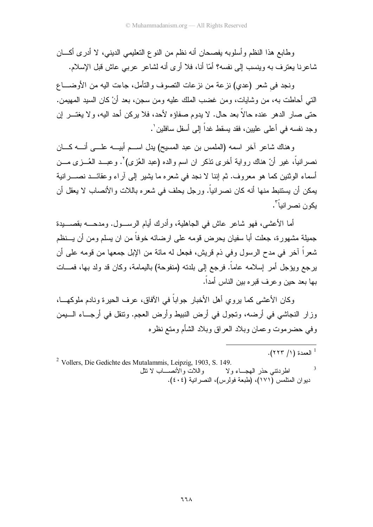وطابع هذا النظم وأسلوبه بفصحان أنه نظم من النوع التعليمي الديني، لا أدرى أكــــان شاعرنا يعترف به وينسب إلى نفسه؟ أمّا أنا، فلا أرى أنه لشاعر عربـي عاش قبل الإسلام.

ونجد في شعر (عدي) نزعة من نزعات النصوف والنأمل، جاءت اليه من الأوضــــاع النَّبي أحاطت به، من وشايات، ومن غضب الملك عليه ومن سجن، بعد أنْ كان السيد المهيمن. حتى صار الدهر عنده حالاً بعد حال. لا يدوم صفاؤه لأحد، فلا يركن أحد اليه، ولا يغتـــر إن وجد نفسه في أعلى عليين، فقد يسقط غداً إلى أسفل سافلين ٰ.

و هناك شاعر آخر اسمه (الملمس بن عبد المسبح) بدل اســم أببـــه علـــي أنـــه كـــان نصرانياً، غير أنّ هناك رواية أخرى نذكر ان اسم والده (عبد العُزى)'. وعبـــد العُـــزى مـــن أسماء الوثنين كما هو معروف. ثم إننا لا نجد في شعره ما يشير إلى آراء وعقائـــد نصـــــرانية يمكن أن يستنبط منها أنه كان نصرانياً. ورجل يحلف في شعره باللات والأنصاب لا يعقل أن يكون نصر انباً ".

أما الأعشبي، فهو شاعر عاش في الجاهلية، وأدرك أبام الرســول. ومدحـــه بقصـــبدة جميلة مشهور ة، جعلت أبا سفيان يحر ض قومه على ار ضائه خوفاً من ان يسلم ومن أن يسنظم شعراً آخر في مدح الرسول وفي ذم قريش، فجعل له مائة من الإبل جمعها من قومه على أن برجع ويؤجل أمر ٳسلامه عاماً. فرجع ٳلى بلدنه (منفوحة) باليمامة، وكان قد ولد بها، فمـــات بـها بـعد حبن و عر ف قبر ه ببن النـاس أمداً.

وكان الأعشى كما يروى أهل الأخبار جواباً في الآفاق، عرف الحيرة ونادم ملوكهـــا، وزار النجاشي في أرضه، وتجول في أرض النبيط وأرض العجم. ونتقل في أرجــاء الـــبمن وفي حضرموت وعمان وبلاد العراق وبلاد الشأم ومتع نظره

.<br>- العمدة (١/ ٢٢٣).

<sup>2</sup> Vollers, Die Gedichte des Mutalammis, Leipzig, 1903, S. 149. واللات والأنصـــاب لا نتل اطردتني حذر الهجــاء ولا ديوان المتلمس (١٧١)، (طبعة فولرس)، النصر انية (٤٠٤).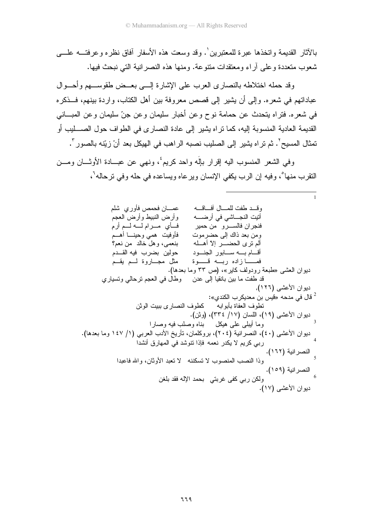بالآثار القديمة واتخذها عبر ة للمعتبرين'. وقد وسعت هذه الأسفار آفاق نظر ه و عرفتــه علــــى شعوب متعددة وعلى أراء ومعتقدات متنوعة. ومنها هذه النصرانية التي نبحث فيها.

وقد حمله اختلاطه بالنصاري العرب على الإشارة إلـــي بعــض طقوســـهم وأحـــوال عباداتهم في شعره. وإلى أن يشير إلى قصص معروفة بين أهل الكتاب، واردة بينهم، فـــذكره في شعره. فتراه يتحدث عن حمامة نوح وعن أخبار سليمان وعن جنّ سليمان وعن المبـــانـي القديمة العادية المنسوبة إليه، كما نر اه يشير إلى عادة النصارى في الطواف حول الصـــــليب أو تمثال المسيح٬ . ثم تر اه يشير إلى الصليب نصبه الراهب في الهيكل بعد أنْ زيّنه بالصور ".

وفي الشعر المنسوب اليه إقرار باله واحد كريع، ونهي عن عبـــادة الأوثـــان ومـــن النقرب منها ْ، وفيه إن الرب يكفي الإنسان ويرعاه ويساعده في حله وفي ترحاله ْ ،

وقــد طفت للمـــال آفـــاقـــه أتيت النجـــاشي في أرضـــــه وأرض النبيط وأرض العجم فأى مـرام لــه لــم أرم فنجران فالســــرو\_ من حمير فأوفيت همى وحينــا أهـــم ومن بعد ذاك إلى حضر موت بنعمي، وهل خالد ً من نعم؟ حولين بضرب فيه القــدم أقـــام بـــــه ســــابور الـجنــــود فمـــازاده ربــه قـــوة مثل مجـــاروة لـــم يقـــم ديوان العشي «طبعة رودولف كاير»، (ص ٣٣ وما بعدها). قد طفت ما بين بانقيا إلى عدن وطال في العجم نرحالي ونسياري ديوان الأعشى (١٢٦), ' قال في مدحه «فَيِس بن معديكر ب الكندى»:  $^2$ تطوف العفاة بأبوابه كطوف النصار ى ببيت الوثن ديوان الأعشى (١٩)، اللسان (١٧/ ٣٣٤)، (وثن). وما أيبلي على هيكل بناه وصلب فيه وصارا ديوان الأعشى (٤٠)، النصرانية (٢٠٤)، بروكلمان، نأريخ الأدب العربي (١/ ١٤٧ وما بعدها). ربي كريم لا يكدر نعمه فإذا نتوشد في المهارق أنشدا النصرانية (١٦٢). وذا النصب المنصوب لا تسكننه لا نعبد الأوثان، والله فاعبدا النصرانية (١٥٩). ولكن ربي كفي غربتي بحمد الإله فقد بلغن ديوان الأعشى (١٧).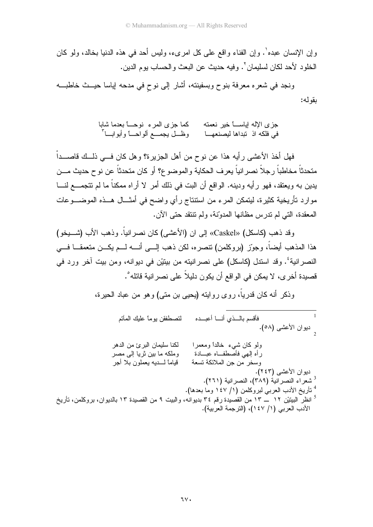وإن الإنسان عبده'. وإن الفناء واقع على كل امرىء، وليس أحد في هذه الدنيا بخالد، ولو كان الخلو د لأحد لكان لسليمان `. وفيه حديث عن البعث و الحساب يو م الدين.

ونجد في شعره معرفة بنوح وبسفينته، أشار إلى نوح في مدحه إياسا حيــث خاطبـــه بقو له:

> كما جزى المرء نوحــــاً بعدما شابا جز ي الإله إباســــاً خبر نعمته وظَّـــل يجمــــع ألو احـــــاً و أبو ابــــا ّ في فلكه اذ تبداها ليصنعهـــا

فهل أخذ الأعشى رأيه هذا عن نوح من أهل الجزيرة؟ وهل كان فـــي ذلــك قاصــــداْ متحدثاً مخاطباً رجلاً نصر انياً يعرف الحكاية والموضوع؟ أو كان متحدثاً عن نوح حديث مـــن يدين به ويعتقد، فهو رأيه ودينه. الواقع أن البت في ذلك أمر لا أراه ممكناً ما لم تتجمـــع لنـــا موارد تأريخية كثيرة، ليتمكن المرء من استتتاج رأي واضح في أمثـــال هـــذه الموضــــوعات المعقدة، التي لم ندرس مظانها المدوّنة، ولم نتنقد حتى الآن.

وقد ذهب (كاسكل) «Caskel» إلى ان (الأعشى) كان نصر انياً. وذهب الأب (شــــبخو) هذا المذهب أيضاً، وجوّز (بروكلمن) نتصره، لكن ذهب إلـــي أنــــه لـــم يكـــن متعمقـــا فــــي النصرانية'. وقد استدل (كاسكل) على نصرانيته من بيتيْن في ديوانه، ومن بيت آخر ورد في قصيدة أخر ي، لا يمكن في الواقع أن يكون دليلاً على نصر انية قائله ْ .

وذكر أنه كان قدرياً، روى روايته (يحيى بن منى) وهو من عباد الحيرة،

فأقسم بالمسذى أنسا أعبسده لتصطفقن يومأ عليك المأتم -<br><sub>د</sub> ديوان الأعشى (٥٨). لكنا سليمان البرئ من الدهر ولو كان شيء خالداً ومعمراً رأه إلهي فأصطفاه عبسادة وملكه ما بين ثريا إلى مصر قياما لسديه يعملون بلا أجر وسخر من جن الملائكة تسعة ديوان الأعشى (٢٤٣). <sup>3</sup> شعراء النصر انية (٣٨٩)، النصر انية (٢٦١). <sup>4</sup> تأريخ الأدب العربي لبروكلمن (١/ ١٤٧ وما بعدها). <sup>5</sup> انظر البيتيْن ١٢ ـــ ١٣ من القصيدة رقم ٣٤ بديوانه، والبيت ٩ من القصيدة ١٣ بالديوان، بروكلمن، تأريخ الأدب العربي (١/ ١٤٧)، (الترجمة العربية).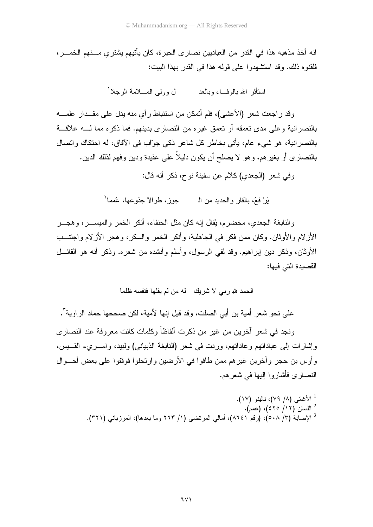انه أخذ مذهبه هذا في القدر ٍ من العباديين نصار ي الحير ة، كان يأتيهم يشتر ي مـــنهم الخمـــر ، فلقنوه ذلك. وقد استشهدوا على قوله هذا في القدر بهذا البيت:

> ل وولى المسلامة الرجلاً ا استأثر الله بالوفساء وبالعد

وقد راجعت شعر (الأعشى)، فلم أتمكن من استتباط رأي منه يدل على مقــدار علمـــه بالنصرانية وعلى مدى تعمقه أو تعمق غيره من النصارى بدينهم. فما ذكره مما لــــه علاقـــة بالنصر انية، هو شيء عام، بأتي بخاطر كل شاعر ذكي جوّاب في الأفاق، له احتكاك واتصال بالنصارى أو بغيرهم، وهو لا يصلح أن يكون دليلاً على عقيدة ودين وفهم لذلك الدين.

وفي شعر (الجعدي) كلام عن سفينة نوح، ذكر أنه قال:

يَرَ ْ فَعُ، بِالْقَارِ وِ الْحَدِيدِ مِنِ الْمَسْمَحِمِ وَ إِنَّ مَا اللَّهُ حِذْهِ عِهَا، عُمَمَا ل

والنابغة الجعدي، مخضر م، بُقال إنه كان مثل الحنفاء، أنكر الخمر والمبســـر ، و هجـــر الأز لام و الأو ثان. و كان ممن فكر في الجاهلية، و أنكر الخمر و السكر ، و هجر الأز لام و اجتنسب الأوثان، وذكر دين إبراهيم. وقد لقي الرسول، وأسلم وأنشده من شعره. وذكر أنه هو القائـــل القصبدة التي فبها:

الحمد شرِ ربي لا شريك له من لم يقلها فنفسه ظلما

على نحو شعر أمية بن أبي الصلت، وقد قبل إنها لأمية، لكن صححها حماد الر اوية".

ونجد في شعر آخر بن من غير من ذكر ت ألفاظاً و كلمات كانت معر و فة عند النصار ي وإثمارات إلى عباداتهم وعاداتهم، ورَّدت في شعر (النابغة الذبياني) ولبيد، وامـــرىء القــــبِس، و أوس بن حجر ،و آخرين غير هم ممن طافو ا في الأرضين و ارتحلو ا فوقفو ا على بعض أحـــو ال النصبار ي فأشار و ا البيها في شعر هم.

> <sup>1</sup> الأغاني (٨/ ٧٩)، نالينو (١٧). <sup>2</sup> اللسان (٤٢٥ /١٢)، (عمم). <sup>3</sup> الإصابة (٣/ ٥٠٨)، (رقم ٨٦٤١)، أمالي المرتضى (١/ ٢٦٣ وما بعدها)، المرزباني (٣٢١).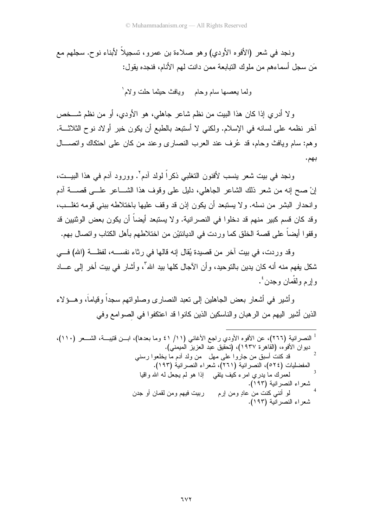ونجد في شعر (الأفوه الأودي) وهو صلاءة بن عمرو، تسجيلاً لأبناء نوح. سجلهم مع مَن سجل أسماءهم من ملوك التبابعة ممن دانت لهم الأنام، فنجده بقول:

ولما يعصمها سام وحام ہويافث حيثما حلت ولام ٰ

ولا أدري إذا كان هذا الببت من نظم شاعر جاهلي، هو الأودي، أو من نظم شـــخص أخر نظمه على لسانه في الإسلام. ولكني لا أستبعد بالطبع أن يكون خبر أولاد نوح الثلاثـــة. وهم: سام ويافث وحام، قد عُرف عند العرب النصاري وعند من كان على احتكاك واتصـــال بهم.

ونجد في بيت شعر ينسب لأفنون التغلبي ذكراً لولد آدم٬ وورود آدم في هذا البيــت، إنْ صح إنه من شعر ذلك الشاعر الجاهلي، دليل على وقوف هذا الشـــاعر علــــى قصـــــة أدم وانحدار البشر من نسله. ولا يستبعد أن يكون إذن قد وقف عليها باختلاطه ببني قومه تغلـــب، وقد كان قسم كبير ٍ منهم قد دخلوا في النصر انية. و لا يستبعد أيضاً أن يكون بعض الوثنيين قد وقفوا أيضاً على قصة الخلق كما وردت في الديانتيْن من اختلاطهم بأهل الكتاب واتصال بهم.

وقد وردت، في بيت آخر من قصيدة يُقال إنه قالها في رِثاء نفســه، لفظــة (الله) فـــي شكل يفهم منه أنه كان يدين بالتوحيد، وأن الآجال كلها بيد الله"، وأشار في بيت أخر إلى عـــاد و ار م و لقْمان و جدن <sup>٤</sup>٠

و أشبر ۖ في أشعار ۖ بعض الجاهلين إلى تعبد النصار ي وصلو اتهم سجداً وقياماً، و هــؤ لاء الذين أشير اليهم من الرهبان والناسكين الذين كانوا قد اعتكفوا في الصوامع وفي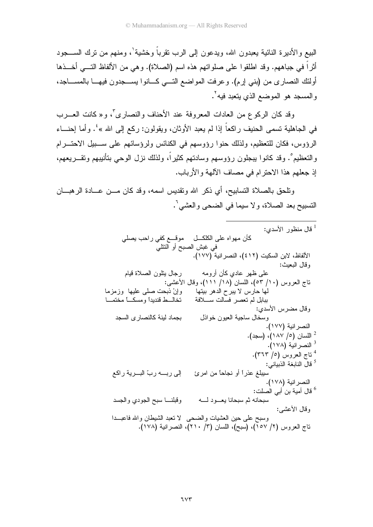البيع و الأدير ة النائية يعبدون الله، ويدعون إلى الرب نقر باً وخشية'، ومنهم من نرك الســــجود أثراً في جباههم. وقد اطلقوا على صلواتهم هذه اسم (الصلاة). وهي من الألفاظ النــــي أخـــذها أولئك النصاري من (بني إرم). وعرفت المواضع النسي كـــانوا بســـجدون فيهـــا بالمســـاجد، والمسجد هو الموضع الذي يتعبد فيه<sup>٢</sup>.

وقد كان الركوع من العادات المعروفة عند الأحناف والنصاري<sup>7</sup>، و«كانت العــــرب في الجاهلية تسمى الحنيف راكعاً إذا لم يعبد الأوثان، ويقولون: ركع إلى الله »<sup>؛</sup>. وأما إحنـــاء الرؤوس، فكان للتعظيم، ولذلك حنوا رؤوسهم في الكنائس ولرؤسائهم على ســبيل الاحتـــرام والتعظيم ْ. وقد كانوا ببجلون رؤوسهم وسادتهم كثيراً، ولذلك نزل الوحي بنأنيبهم وتقـــريعهم، إذ جعلهم هذا الاحترام في مصاف الآلهة والأرباب.

ونلحق بالصلاة التسابيح، أي ذكر الله ونقديس اسمه، وقد كان مـــن عـــادة الرهبــــان التسبيح بعد الصلاة، ولا سيما في الضحى والعشي'.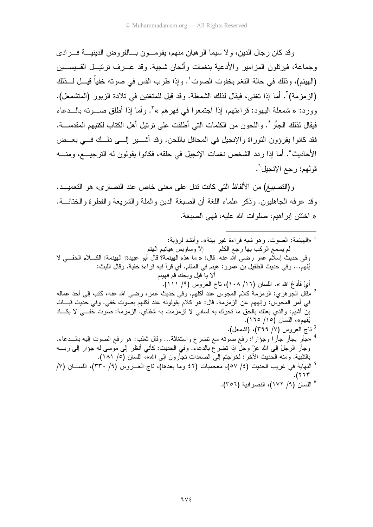و قد كان ر جال الدين، و لا سيما الر هبان منهم، يقومـــو ن بـــالفر و ض الدينيـــة فـــر ادى وجماعة، فيرنلون المزامير والأدعية بنغمات وألحان شجية. وقد عــرف ترتيــل القسيســـين (الهينم)، وذلك في حالة النغم بخفوت الصوت'. وإذا طرب القس في صوته خفياً قيـــل لـــذلك (الزمزمة)". أما إذا نغني، فيقال لذلك الشمعلة. وقد قيل للمتغنين في تلادة الزبور (المتشمعل). وورد: « شمعلة اليهود: قراءتهم، إذا اجتمعوا في فهرهم »<sup>7</sup>. وأما إذا أطلق صـــوته بالـــدعاء فيقال لذلك الجأر ٔ. واللحون من الكلمات التي أطلقت على ترتيل أهل الكتاب لكتبهم المقدســـة. فقد كانوا يقرؤون النوراة والإنجيل في المحافل باللحن. وقد أشــــير إلــــي ذلـــك فـــي بعـــض الأحاديث°. أما إذا ردد الشخص نغمات الإنجيل في حلقه، فكانوا يقولون له الترجيـــع، ومنــــه قولهم: رجع الإنجيل<sup>٢</sup>.

و (التصبيغ) من الألفاظ التي كانت ندل علي معنى خاص عند النصار ي، هو التعميــد. وقد عر فه الجاهلبون. وذكر علماء اللغة أن الصبغة الدين والملة والشريعة والفطر ة والختانـــة. « اختتن ابر اهيم، صلو ات الله عليه، فهي الصيغة.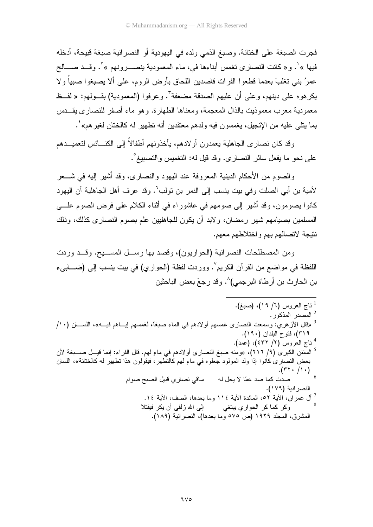فجرت الصبغة على الختانة. وصبغ الذمي ولده في اليهودية أو النصر انية صبغة قبيحة، أدخله فيها »'. و « كانت النصار ي تغمس أبناءها في، ماء المعمودية ينصــــر ونـهم »'. و قـــد صــــالح عمرُ بني نغلبَ بعدما قطعوا الفرات قاصدين اللحاق بأرض الروم، على ألا يصبغوا صبياً ولا يكرهوه على دينهم، وعلى أن عليهم الصدقة مضعفة". وعرفوا (المعمودية) بقــولهم: « لفــظ معمودية معرب معموذيت بالذال المعجمة، ومعناها الطهارة. وهو ماء أصفر للنصارى يقــدس بما يتلَّى عليه من الإنجيل، يغمسون فيه ولدهم معتقدين أنه نطهير له كالختان لغيرهم»<sup>؛</sup>.

وقد كان نصاري الجاهلية يعمدون أولادهم، يأخذونهم أطفالاً إلى الكنـــائس لتعميـــدهم على نحو ما يفعل سائر النصاري. وقد قيل له: النغميس والنصبيغ°.

والصوم من الأحكام الدينية المعروفة عند اليهود والنصارى، وقد أشير إليه في شـــعر لأمية بن أبي الصلت وفي بيت ينسب إلى النمر بن تولب<sup>٦</sup>. وقد عرف أهل الجاهلية أن اليهود كانوا بصومون، وقد أشير إلى صومهم في عاشوراء في أثناء الكلام على فرض الصوم علـــي المسلمين بصيامهم شهر رمضان، ولابد أن يكون للجاهليين علم بصوم النصارى كذلك، وذلك نتيجة لاتصالهم بهم واختلاطهم معهم.

ومن المصطلحات النصرانية (الحواريون)، وقصد بها رسـل المســبح. وقــد وردت اللفظة في مواضع من القرآن الكريم ْ. ووردت لفظة (الحواري) في بيت ينسب إلى (ضـــابيء بن الحار ث بن أر طاة البر جمي)^. و قد ر جعَ بعض الباحثين

 $7<sub>V</sub>$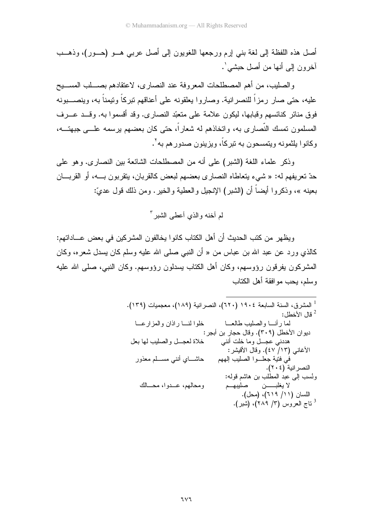أصل هذه اللفظة إلى لغة بني إرم ورجعها اللغويون إلى أصل عربي هــو (حــور)، وذهــب آخر و ن إلى أنها من أصل حبشي ٰ.

والصليب، من أهم المصطلحات المعروفة عند النصارى، لاعتقادهم بصــــلب المســــيح عليه، حتى صار رمزاً للنصرانية. وصاروا يعلقونه على أعناقهم تبركاً وتيمناً به، وينصــــبونه فوق منائر كنائسهم وقبابها، ليكون علامة على منعبّد النصارى. وقد أقسموا به. وقـــد عـــرف المسلمون تمسك النَّصـار ي بـه، واتـخاذهم لـه شعار اً، حتى كان بعضـهم برسمـه علـــي جبـهتـــه، وكانوا بلثمونه ويتمسحون به نير كاً، ويزينون صدور هم به'.

وذكر علماء اللغة (الشبر) على أنه من المصطلحات الشائعة بين النصارى. وهو على حدّ نعريفهم له: « شيء بنعاطاه النصارى بعضهم لبعض كالقربان، بنقربون بـــه، أو القربـــان بعينه »، وذكروا أيضاً أن (الشبر) الإنجيل والعطية والخير . ومن ذلك قول عديّ:

لم أخنه والذي أعطي الشير <sup>٣</sup>

ويظهر من كتب الحديث أن أهل الكتاب كانوا يخالفون المشركين في بعض عـــاداتهم: كالذي ورد عن عبد الله بن عباس من « أن النبي صلَّى الله عليه وسلَّم كان بسدل شعر ه، وكان المشركون بفرقون رؤوسهم، وكان أهل الكتاب بسدلون رؤوسهم. وكان النبي، صلَّى الله عليه وسلم، بحب مو افقة أهل الكتاب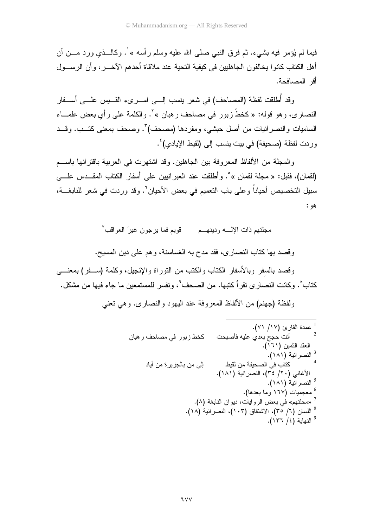فيما لم يُؤمر فيه بشيء. ثم فرق النبي صلى الله عليه وسلم رأسه » ٰ. وكالـــذي ورد مــــن أن أهل الكتاب كانو ا يخالفون الجاهليين في كيفية التحية عند ملاقاة أحدهم الآخـــر ، و أن الر ســـول أقر المصافحة.

وقد أُطلقت لفظة (المصاحف) في شعر ينسب إلــــى امـــــرىء القــــيس علـــــى أســــفار النصاري، وهو قوله: « كخطَّ زبور في مصاحف رهبان » `. والكلمة على رأي بعض علمـــاء الساميات والنصر انيات من أصل حبشي، ومفردها (مصحف) ؒ. وصحف بمعنى كتــب. وقــد وردت لفظة (صحيفة) في بيت ينسب إلى (لقيط الإيادي)<sup>؛</sup> .

و المجلة من الألفاظ المعروفة بين الجاهلين. وقد اشتهرت في العربية باقترانها باســـم (لقمان)، فقبل: « مجلة لقمان » ْ. وأطلقت عند العبر انبين على أسفار الكتاب المقــدس علـــي سبيل التخصيص أحياناً وعلى باب التعميم في بعض الأحيان`. وقد وردت في شعر للنابغـــة، ھو :

مجلتهم ذات الإلّــــه ودينهـــم قويم فما يرجون غير َ العو اقب ُ

وقصد بها كتاب النصاري، فقد مدح به الغساسنة، وهم على دين المسيح. وقصد بالسفر وبالأسفار الكتاب والكتب من النور اة والإنجبل، وكلمة (ســفر ) بمعنـــي

كتاب ُ'. و كانت النصار ي نقر أ كتبها. من الصبحف ُ'، و نفسر اللمستمعين ما جاء فبها من مشكل.

ولفظة (جهنع) من الألفاظ المعروفة عند البهود والنصاري. وهي تعني

$$
\frac{1}{2}
$$
3  
1  
1  
1  
1  
2  
2  
3  
3  
4  
3  
4  
4  
4  
4  
5  
7  
8  
4  
9  
4  
1  
1  
2  
3  
4  
4  
4  
5  
7  
8  
1  
2  
3  
4  
4  
4  
5  
7  
8  
1  
4  
9  
1  
1  
2  
3  
4  
4  
4  
5  
4  
5  
6  
7  
8  
1  
1  
2  
3  
4  
4  
5  
4  
5  
5  
6  
7  
8  
9  
1  
1  
2  
3  
4  
5  
4  
5  
5  
6  
7  
9  
1  
1  
2  
3  
4  
5  
5  
6  
9  
1  
1  
2  
3  
4  
5  
5  
5  
6  
7  
9  
1  
2  
3  
4  
5  
5  
5  
6  
7  
9  
1  
1  
2  
3  
4  
5  
5  
7  
9  
1  
1  
2  
3  
4  
5  
5  
5  
6  
7  
9  
1  
1  
2  
3  
4  
5  
1  
1  
2  
3  
5  
1  
2  
3  
5  
1  
1  
2  
3  
5  
1  
2  
3  
5  
1  
2  
3  
4  
5  
1  
2  
3  
5  
1  
2  
3  
5  
1  
2  
3  
3  
4  
5  
2  
3  
5  
5  
1  
2  
3  
5  
5  
1  
2  
3  
5  
5  
1  
2  
3  
5  
5  
1  
2  
3  
5  
1  
2  
3  
3  
4  
5  
1  
2  
3  
4  
5  
5  
1  
2  
3  
4  
5  
1  
2  
3  
4  
5  
1  
2  
3  
4  
5  
1  
2  
3  
4  
5  
1  
3  
4  
5  
5  
5  
5  
5  
5  
5  
5  
5  
5  
5  
6  
5  
6  
5  
6  
5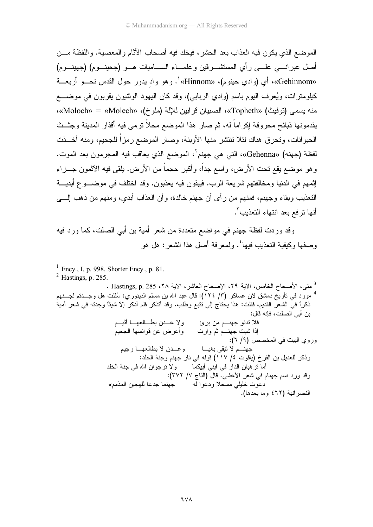الموضع الذي يكون فيه العذاب بعد الحشر ، فيخلد فيه أصحاب الآثام و المعصبية. و اللفظة مـــن أصل عبر انسي علـــي رأى المستشـــر قين و علمـــاء الســـاميات هـــو (جحينــوم) (جهينــوم) «Gehinnom»، أي (وادي حينوم)، «Hinnom»'. وهو واد يدور حول القدس نحـــو أربعـــة كيلومترات، ويُعرف اليوم باسم (وادي الربابي)، وقد كان اليهود الوثنيون يقربون في موضــــع منه يسمى (توفيث) «Topheth»، الصبيان قرابين للإلهَ (ملوخ)، «Molech» = «Molech»، يقدمونها ذبائح محروقة إكراماً له، ثم صار ٍ هذا الموضع محلاً نرمي فيه أقذار المدينة وجثــث الحيوانات، وتحرق هناك لئلا نتنشر منها الأوبئة، وصار الموضع رمزاً للجحيم، ومنه أخـــذت لفظة (جهنه) «Gehenna»، التي هي جهنم`، الموضع الذي يعاقب فيه المجر مون بعد الموت. و هو موضع يقع تحت الأرض، و اسع جداً، و أكبر حجماً من الأرض. يلقى فيه الآثمون جـــز اء إثمهم في الدنيا ومخالفتهم شريعة الرب. فبيقون فيه بعذبون. وقد اختلف في موضـــو ع أبديـــة التعذيب وبقاء وجهنم، فمنهم من رأى أن جهنم خالدة، و أن العذاب أبدى، ومنهم من ذهب إلــــى أنها نرفع بعد انتهاء التعذيب".

وقد ور دت لفظة جهنم في مو اضبع متعددة من شعر أمية بن أبي الصلت، كما ور د فيه وصفها وكيفية النعذيب فيها ٔ. ولمعرفة أصل هذا الشعر: هل هو

- $^{1}$  Ency., I, p. 998, Shorter Ency., p. 81.
- $2$  Hastings, p. 285.

<sup>3</sup> متى، الأصحاح الخامس، الآية ٢٩، الإصحاح العاشر، الآية ٢٨، 285 . Hastings, p. 285 . <sup>4</sup> «ورد في تأريخ دمشق لان عساكر (٣/ ١٢٤): قال عبد الله بن مسلم الدينوري: سُئلت هل وجـــدتم لجـــنهم ذكراً فيَّ الشعرُّ القديم، فقلت: هذا يحتاج إلى نتبع وطلب. وقد أنذكر فلم أذكر إلا شيئًا وجدنه في شعر أمية بن أبي الصلت، فإنه قال: فلا نندو جهنـــم من برئ ولا عـــدن بطـــالعهـــا أثيـــم إذا شبت جهنـــم ثم وارت وأعرض عن قوانسها الـجحيم وروى البيت في المخصص (٩/ ٦): وعــدن لا يطالعهــا رجيم جهنـــم لا تبقى بغيـــا وذكر للعديل بن الفرخ (ياقوت ٤/ ١١٧) قوله في نار جهنم وجنة الخلد: ولا نرجوان الله في جنة الخلد أما تر هبان الدار في ابني أبيكما وقد ورد اسم جهنام في شعر الأعشى. قال (الناج ٧/ ٣٧٢): دعوت خليلي مسحلا ودعوا له جهنما جدعا للهجين المذمم» النصر انية (٤٦٢ وما بعدها).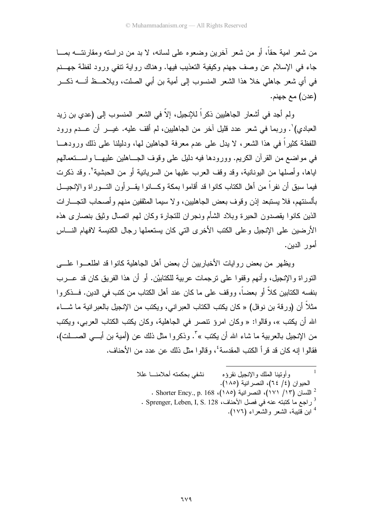من شعر ِ امية حقًّا، أو من شعر آخرين وضعوه على لسانه، لا بد من دراسته ومقارنتـــه بمـــا جاء في الإسلام عن وصف جهنم وكيفية التعذيب فيها. وهناك رواية نتفي ورود لفظة جهسنم في أي شعر جاهلي خلا هذا الشعر المنسوب إلى أمية بن أبي الصلت، ويلاحــظ أنــــه ذكـــر (عدن) مع جهنم.

ولم أجد في أشعار الجاهليين ذكراً للإنجيل، إلاَّ في الشعر المنسوب إلى (عدي بن زيد العبادي)'. وربما في شعر عدد قليل آخر من الجاهليين، لم أقف عليه. غيـــر أن عـــدم ورود اللفظة كثيراً في هذا الشعر، لا يدل على عدم معرفة الجاهلين لمها، ودليلنا على ذلك ورودهـــا في مواضع من القرآن الكريم. وورودها فيه دليل على وقوف الجساهلين عليهـــا واســـتعمالهم اياها، وأصلها من اليونانية، وقد وقف العرب عليها من السريانية أو من الحبشية٬ وقد ذكرت فيما سبق أن نفراً من أهل الكتاب كانوا قد أقاموا بمكة وكـــانوا يقــــرأون التــــوراة والإنـجيـــل بألسنتهم، فلا يستبعد إذن وقوف بعض الجاهليين، ولا سيما المثقفين منهم وأصحاب النجـــار ات الذين كانوا بقصدون الحبر ة وبلاد الشأم ونجران للنجار ة وكان لهم اتصال وثبق بنصار ي هذه الأرضين على الإنجيل وعلى الكتب الأخرى التي كان يستعملها رجال الكنيسة لافهام النساس أمور الدبن.

ويظهر ً من بعض ر و ايات الأخبار بين أن بعض أهل الجاهلية كانوا قد اطلعـــوا علــــى النَّور أة و الإنجيل، و أنهم و قفو ا علي تر جمات عربية للكتابيْن. أو أن هذا الفريق كان قد عــرب بنفسه الكتابين كلاَّ أو بعضاً، ووقف على ما كان عند أهل الكتاب من كتب في الدين. فـــذكروا مثلاً أن (ور قة بن نو فل) « كان يكتب الكتاب العبر اني، ويكتب من الإنجيل بالعبر انية ما شـــاء الله أن يكتب »، وقالوا: « وكان امرؤ نتصر في الجاهلية، وكان يكتب الكتاب العربي، ويكتب من الإنجيل بالعربية ما شاء الله أن يكتب »". وذكروا مثل ذلك عن (أمية بن أبـــى الصــــــلت)، فقالوا إنه كان قد قرأ الكتب المقدسة'، وقالوا مثل ذلك عن عدد من الأحناف.

> نشفى بحكمته أحلامنا عللا وأوتينا الملك والإنجيل نقرؤه الحيوان (٤/ ٢٤)، النصر انية (١٨٥). - اللسان (١٧١ / ١٧١)، النصر انية (١٨٥)، Shorter Ency., p. 168 . . Sprenger, Leben, I, S. 128 في فصل الأحناف، Sprenger, Leben, I, S. 128 . <sup>4</sup> ابن قتيبة، الشعر والشعراء (١٧٦).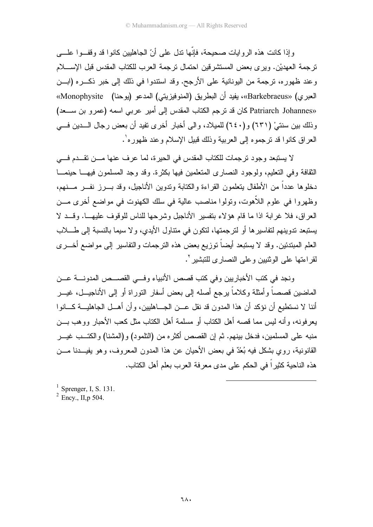و إذا كانت هذه الر و ايات صحيحة، فإنّها ندل على أنّ الجاهليين كانو ا قد و قفــو ا علـــي تر جمة العهديْن. وير ي بعض المستشر قين احتمال تر جمة العرب للكتاب المقدس قبل الإســـــلام وعند ظهوره، نرجمة من اليونانية على الأرجح. وقد استندوا في ذلك إلى خبر ذكـــره (ابـــن العبري) «Barkebraeus»، يفيد أن البطريق (المنوفيزيتي) المدعو (يوحنا) Monophysite» «Patriarch Johannes كان قد ترجم الكتاب المقدس إلى أمير عربي اسمه (عمرو بن سعد) وذلك بين سنتيْ (٦٣١) و(٢٤٠) للميلاد، والى أخبار أخرى نفيد أن بعض رجال السدين فسي العر اق كانو ا قد تر جمو ه إلى العربية وذلك قبيل الإسلام و عند ظهور ه'.

لا يستبعد وجود ترجمات للكتاب المقدس في الحيرة، لما عرف عنها مـــن تقـــدم فــــي الثقافة وفي التعليم، ولوجود النصاري المتعلمين فيها بكثرة. وقد وجد المسلمون فيهـــا حينمـــا دخلوها عدداً من الأطفال بتعلمون القراءة والكتابة وندوين الأناجيل، وقد بـــرز نفـــر مـــنهم، وظهر وا في علوم اللاَّهوت، وتولوا مناصب عالية في سلك الكهنوت في مواضع أخرى مـــز، العر اق، فلا غر ابة اذا ما قام هؤ لاء بنفسير الأناجيل وشر حها للناس للوقوف عليهـــا. وقـــد لا يستبعد ندوينهم لتفاسير ها أو لتر جمتها، لتكون في متتاول الأيدي، و لا سيما بالنسبة إلى طــــــلاب العلم المبتدئين. وقد لا يستبعد أيضاً توزيع بعض هذه الترجمات والتفاسير إلى مواضع أخـــرى لقر اءتها على الوثنيين وعلى النصار ي للنبشير `.

ونجد في كتب الأخبار بين وفي كتب قصص الأنبياء وفسي القصيص المدونسة عسن الماضين قصصاً و أمثلة وكلاماً يرجع أصله إلى بعض أسفار النور اة أو إلى الأناجيـــل، غيـــر أننا لا نستطيع أن نؤكد أن هذا المدون قد نقل عـــن الجــــاهليين، وأن أهـــل الجاهليـــة كــــانوا يعرفونه، وأنه ليس مما قصه أهل الكتاب أو مسلمة أهل الكتاب مثل كعب الأحبار ووهب بـــن منبه على المسلمين، فدخل بينهم. ثم إن القصص أكثر ه من (التلمو د) و (المشنا) و الكتـــب غيـــر القانونية، روى بشكل فيه بُعْدٌ في بعض الأحيان عن هذا المدون المعروف، وهو يفيـــدنا مــــن هذه الناحية كثيرٍ اً في الحكم على مدى معر فة العر ب بعلم أهل الكتاب.

<sup>1</sup> Sprenger, I, S. 131.<br><sup>2</sup> Ency., II, p 504.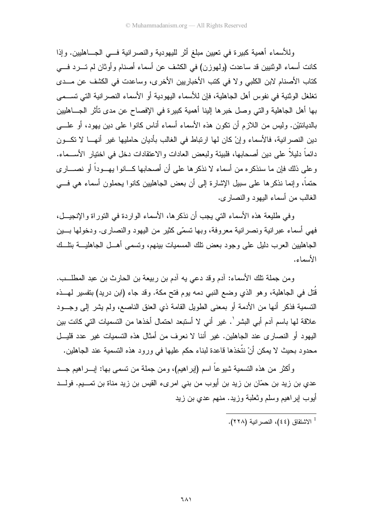وللأسماء أهمية كبيرة في تعيين مبلغ أثر لليهودية والنصر انية فسي الجساهليين. وإذا كانت أسماء الوثنيين قد ساعدت (ولمهوزن) في الكشف عن أسماء أصنام وأوثان لم تـــرد فـــي كتاب الأصنام لابن الكلبي ولا في كتب الأخباريين الأخرى، وساعدت في الكشف عن مـــدى تغلغل الوثنية في نفوس أهل الجاهلية، فإن للأسماء اليهودية أو الأسماء النصر انية التي تســـمي بها أهل الجاهلية والتي وصل خبرها إلينا أهمية كبيرة في الإفصاح عن مدى تأثر الجـــاهليين بالديانتيْن. وليس من اللازم أن نكون هذه الأسماء أسماء أناس كانوا على دين يهود، أو علــــى دين النصرانية، فالأسماء وإنْ كان لمها ارتباط في الغالب بأديان حامليها غير أنهــا لا نكــون دائماً دليلاً على دين أصحابها، فلبيئة ولبعض العادات والاعتقادات دخل في اختيار الأســـماء. وعلى ذلك فإن ما سنذكره من أسماء لا نذكرها على أن أصحابها كـــانوا بهـــوداً أو نصــــارى حتماً، وإنما نذكرها على سبيل الإشارة إلى أن بعض الجاهليين كانوا يحملون أسماء هي فـــي الغالب من أسماء اليهود والنصارى.

و في طلبعة هذه الأسماء التي بجب أن نذكر ها، الأسماء الوار دة في النور اة و الإنجبـــل، فهي أسماء عبر انية ونصر انية معر وفة، وبها تسمَّى كثيرٍ من اليهود والنصار ي. ودخولها بـــين الجاهليين العرب دليل على وجود بعض نلك المسميات بينهم، وتسمى أهــل الجاهليـــة بنلــك الأسماء.

ومن جملة تلك الأسماء: آدم وقد دعي به آدم بن ربيعة بن الحارث بن عبد المطلــب. قُتل في الجاهلية، وهو الذي وضع النبي دمه يوم فتح مكة. وقد جاء (ابن دريد) بتفسير لمهـــذه التسمية فذكر أنها من الأدمة أو بمعنى الطويل القامة ذي العنق الناصع، ولم يشر إلى وجــود علاقة لها باسم آدم أبي البشر '. غير أني لا أستبعد احتمال أخذها من التسميات التي كانت بين اليهو د أو النصار ي عند الجاهلين. غير أننا لا نعر ف من أمثال هذه التسميات غير عدد قليــل محدود بحيث لا يمكن أنْ نتَّخذها قاعدة لبناء حكم عليها في ورود هذه التسمية عند الجاهلين.

وأكثر من هذه التسمية شيوعاً اسم (إبراهيم)، ومن جملة من نسمى بها: إبــــراهيم جــــد عدي بن زيد بن حمّان بن زيد بن أيوب من بني امرىء القيس بن زيد مناة بن تمـــيم. فولـــد أيوب اير اهيم وسلم وثعلبة وزيد. منهم عدى بن زيد

الاشتقاق (٤٤)، النصر انية (٢٢٨).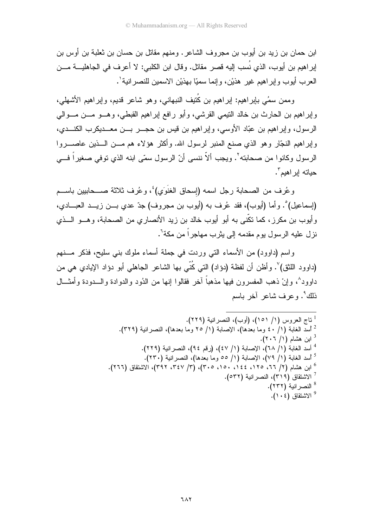ابن حمان بن زيد بن أيوب بن مجروف الشاعر . ومنهم مقاتل بن حسان بن ثعلبة بن أوس بن إبراهيم بن أيوب، الذي نُسب إليه قصر مقاتل. وقال ابن الكلبي: لا أعرف في الجاهليــــة مــــن العرب أبوب وإبر اهيم غير ٍ هذيْن، وإنما سميًّا بهذيْنِ الاسمينِ للنصرِ انية'.

وممن سمُى بايراهيم: ايراهيم بن كُتيف النبهاني، وهو شاعر قديم، وايراهيم الأشهلي، وإبراهيم بن الحارث بن خالد النيمي القرشي، وأبو رافع إبراهيم القبطي، وهـــو مـــن مـــوالي الرسول، وإبراهيم بن عبّاد الأوسي، وإبراهيم بن قيس بن حجـــر بـــن معـــديكرب الكنـــدي، وإبراهيم النجّار وهو الذي صنع المنبر لرسول الله. وأكثر هؤلاء هم مـــن الـــذين عاصـــــروا الرسول وكانوا من صحابته'. ويجب ألاّ ننسى أنّ الرسول سمّى ابنه الذي توفي صغيراً فـــي حياته ابر اهيم<sup>۳</sup>.

وعُرف من الصحابة رجل اسمه (إسحاق الغنَوَى) ُ، وعُرف ثلاثة صــحابيين باســم (إسماعيل)°. وأما (أيوب)، فقد عُرف به (أيوب بن مجروف) جدّ عدي بـــن زيـــد العبــــادي، و أبوب بن مكر ز ، كما تكَّني به أبو أبوب خالد بن ز بد الأنصار ي من الصحابة، و هـــو الـــذي نز ل عليه الر سول يو م مقدمه إلى يثر ب مهاجر اً من مكة<sup>٦</sup>.

واسم (داوود) من الأسماء التي وردت في جملة أسماء ملوك بني سليح، فذكر مسنهم (داوود اللثق)". وأظن أن لفظة (دؤاد) التي كُنّي بها الشاعر الجاهلي أبو دؤاد الإيادي هي من داوود^، و إنْ ذهب المفسر و ن فيها مذهباً آخر فقالو ا إنها من الذُود و الدو ادة و الـــدودة و أمثـــال ذلك <sup>٩</sup>. وعرف شاعر آخر باسم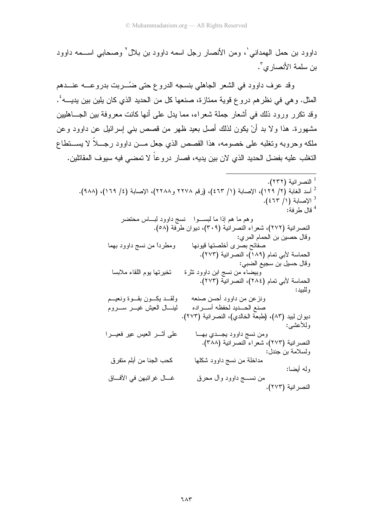داوود بن حمل الهمداني'، ومن الأنصار رجل اسمه داوود بن بلال' وصحابي اســـمه داوود بن سلمة الأنصار ي<sup>7</sup>.

وقد عرف داوود في الشعر الجاهلي بنسجه الدروع حتى ضُـــربت بدروعــــه عنــــدهم المثل. و هي في نظر هم در و ع قوية ممتاز ة، صنعها كل من الحديد الذي كان يلين بين يديــــه ُ. وقد تكرر ورود ذلك في أشعار جملة شعراء، مما يدل على أنها كانت معروفة بين الجـــاهليين مشهورة. هذا ولا بد أنْ يكون لذلك أصل بعيد ظهر من قصص بنبي إسرائيل عن داوود وعن ملكه وحروبه وتغلبه على خصومه، هذا القصص الذي جعل مـــن داوود رجـــلاً لا يســـتطاع التغلب عليه بفضل الحديد الذي لإن بين يديه، فصار در و عاً لا تمضي فيه سيو ف المقاتلين.

<sup>1</sup> النصر انية (٢٣٢). <sup>2</sup> أسد الغابة (٢/ ١٢٩)، الإصابة (١/ ٤٦٣)، (رقم ٢٢٧٨ و٢٢٨٨)، الإصابة (٤/ ١٦٩)، (٩٨٨). <sup>3</sup> الإصابة (١/ ٤٦٣). قال طرفة:  $^{\rm 4}$ وهم ما هم إذا ما لبسـوا لسج داوود لبــاس محتضر النصرانية (٢٧٢)، شعراء النصرانية (٣٠٩)، ديوان طرَّفة (٥٨). وقال حصين بن الحمام المري: صفائح بصّرى أخلصتها قيونها ومطرداً من نسج داوود بهما الحماسة لأبي تمام (١٨٩)، النصر انية (٢٧٣). وقال حسيل بن سجيع الضبي: تخير تها يو م اللقاء ملابسا وبيضاء من نسج ابن داوود نثرة الحماسة لأبي تمام (٢٨٤)، النصر انية (٢٧٣). و للبيد : ولقبد يكسون بقسوة ونعيسم ونزعن من داوود أحسن صنعه صنع الحسديد لحفظه أسسر اده لينسال العيش غيس سسروم ديوان لبيد (٨٣)، (طبعة الخالدي)، النصر انية (٢٧٣). وللأعشبي: على أثـــر العيس عير فعيـــرا ومن نسج داوود يجـــدي بهـــا النصر انية (٢٧٣)، شعر اء النصر انية (٣٨٨). ولسلامة بن جندل: مداخلة من نسج داوود شكلها كحب الجنا من أبلم متفر ق ولمه أبضا: من نســـج داوود وأل محرق غــــال غر ائبـهن في الآفــــاق النصر انية (٢٧٣).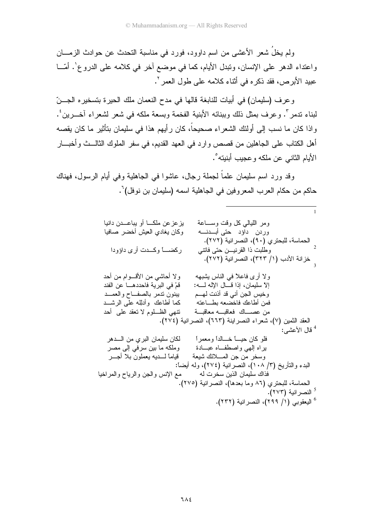ولم يخلُ شعر الأعشى من اسم داوود، فورد في مناسبة التحدث عن حوادث الزمــــان واعتداء الدهر على الإنسان، ونبدل الأيام، كما في موضع أخر في كلامه على الدروع'. أمّـــا عبيد الأبرص، فقد ذكره في أثناء كلامه على طول العمر '.

وعرف (سليمان) في أبيات للنابغة قالها في مدح النعمان ملك الحيرة بتسخيره الجـــنّ لبناء ندمر ". وعرف بمثل ذلك وببنائه الأبنية الفخمة وبسعة ملكه في شعر لشعراء آخـــرين ٔ. واذا كان ما نسب إلى أولئك الشعراء صحيحاً، كان رأيهم هذا في سليمان بتأثير ما كان يقصه أهل الكتاب على الجاهلين من قصص وارد في العهد القديم، في سفر الملوك الثالـــث وأخبــــار الأيام الثاني عن ملكه و عجيب أبنيته°.

وقد ورد اسم سليمان علماً لجملة رجال، عاشوا في الجاهلية وفي أيام الرسول، فهناك حاكم من حكام العرب المعروفين في الجاهلية اسمه (سليمان بن نوفل)`.

| يزعزعن ملكـــا أو يباعـــدن دانيا<br>ومر الليالبي كل وقت وســـاعة<br>وكان يغادي العيش أخضر صافيا<br>وردن داؤد حتى أبـــــــنـــــه |  |
|------------------------------------------------------------------------------------------------------------------------------------|--|
| الحماسة، للبحتري (٩٠)، النصر انية (٢٧٢).<br>ركضـــــأ وكـــدت أرى داؤودا<br>وطلبت ذا القرنيـــن حتى فاتتـى                         |  |
| ذزانة الأدب (١/ ٣٢٣)، النصرانية (٢٧٢).                                                                                             |  |
|                                                                                                                                    |  |
| ولا أحاشي من الأقسوام من أحد<br>ولا أرى فاعلاً في الناس بشبهه                                                                      |  |
| إلاَّ سليمان، إذا قـــال الإله لـــــه:<br>قمْ في البرية فاحددهــــا عن الفند                                                      |  |
| وخيس الجن أني قد أذنت لهـــم<br>ببنون ندمر بالصفــاح والعمـــد                                                                     |  |
| كما أطاعك وأدلله علىي الرشـــد<br>فمن أطاعك فاخضعه بطساعته                                                                         |  |
| من عصــــاك فعاقبــــه معاقبــــة<br>تنهي الظـــــلوم لا نـعقد علــي  أحد                                                          |  |
| العقد الثمين (٧)، شعراء النصرابنة (٦٦٣)، النصرانية (٢٧٤).                                                                          |  |
| <sup>4</sup> قال الأعشى:                                                                                                           |  |
| لكان سليمان البر ي من الـــــدهر                                                                                                   |  |
| براه إلهي واصطفاه عبسادة<br>وملكه ما بين سرفي إلى مصر                                                                              |  |
| قياماً لــــديه يعملون بلا اجــــر<br>وسخر من جن المسلائك شيعة                                                                     |  |
| البدء والنَّاريخ (٣/ ١٠٨)، النصر انية (٢٧٤)، ولمه أيضاً:                                                                           |  |
| فذاك سليمان الذين سخرت له<br>مع الإنس والجن والرياح والمراخيا                                                                      |  |
| الحماسة، للبحتري (٨٦ وما بعدها)، النصرانية (٢٧٥).                                                                                  |  |
| <sup>3</sup> النصر انية (٢٧٣).                                                                                                     |  |
| <sup>6</sup> اليعقوبي (١/ ٢٩٩)، النصر انية (٢٣٢).                                                                                  |  |
|                                                                                                                                    |  |

 $\overline{1}$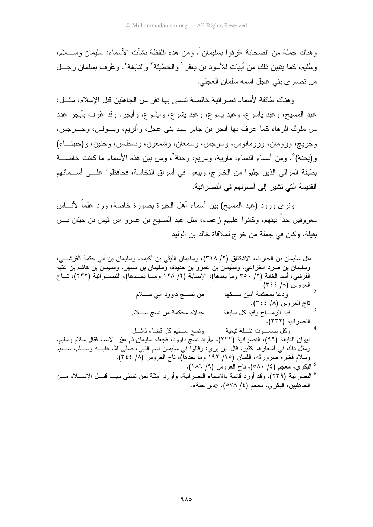و هناك جملة من الصبحابة عُر فو ا يسلبمان `. ومن هذه اللفظة نشأت الأسماء: سلبمان وسبــــلام، وسُلْيم، كما يتبين ذلك من أبيات للأسود بن يعفر ` و الحطيئة ` و النابغة ٔ . و عُر ف بسلمان ر جـــل من نصار ي بني عجل اسمه سلمان العجلي.

وهناك طائفة لأسماء نصرالنية خالصة تسمى بها نفر من الجاهلين قبل الإسلام، مثـــل: عبد المسيح، وعبد ياسوع، وعبد بسوع، وعبد بشوع، وايشوع، وأبـجر . وقد عُرف بأبـجر عدد من ملوك الرها، كما عرف بها أبجر بن جابر سيد بني عجل، وأفريم، وبـــولس، وجــــرجس، وجريج، ورومان، ورومانوس، وسرجس، وسمعان، وشمعون، ونسطاس، وحنين، و(حنينــاء) و(يحنة)°. ومن أسماء النساء: مارية، ومريم، وحنة<sup>٦</sup>، ومن بين هذه الأسماء ما كانت خاصــــة بطبقة الموالى الذين جلبوا من الخارج، وبيعوا في أسواق النخاسة، فحافظوا علـــي أســـمائهم القديمة التي تشبر الي أصولهم في النصر انبة.

ونرى ورود (عبد المسيح) بين أسماء أهل الحيرة بصورة خاصة، ورد علماً لأنــــاس معروفين جدا بينهم، وكانوا عليهم زعماء، مثل عبد المسيح بن عمرو ابن قيس بن حيّان بـــن بقيلة، وكان في جملة من خرج لملاقاة خالد بن الوليد

<sup>ا</sup> مثل سليمان بن الحارث، الاشتقاق (٢/ ٣١٨)، وسليمان الليثي بن أكيمة، وسليمان بن أبي حتمة القرشـــي، وسليمان بن صرد الخزاعي، وسليمان بن عمرو بن حديدة، وسليمان بن مسهر ، وسليمان بن هاشم بن عتبة القرشي، أسد الغابة (٢/ ٣٥٠ وما بعدها)، الإصابة (٢/ ١٢٨ ومـــا بعـــدها)، النصــــرانية (٢٣٢)، تـــاج العروس (٨/ ٣٤٤).  $\overline{2}$ من نســج داوود أببي ســـلام ودعا بمحكمة أمين ســـكها ناج العروس (٨/ ٣٤٤). جدلاء محكمة من نسج ســــلام فيه الرمـــاح وفيه كل سابغة النصر انية (٢٣٢). ونسج ســـليم كل قضـاء ذائـــل وكل صمسوت نشلة تبعية ديوان النابغة (٩٩)، النصرانية (٢٣٣)، «أراد نسج داوود، فجعله سليمان ثم غيّر الاسم، فقال سلام وسليم. ومثل ذلك في أشعار هم كثير . قال ابن بري: وقالوا في سليمان اسم النبي، صلَّى الله عليــــه وســـلم، ســـليم وسلام فغيره ضرورةً»، اللسان (١٥/ ١٩٢ وما بعدها)، ناج العروس (٨/ ٣٤٤). البكري، معجم (٤/ ٥٨٠)، ناج العروس (٩/ ١٨٦). <sup>6</sup> النصرانية (٢٣٩)، وقد أورد قائمة بالأسماء النصرانية، وأورد أمثلة لمن تسمّى بهـــا قبـــل الإســــلام مـــن الجاهليين، البكر ي، معجم (٤/ ٥٧٨)، «دير حنة».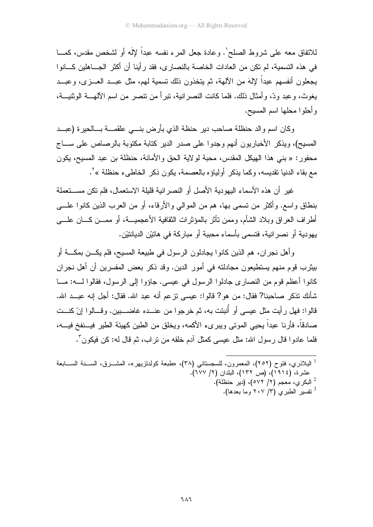للاتفاق معه على شروط الصلح'. وعادة جعل المرء نفسه عبداً لإلَه أو لشخص مقدس، كمـــا في هذه التسمية، لم تكن من العادات الخاصة بالنصار ي، فقد ر أينا أن أكثر الجـــاهلين كـــانو ا يجعلون أنفسهم عبداً لإلهَ من الآلهة، ثم يتخذون ذلك تسمية لهم، مثل عبــد العـــزي، وعبـــد يغوث، وعبد ودٍّ، وأمثال ذلك. فلما كانت النصر انية، تبرأ من نتصر من اسم الآلهــــة الوثنيـــة، وأحلوا محلها اسم المسيح.

وكان اسم والد حنظلة صاحب دير حنظة الذي بأرض بنسي علقمـــة بـــالحيرة (عبـــد المسيح)، ويذكر الأخباريون أنهم وجدوا على صدر الدير كتابة مكتوبة بالرصاص على ســـاج محفور: « بني هذا الهيكل المقدس، محبة لولاية الحق والأمانة، حنظلة بن عبد المسيح، يكون مع بقاء الدنيا تقديسه، وكما يذكر أولياؤه بالعصمة، يكون ذكر الخاطيء حنظلة »'.

غيرٍ أن هذه الأسماء البهودية الأصل أو النصر انية قليلة الاستعمال، فلم تكن مســـتعملة بنطاق واسع. وأكثر من نسمي بها، هم من الموالي والأرقاء، أو من العرب الذين كانوا علــــي أطراف العراق وبلاد الشأم، وممن نأثر بالمؤثرات الثقافية الأعجميـــة، أو ممـــن كــــان علــــي يهو دية أو نصر انية، فتسمى بأسماء محببة أو مبار كة في هاتيْن الديانتيْن.

وأهل نجران، هم الذين كانوا يجادلون الرسول في طبيعة المسيح، فلم يكـــن بمكــــة أو بيثرب قوم منهم يستطيعون مجادلته في أمور الدين. وقد ذكر بعض المفسرين أن أهل نجران كانوا أعظم قوم من النصار ي جادلوا الرسول في عيسى. جاؤوا إلى الرسول، فقالوا لــــه: مـــا شأنك نذكر صاحبنا? فقال: من هو ? قالوا: عيسى نزعم أنه عبد الله. فقال: أجل إنه عبــد الله. قالوا: فهل رأيت مثل عيسى أو أُنبئت به، ثم خرجوا من عنـــده غاضــــبين. وقـــالوا انْ كنـــت صادقاً، فأرنا عبداً يحيى الموتى ويبرىء الأكمه، ويخلق من الطين كهيئة الطير فيسنفخ فيسه، فلما عادوا قال ر سول الله: مثل عيسى كمثل آدم خلقه من نر اب، ثم قال له: كن فيكون َّ.

<sup>&</sup>lt;sup>1</sup> البلاذري، فتوح (٢٥٢)، المعمرون، للسجستاني (٣٨)، «طبعة كولدتزيهر»، المشـــرق، الســـنة الســـابعة عشرة، (١٩١٤)، (ص ١٣٢)، البلدان (٢/ ٦٧٧). <sup>2</sup> البكري، معجم (٢/ ٥٧٢)، (دير حنظلة). . تفسير الطير ي (٣/ ٢٠٧ وما بعدها).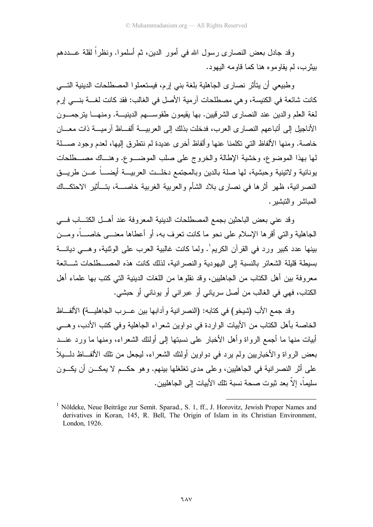وقد جادل بعض النصار ي ر سول الله في أمور الدين، ثم أسلموا. ونظر اً لقلة عـــددهم بیثری، لم یقاوموه هنا کما قاومه الیهود.

وطبيعي أن يتأثر نصارى الجاهلية بلغة بني إرم، فيستعملوا المصطلحات الدينية التسي كانت شائعة في الكنيسة، وهي مصطلحات آرمية الأصل في الغالب: فقد كانت لغــــة بنــــي إرم لغة العلم والدين عند النصاري الشرقيين. بها يقيمون طقوســـهم الدينيـــة. ومنهـــا يترجمـــون الأناجيل إلى أتباعهم النصاري العرب، فدخلت بذلك إلى العربيسة ألفساظ آرميسة ذات معسان خاصة. ومنها الألفاظ التي تكلمنا عنها وألفاظ أخرى عديدة لم نتطرق إليها، لعدم وجود صـــلة لمها بهذا الموضوع، وخشية الإطالة والخروج على صلب الموضـــوع. وهنـــاك مصـــطلحات بونانية ولاتينية وحبشية، لمها صلة بالدين وبالمجتمع دخلــت العربيـــة أيضــــاً عـــن طريـــق النصر انبة، ظهر أثر ها في نصار ي بلاد الشأم والعرببة الغرببة خاصـــة، بنـَــأَثبر الاحتكــاك المباشر والتبشير .

وقد عني بعض الباحثين بجمع المصطلحات الدينية المعروفة عند أهــل الكتـــاب فـــي الجاهلية و التي أقر ها الإسلام على نحو ما كانت نعر ف به، أو أعطاها معنـــي خاصـــاً، ومـــن بينها عدد كبير ورد في القرآن الكريم'. ولما كانت غالبية العرب على الوثنية، وهــي ديانـــة بسيطة قليلة الشعائر بالنسبة إلى اليهودية والنصرانية، لذلك كانت هذه المصـــطلحات شـــائعة معر و فة بين أهل الكتاب من الجاهليين، و قد نقلو ها من اللغات الدينية التي كتب بها علماء أهل الكتاب، فهي في الغالب من أصل سرياني أو عبراني أو يوناني أو حبشي.

وقد جمع الأب (شيخو ) في كتابه: (النصر انية و آدابها بين عـــرب الجاهليـــة) الألفـــاظ الخاصة بأهل الكتاب من الأبيات الواردة في دواوين شعر اء الجاهلية وفي كتب الأدب، وهـــي أبيات منها ما أجمع الرواة وأهل الأخبار ً على نسبتها إلى أولئك الشعر اء، ومنها ما ورد عنــد بعض الرواة والأخباريين ولم يرد في دواوين أولئك الشعراء، ليجعل من نلك الألفــاظ دلـــيلاً علَّمِي أثرِ النصرِ انية في الجاهليين، و علي مدى تغلغلها بينهم. وهو حكـــم لا يمكـــن أن يكـــون سليماً، إلاَّ بعد ثبوت صحة نسبة تلك الأبيات إلى الجاهليين.

<sup>&</sup>lt;sup>1</sup> Nöldeke, Neue Beiträge zur Semit. Sparad., S. 1, ff., J. Horovitz, Jewish Proper Names and derivatives in Koran, 145, R. Bell, The Origin of Islam in its Christian Environment, London, 1926.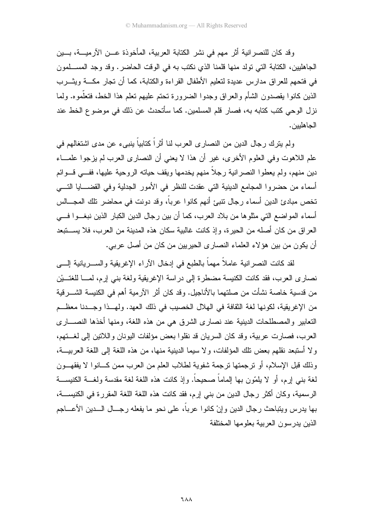و قد كان للنصر انية أثر ً مهم في نشر الكتابة العربية، المأخوذة عـــن الآر ميــــة، بـــين الجاهليين، الكتابة التي تولد منها قلمنا الذي نكتب به في الوقت الحاضر. وقد وجد المســـلمون في فتحهم للعراق مدارس عديدة لتعليم الأطفال القراءة والكتابة، كما أن تجار مكـــة ويثـــرب الذين كانوا يقصدون الشأم والعراق وجدوا الضرورة نحتم عليهم نعلم هذا الخط، فتعلَّموه. ولما نزل الوحي كتب كتابه به، فصار قلم المسلمين. كما سأتحدث عن ذلك في موضوع الخط عند الجاهلبين.

ولم يترك رجال الدين من النصاري العرب لنا أثراً كتابياً بنبيء عن مدى اشتغالهم في علم اللاهوت وفي العلوم الأخرى، غير أن هذا لا يعني أن النصارى العرب لم يزجوا علمـــاء دين منهم، ولم يعطوا النصرانية رجلاً منهم يخدمها ويقف حياته الروحية عليها، ففـــي قـــوائم أسماء من حضروا المجامع الدينية التي عقدت للنظر في الأمور الجدلية وفي القضـــايا التـــي تخص مبادئ الدين أسماء ر جال تتبيَّ أنهم كانو ا عر بـاً، وقد دونت في محاضر تلك المجـــالس أسماء المواضع التي مثلوها من بلاد العرب، كما أن بين رجال الدين الكبار الذين نبغــوا فـــي العراق من كان أصله من الحيرة، وإذ كانت غالبية سكان هذه المدينة من العرب، فلا يســـتبعد أن يكون من بين هؤ لاء العلماء النصاري الحيريين من كان من أصل عربي.

لقد كانت النصر انية عاملاً مهماً بالطبع في إدخال الأراء الإغريقية والســـريانية إلــــي نصاري العرب، فقد كانت الكنيسة مضطرة إلى دراسة الإغريقية ولغة بني إرم، لمسا للغتـــيْن من قدسية خاصـة نشأت من صلتهما بالأناجيل. وقد كان أثر الآر مية أهم في الكنيسة الشـــر قية من الإغريقية، لكونها لغة الثقافة في الهلال الخصيب في ذلك العهد. ولهــذا وجــدنا معظــم التعابير والمصطلحات الدينية عند نصارى الشرق هي من هذه اللغة، ومنها أخذها النصــــاري العرب، فصارت عربية، وقد كان السريان قد نقلوا بعض مؤلفات اليونان واللاتين إلى لغـــتهم، ولا أستبعد نقلهم بعض نلك المؤلفات، ولا سيما الدينية منها، من هذه اللغة إلى اللغة العربيـــة، وذلك قبل الإسلام، أو نرجمتها نرجمة شفوية لطلاب العلم من العرب ممن كـــانوا لا يفقهـــون لغة بنبي لِرم، أو لا يلمّون بها الِماماً صحيحاً. وإذ كانت هذه اللغة لغة مقدسة ولغـــة الكنيســـة الرسمية، وكان أكثر رجال الدين من بني إرم، فقد كانت هذه اللغة اللغة المقررة في الكنيســـة، بها بدرس ويتباحث رجال الدين وإنْ كانوا عرباً، على نحو ما يفعله رجـــال الـــدين الأعــــاجم الذين يدر سون العربية بعلومها المختلفة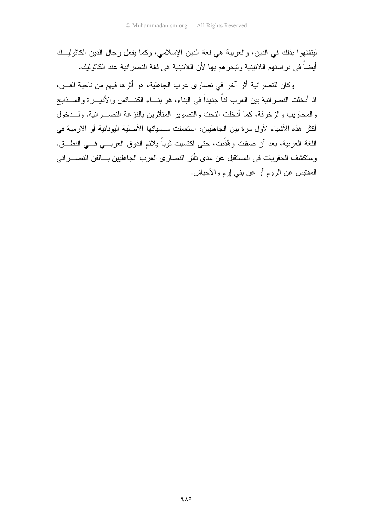ليتفقهوا بذلك في الدين، والعربية هي لغة الدين الإسلامي، وكما يفعل رجال الدين الكاثوليــك أيضاً في در استهم اللاتينية وتبحر هم بها لأن اللاتينية هي لغة النصر انية عند الكاثوليك.

وكان للنصر انية أثر آخر في نصار ي عرب الجاهلية، هو أثر ها فيهم من ناحية الفـــن، إذ أدخلت النصرانية بين العرب فناً جديداً في البناء، هو بنـــاء الكنـــائس والأديـــرة والمـــذابح والمحاريب والزخرفة، كما أدخلت النحت والتصوير المتأثرين بالنزعة النصـــرانية. ولـــدخول أكثر هذه الأشياء لأول مرة بين الجاهليين، استعملت مسمياتها الأصلية اليونانية أو الآرمية في اللغة العربية، بعد أن صقلت وهُذَّبت، حتى اكتسبت ثوباً يلائم الذوق العربـــي فـــي النطـــق. وستكشف الحفريات في المستقبل عن مدى تأثر النصارى العرب الجاهليين بسالفن النصسراني المقتبس عن الروم أو عن بنبي إرم والأحباش.